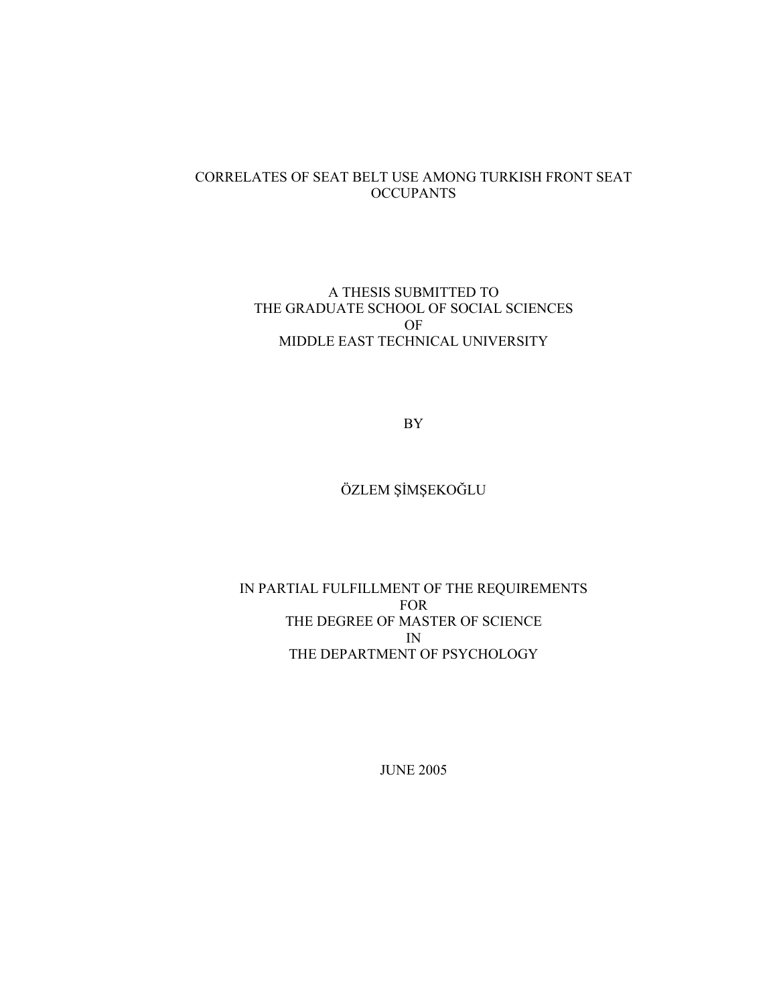## CORRELATES OF SEAT BELT USE AMONG TURKISH FRONT SEAT **OCCUPANTS**

## A THESIS SUBMITTED TO THE GRADUATE SCHOOL OF SOCIAL SCIENCES OF MIDDLE EAST TECHNICAL UNIVERSITY

BY

# ÖZLEM ŞİMŞEKOĞLU

# IN PARTIAL FULFILLMENT OF THE REQUIREMENTS FOR THE DEGREE OF MASTER OF SCIENCE IN THE DEPARTMENT OF PSYCHOLOGY

JUNE 2005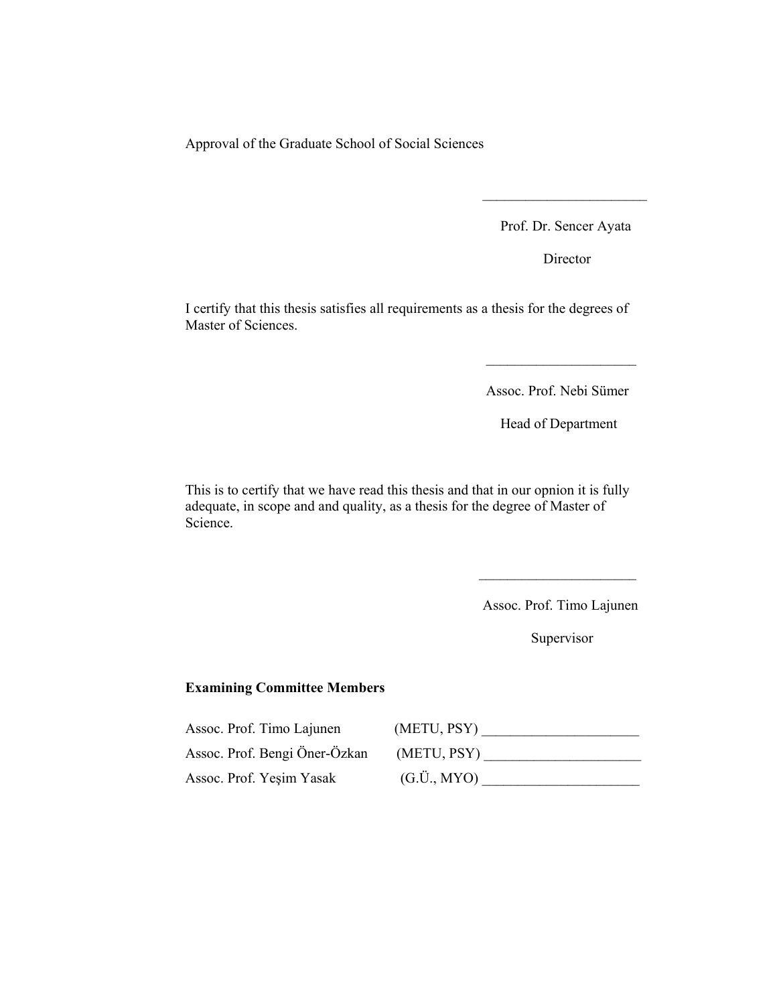Approval of the Graduate School of Social Sciences

Prof. Dr. Sencer Ayata

Director

I certify that this thesis satisfies all requirements as a thesis for the degrees of Master of Sciences.

 $\mathcal{L}_\text{max}$  and  $\mathcal{L}_\text{max}$  and  $\mathcal{L}_\text{max}$  and  $\mathcal{L}_\text{max}$  and  $\mathcal{L}_\text{max}$ 

 $\mathcal{L}_\text{max}$  and  $\mathcal{L}_\text{max}$  and  $\mathcal{L}_\text{max}$  and  $\mathcal{L}_\text{max}$  and  $\mathcal{L}_\text{max}$ 

Assoc. Prof. Nebi Sümer

Head of Department

This is to certify that we have read this thesis and that in our opnion it is fully adequate, in scope and and quality, as a thesis for the degree of Master of Science.

 $\mathcal{L}_\text{max}$  and  $\mathcal{L}_\text{max}$  and  $\mathcal{L}_\text{max}$  and  $\mathcal{L}_\text{max}$  and  $\mathcal{L}_\text{max}$ 

Assoc. Prof. Timo Lajunen

Supervisor

## Examining Committee Members

Assoc. Prof. Timo Lajunen (METU, PSY) \_\_\_\_\_\_\_\_\_\_\_\_\_\_\_\_\_\_\_\_\_\_ Assoc. Prof. Bengi Öner-Özkan (METU, PSY) \_\_\_\_\_\_\_\_\_\_\_\_\_\_\_\_\_\_\_\_\_\_ Assoc. Prof. Yeşim Yasak (G.Ü., MYO) \_\_\_\_\_\_\_\_\_\_\_\_\_\_\_\_\_\_\_\_\_\_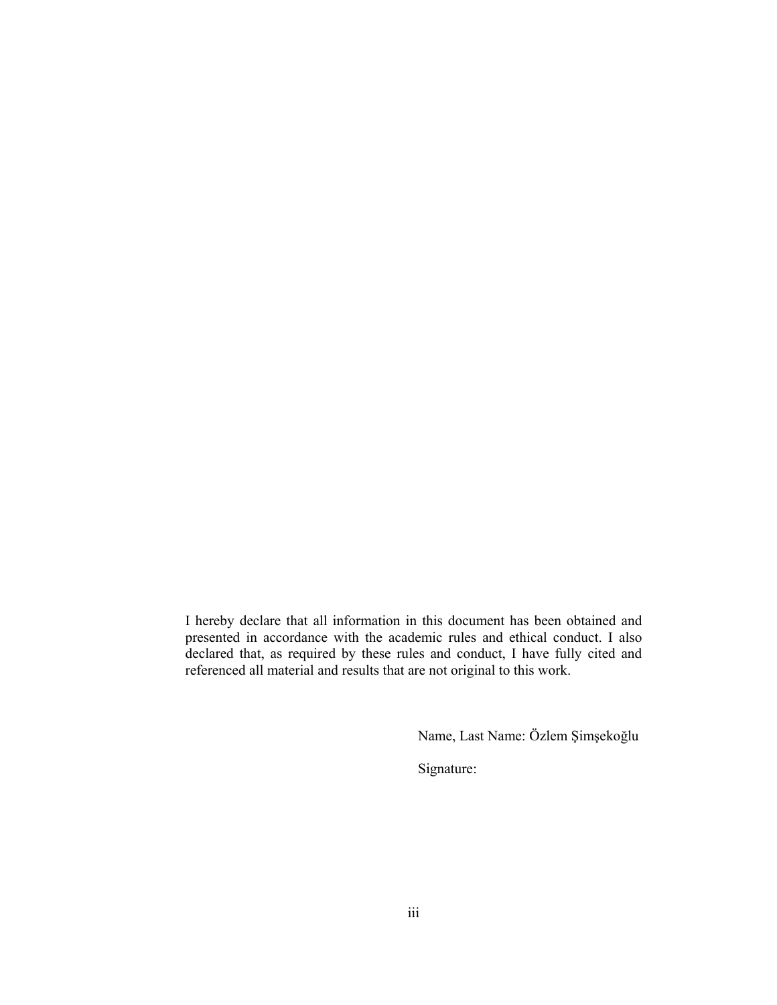I hereby declare that all information in this document has been obtained and presented in accordance with the academic rules and ethical conduct. I also declared that, as required by these rules and conduct, I have fully cited and referenced all material and results that are not original to this work.

Name, Last Name: Özlem Şimşekoğlu

Signature: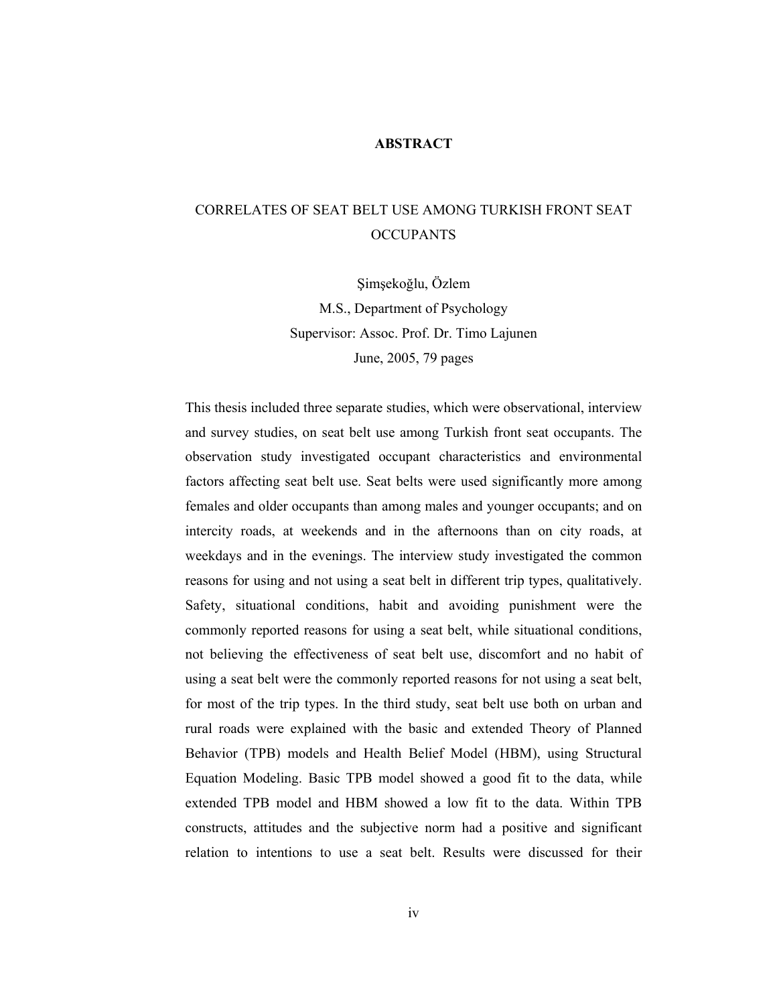### ABSTRACT

# CORRELATES OF SEAT BELT USE AMONG TURKISH FRONT SEAT **OCCUPANTS**

Şimşekoğlu, Özlem M.S., Department of Psychology Supervisor: Assoc. Prof. Dr. Timo Lajunen June, 2005, 79 pages

This thesis included three separate studies, which were observational, interview and survey studies, on seat belt use among Turkish front seat occupants. The observation study investigated occupant characteristics and environmental factors affecting seat belt use. Seat belts were used significantly more among females and older occupants than among males and younger occupants; and on intercity roads, at weekends and in the afternoons than on city roads, at weekdays and in the evenings. The interview study investigated the common reasons for using and not using a seat belt in different trip types, qualitatively. Safety, situational conditions, habit and avoiding punishment were the commonly reported reasons for using a seat belt, while situational conditions, not believing the effectiveness of seat belt use, discomfort and no habit of using a seat belt were the commonly reported reasons for not using a seat belt, for most of the trip types. In the third study, seat belt use both on urban and rural roads were explained with the basic and extended Theory of Planned Behavior (TPB) models and Health Belief Model (HBM), using Structural Equation Modeling. Basic TPB model showed a good fit to the data, while extended TPB model and HBM showed a low fit to the data. Within TPB constructs, attitudes and the subjective norm had a positive and significant relation to intentions to use a seat belt. Results were discussed for their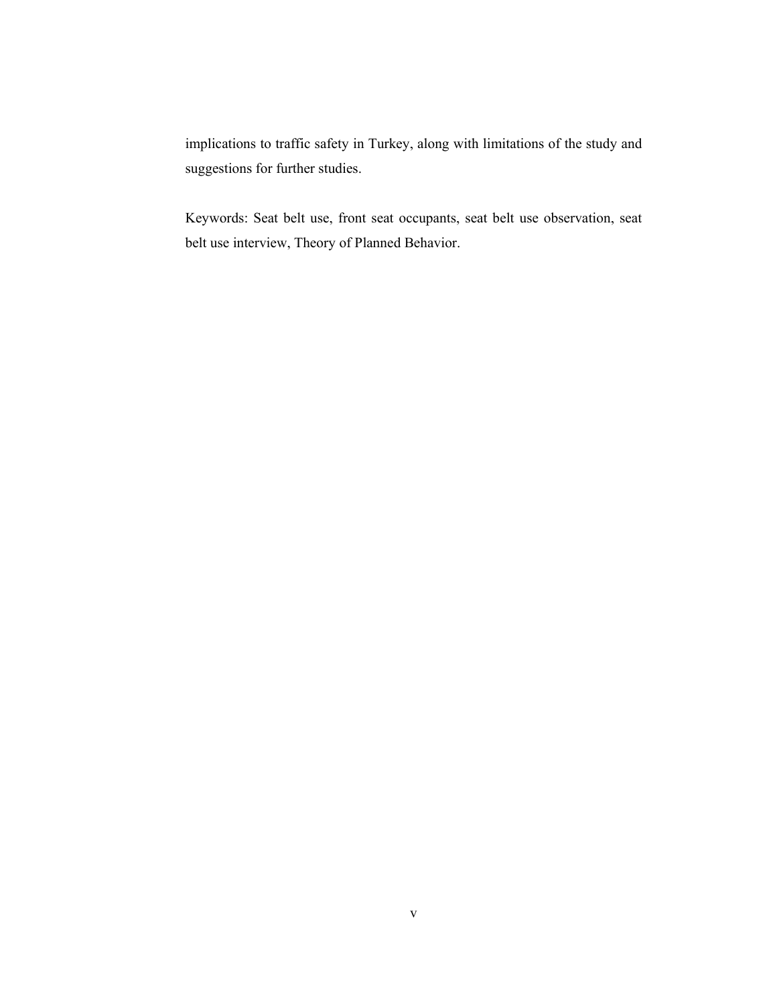implications to traffic safety in Turkey, along with limitations of the study and suggestions for further studies.

Keywords: Seat belt use, front seat occupants, seat belt use observation, seat belt use interview, Theory of Planned Behavior.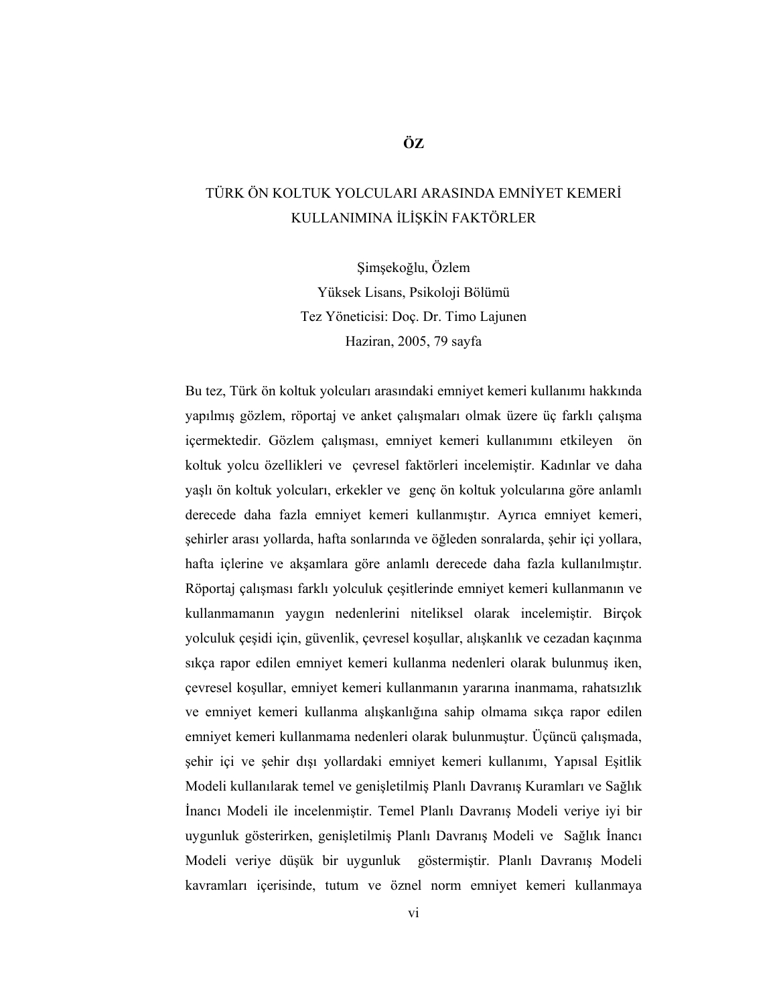# TÜRK ÖN KOLTUK YOLCULARI ARASINDA EMNİYET KEMERİ KULLANIMINA İLİŞKİN FAKTÖRLER

Şimşekoğlu, Özlem Yüksek Lisans, Psikoloji Bölümü Tez Yöneticisi: Doç. Dr. Timo Lajunen Haziran, 2005, 79 sayfa

Bu tez, Türk ön koltuk yolcuları arasındaki emniyet kemeri kullanımı hakkında yapılmış gözlem, röportaj ve anket çalışmaları olmak üzere üç farklı çalışma içermektedir. Gözlem çalışması, emniyet kemeri kullanımını etkileyen ön koltuk yolcu özellikleri ve çevresel faktörleri incelemiştir. Kadınlar ve daha yaşlı ön koltuk yolcuları, erkekler ve genç ön koltuk yolcularına göre anlamlı derecede daha fazla emniyet kemeri kullanmıştır. Ayrıca emniyet kemeri, şehirler arası yollarda, hafta sonlarında ve öğleden sonralarda, şehir içi yollara, hafta içlerine ve akşamlara göre anlamlı derecede daha fazla kullanılmıştır. Röportaj çalışması farklı yolculuk çeşitlerinde emniyet kemeri kullanmanın ve kullanmamanın yaygın nedenlerini niteliksel olarak incelemiştir. Birçok yolculuk çeşidi için, güvenlik, çevresel koşullar, alışkanlık ve cezadan kaçınma sıkça rapor edilen emniyet kemeri kullanma nedenleri olarak bulunmuş iken, çevresel koşullar, emniyet kemeri kullanmanın yararına inanmama, rahatsızlık ve emniyet kemeri kullanma alışkanlığına sahip olmama sıkça rapor edilen emniyet kemeri kullanmama nedenleri olarak bulunmuştur. Üçüncü çalışmada, şehir içi ve şehir dışı yollardaki emniyet kemeri kullanımı, Yapısal Eşitlik Modeli kullanılarak temel ve genişletilmiş Planlı Davranış Kuramları ve Sağlık İnancı Modeli ile incelenmiştir. Temel Planlı Davranış Modeli veriye iyi bir uygunluk gösterirken, genişletilmiş Planlı Davranış Modeli ve Sağlık İnancı Modeli veriye düşük bir uygunluk göstermiştir. Planlı Davranış Modeli kavramları içerisinde, tutum ve öznel norm emniyet kemeri kullanmaya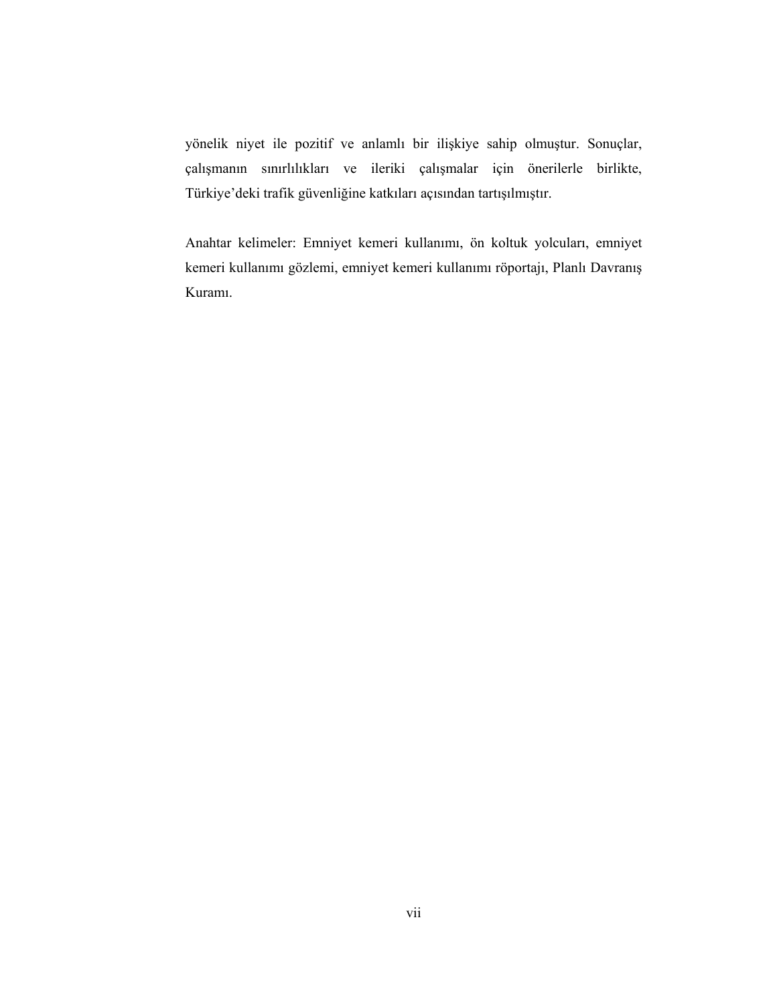yönelik niyet ile pozitif ve anlamlı bir ilişkiye sahip olmuştur. Sonuçlar, çalışmanın sınırlılıkları ve ileriki çalışmalar için önerilerle birlikte, Türkiye'deki trafik güvenliğine katkıları açısından tartışılmıştır.

Anahtar kelimeler: Emniyet kemeri kullanımı, ön koltuk yolcuları, emniyet kemeri kullanımı gözlemi, emniyet kemeri kullanımı röportajı, Planlı Davranış Kuramı.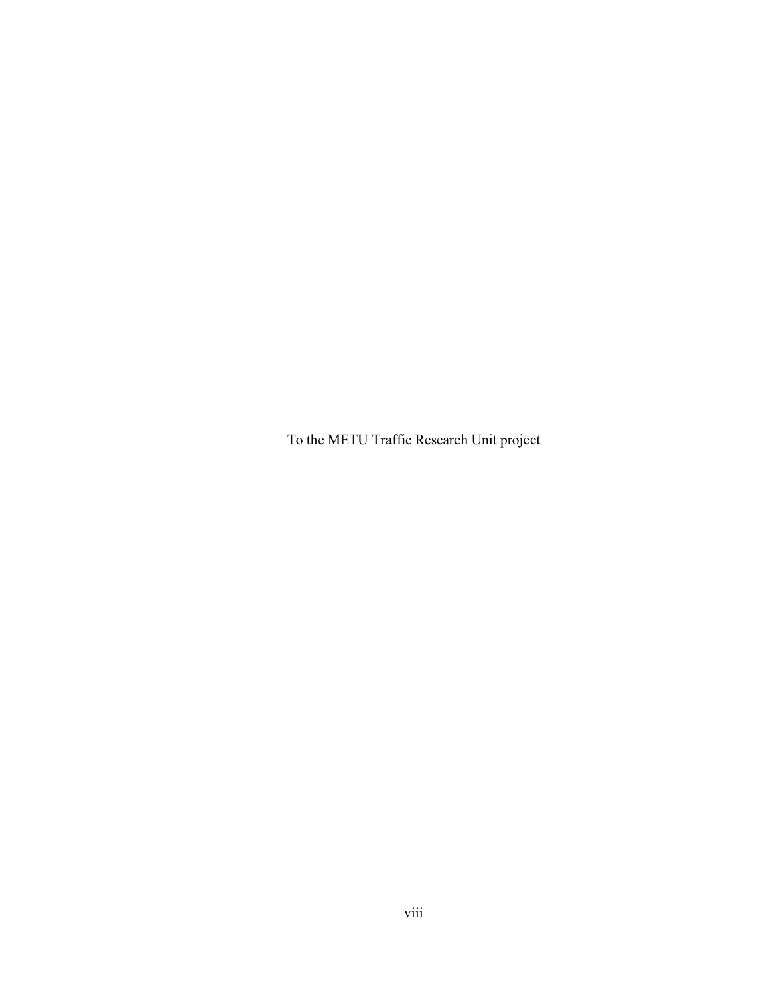To the METU Traffic Research Unit project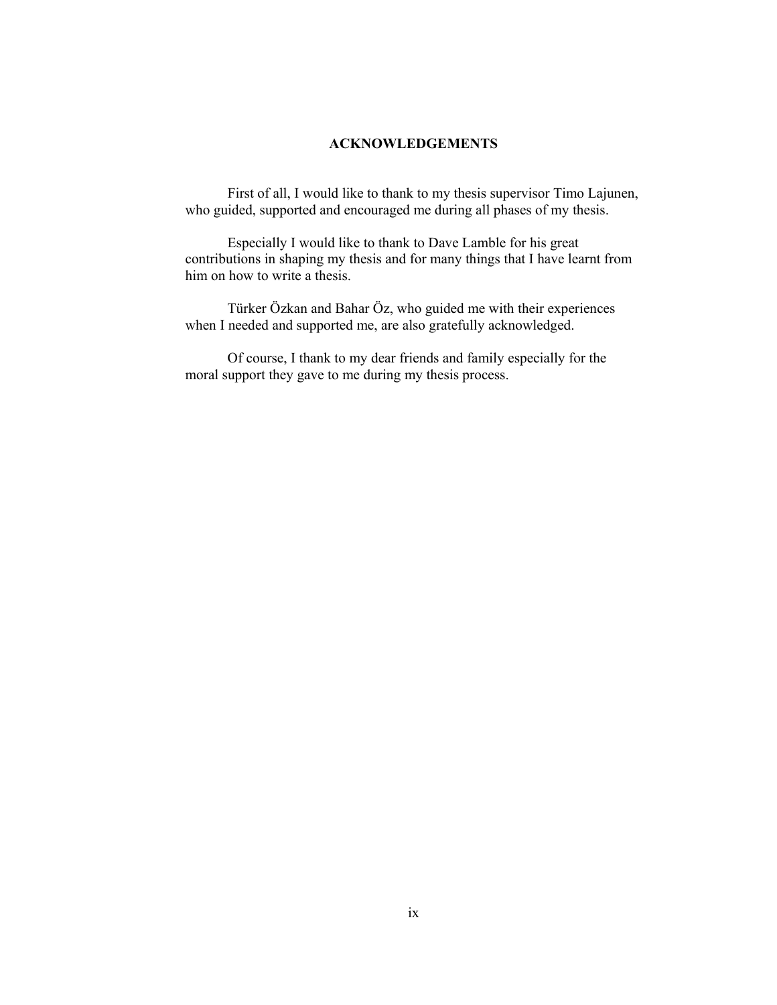## ACKNOWLEDGEMENTS

First of all, I would like to thank to my thesis supervisor Timo Lajunen, who guided, supported and encouraged me during all phases of my thesis.

Especially I would like to thank to Dave Lamble for his great contributions in shaping my thesis and for many things that I have learnt from him on how to write a thesis.

Türker Özkan and Bahar Öz, who guided me with their experiences when I needed and supported me, are also gratefully acknowledged.

Of course, I thank to my dear friends and family especially for the moral support they gave to me during my thesis process.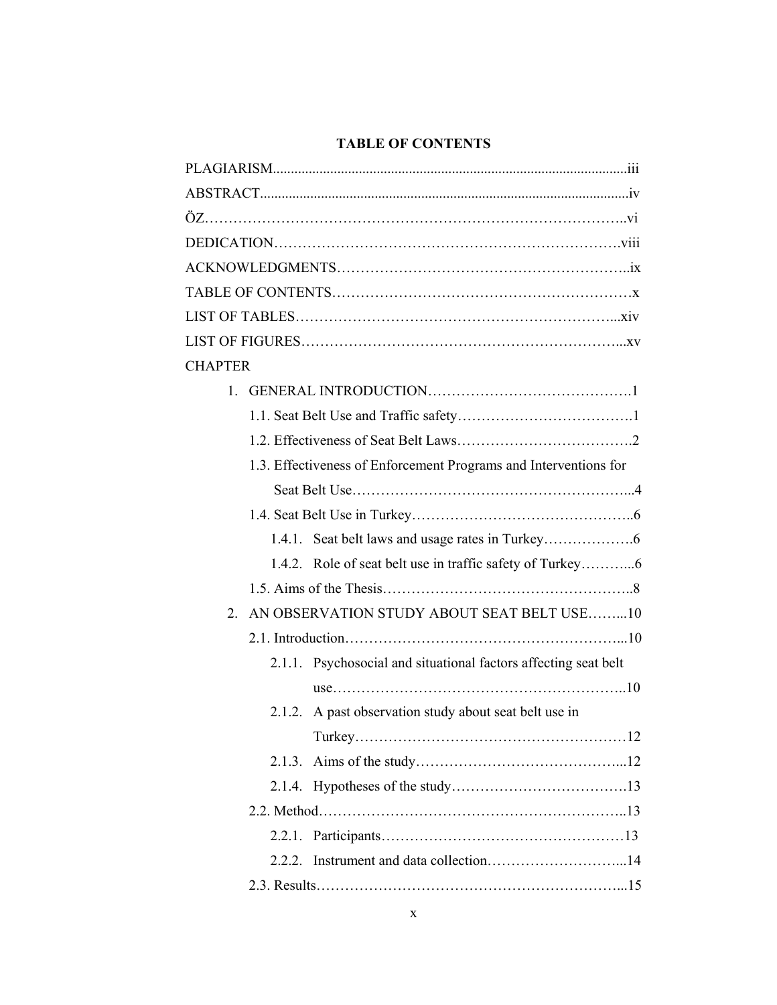# TABLE OF CONTENTS

| <b>CHAPTER</b>                                                   |
|------------------------------------------------------------------|
|                                                                  |
|                                                                  |
|                                                                  |
| 1.3. Effectiveness of Enforcement Programs and Interventions for |
|                                                                  |
|                                                                  |
|                                                                  |
|                                                                  |
|                                                                  |
| AN OBSERVATION STUDY ABOUT SEAT BELT USE10<br>$\overline{2}$     |
|                                                                  |
| 2.1.1. Psychosocial and situational factors affecting seat belt  |
|                                                                  |
| 2.1.2. A past observation study about seat belt use in           |
|                                                                  |
| 2.1.3.                                                           |
|                                                                  |
|                                                                  |
|                                                                  |
| 2.2.2.                                                           |
|                                                                  |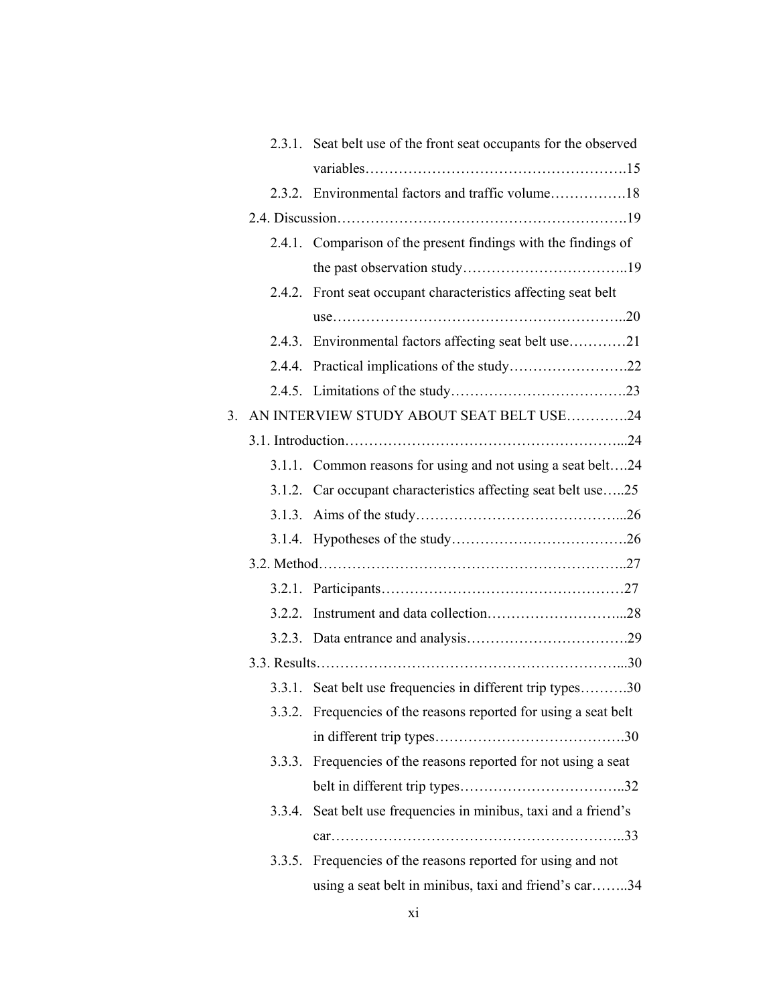|    |        | 2.3.1. Seat belt use of the front seat occupants for the observed |
|----|--------|-------------------------------------------------------------------|
|    |        |                                                                   |
|    |        |                                                                   |
|    |        |                                                                   |
|    |        | 2.4.1. Comparison of the present findings with the findings of    |
|    |        |                                                                   |
|    |        | 2.4.2. Front seat occupant characteristics affecting seat belt    |
|    |        |                                                                   |
|    |        | 2.4.3. Environmental factors affecting seat belt use21            |
|    |        |                                                                   |
|    |        |                                                                   |
| 3. |        | AN INTERVIEW STUDY ABOUT SEAT BELT USE24                          |
|    |        |                                                                   |
|    |        | 3.1.1. Common reasons for using and not using a seat belt24       |
|    |        | 3.1.2. Car occupant characteristics affecting seat belt use25     |
|    |        |                                                                   |
|    |        |                                                                   |
|    |        |                                                                   |
|    |        |                                                                   |
|    | 3.2.2. |                                                                   |
|    |        |                                                                   |
|    |        |                                                                   |
|    |        | 3.3.1. Seat belt use frequencies in different trip types30        |
|    |        | 3.3.2. Frequencies of the reasons reported for using a seat belt  |
|    |        |                                                                   |
|    |        | 3.3.3. Frequencies of the reasons reported for not using a seat   |
|    |        |                                                                   |
|    |        | 3.3.4. Seat belt use frequencies in minibus, taxi and a friend's  |
|    |        |                                                                   |
|    |        | 3.3.5. Frequencies of the reasons reported for using and not      |
|    |        | using a seat belt in minibus, taxi and friend's car34             |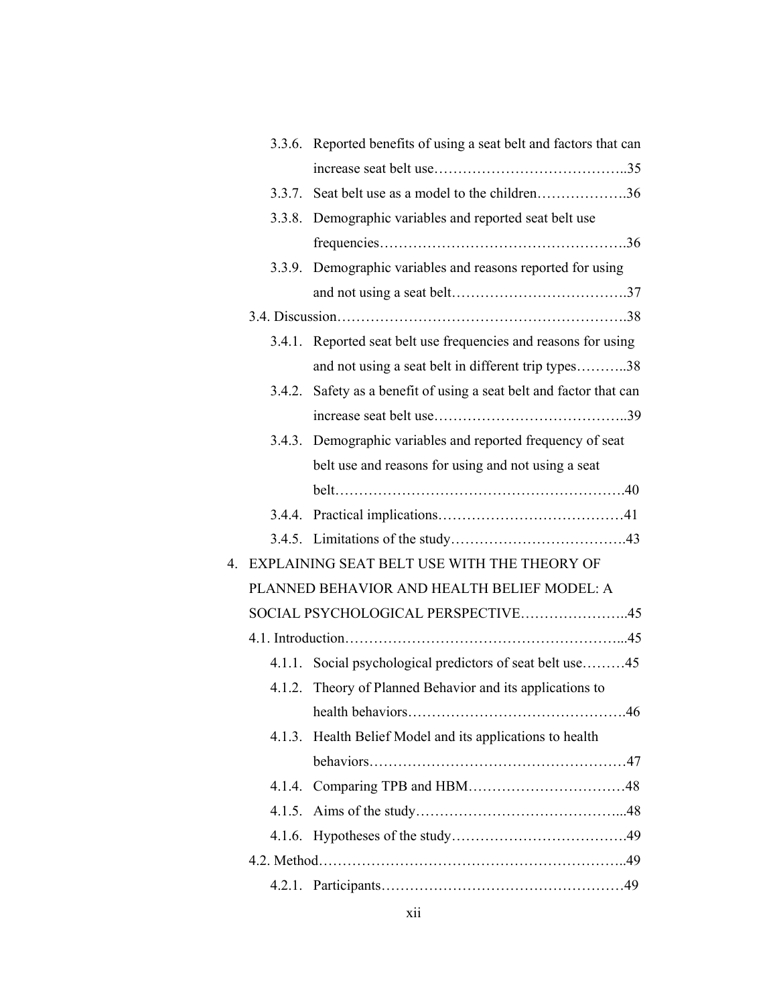|    |        | 3.3.6. Reported benefits of using a seat belt and factors that can  |
|----|--------|---------------------------------------------------------------------|
|    |        |                                                                     |
|    | 3.3.7. | Seat belt use as a model to the children36                          |
|    | 3.3.8. | Demographic variables and reported seat belt use                    |
|    |        |                                                                     |
|    |        | 3.3.9. Demographic variables and reasons reported for using         |
|    |        |                                                                     |
|    |        |                                                                     |
|    | 3.4.1. | Reported seat belt use frequencies and reasons for using            |
|    |        | and not using a seat belt in different trip types38                 |
|    |        | 3.4.2. Safety as a benefit of using a seat belt and factor that can |
|    |        |                                                                     |
|    |        | 3.4.3. Demographic variables and reported frequency of seat         |
|    |        | belt use and reasons for using and not using a seat                 |
|    |        |                                                                     |
|    |        |                                                                     |
|    |        |                                                                     |
| 4. |        | EXPLAINING SEAT BELT USE WITH THE THEORY OF                         |
|    |        | PLANNED BEHAVIOR AND HEALTH BELIEF MODEL: A                         |
|    |        | SOCIAL PSYCHOLOGICAL PERSPECTIVE45                                  |
|    |        |                                                                     |
|    |        | 4.1.1. Social psychological predictors of seat belt use45           |
|    | 4.1.2. | Theory of Planned Behavior and its applications to                  |
|    |        |                                                                     |
|    | 4.1.3. | Health Belief Model and its applications to health                  |
|    |        |                                                                     |
|    |        |                                                                     |
|    | 4.1.5. |                                                                     |
|    | 4.1.6. |                                                                     |
|    |        |                                                                     |
|    |        |                                                                     |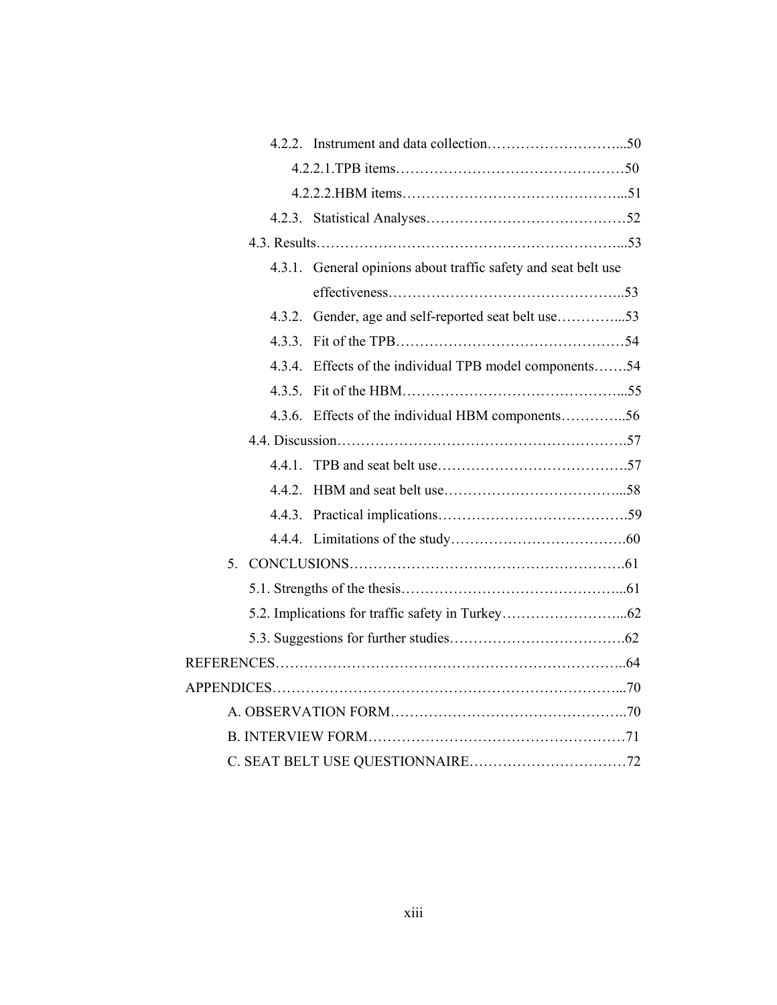|  |     | 4.3.1. General opinions about traffic safety and seat belt use |  |
|--|-----|----------------------------------------------------------------|--|
|  |     |                                                                |  |
|  | 432 | Gender, age and self-reported seat belt use53                  |  |
|  | 433 |                                                                |  |
|  | 434 | Effects of the individual TPB model components54               |  |
|  |     |                                                                |  |
|  |     | 4.3.6. Effects of the individual HBM components56              |  |
|  |     |                                                                |  |
|  |     |                                                                |  |
|  |     |                                                                |  |
|  |     |                                                                |  |
|  |     |                                                                |  |
|  |     |                                                                |  |
|  |     |                                                                |  |
|  |     |                                                                |  |
|  |     |                                                                |  |
|  |     |                                                                |  |
|  |     |                                                                |  |
|  |     |                                                                |  |
|  |     |                                                                |  |
|  |     |                                                                |  |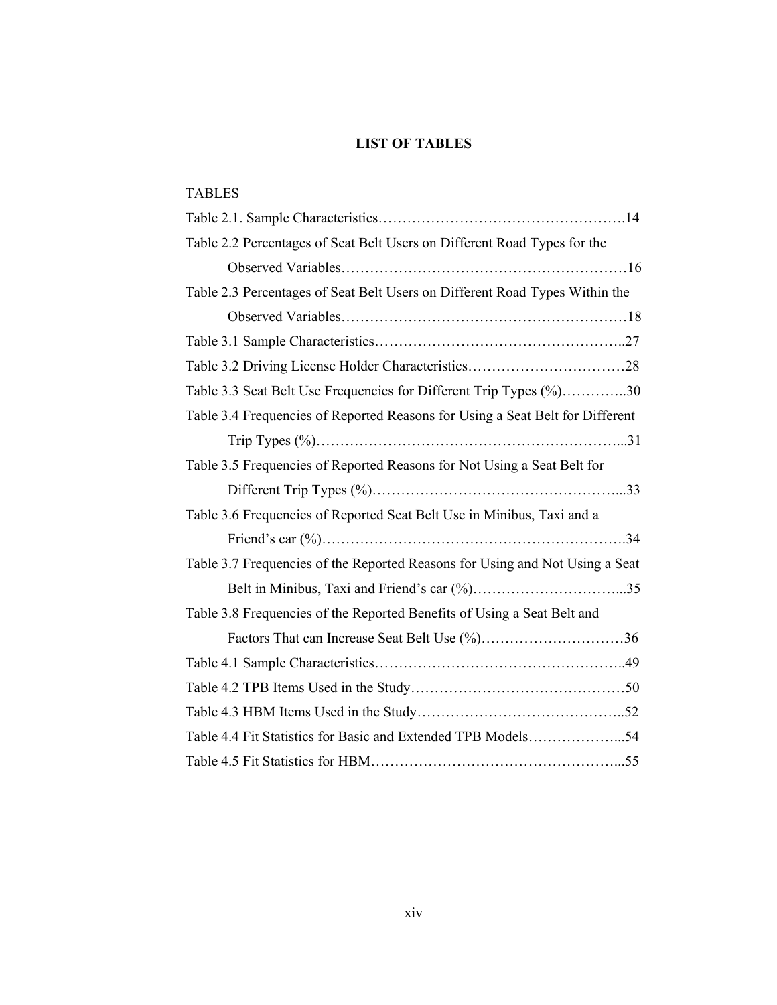# LIST OF TABLES

| <b>TABLES</b>                                                                 |
|-------------------------------------------------------------------------------|
|                                                                               |
| Table 2.2 Percentages of Seat Belt Users on Different Road Types for the      |
|                                                                               |
| Table 2.3 Percentages of Seat Belt Users on Different Road Types Within the   |
|                                                                               |
|                                                                               |
|                                                                               |
| Table 3.3 Seat Belt Use Frequencies for Different Trip Types (%)30            |
| Table 3.4 Frequencies of Reported Reasons for Using a Seat Belt for Different |
|                                                                               |
| Table 3.5 Frequencies of Reported Reasons for Not Using a Seat Belt for       |
|                                                                               |
| Table 3.6 Frequencies of Reported Seat Belt Use in Minibus, Taxi and a        |
|                                                                               |
| Table 3.7 Frequencies of the Reported Reasons for Using and Not Using a Seat  |
|                                                                               |
| Table 3.8 Frequencies of the Reported Benefits of Using a Seat Belt and       |
| Factors That can Increase Seat Belt Use (%)36                                 |
|                                                                               |
|                                                                               |
|                                                                               |
| Table 4.4 Fit Statistics for Basic and Extended TPB Models54                  |
|                                                                               |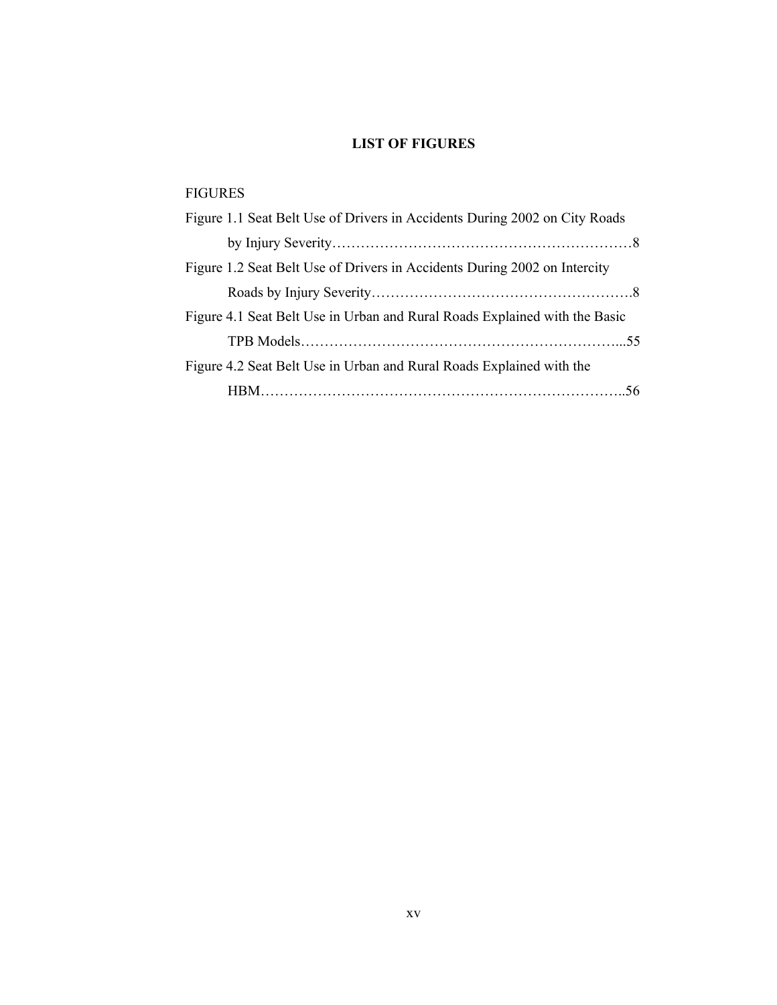# LIST OF FIGURES

# FIGURES

| Figure 1.1 Seat Belt Use of Drivers in Accidents During 2002 on City Roads |
|----------------------------------------------------------------------------|
|                                                                            |
| Figure 1.2 Seat Belt Use of Drivers in Accidents During 2002 on Intercity  |
|                                                                            |
| Figure 4.1 Seat Belt Use in Urban and Rural Roads Explained with the Basic |
|                                                                            |
| Figure 4.2 Seat Belt Use in Urban and Rural Roads Explained with the       |
|                                                                            |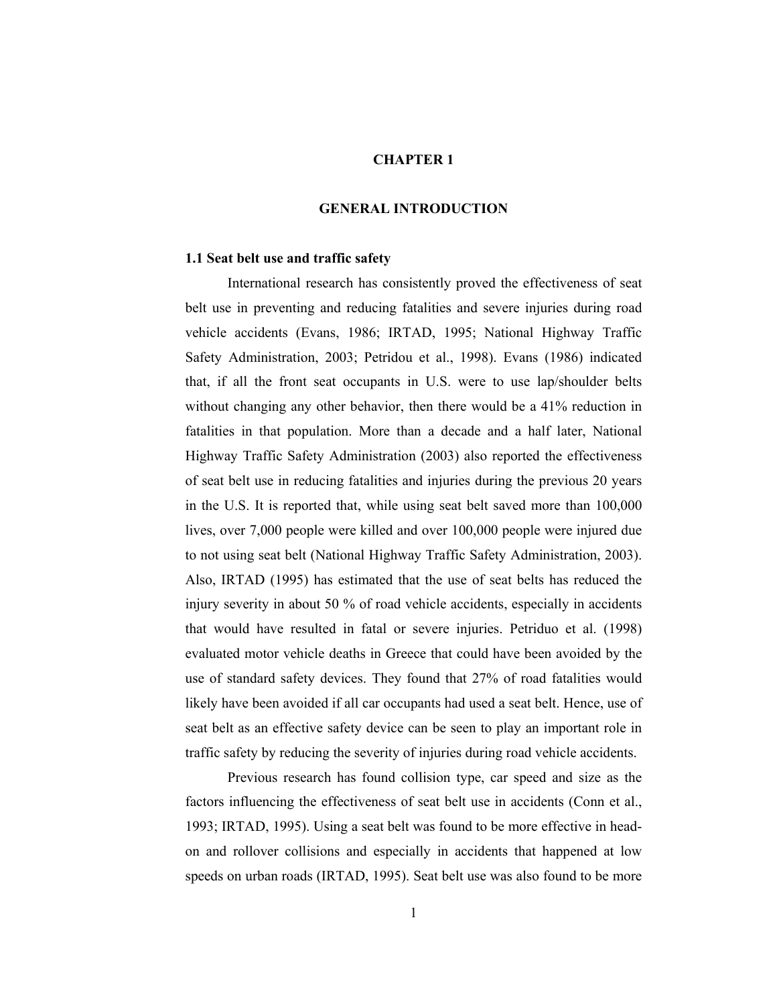### CHAPTER 1

## GENERAL INTRODUCTION

### 1.1 Seat belt use and traffic safety

International research has consistently proved the effectiveness of seat belt use in preventing and reducing fatalities and severe injuries during road vehicle accidents (Evans, 1986; IRTAD, 1995; National Highway Traffic Safety Administration, 2003; Petridou et al., 1998). Evans (1986) indicated that, if all the front seat occupants in U.S. were to use lap/shoulder belts without changing any other behavior, then there would be a 41% reduction in fatalities in that population. More than a decade and a half later, National Highway Traffic Safety Administration (2003) also reported the effectiveness of seat belt use in reducing fatalities and injuries during the previous 20 years in the U.S. It is reported that, while using seat belt saved more than 100,000 lives, over 7,000 people were killed and over 100,000 people were injured due to not using seat belt (National Highway Traffic Safety Administration, 2003). Also, IRTAD (1995) has estimated that the use of seat belts has reduced the injury severity in about 50 % of road vehicle accidents, especially in accidents that would have resulted in fatal or severe injuries. Petriduo et al. (1998) evaluated motor vehicle deaths in Greece that could have been avoided by the use of standard safety devices. They found that 27% of road fatalities would likely have been avoided if all car occupants had used a seat belt. Hence, use of seat belt as an effective safety device can be seen to play an important role in traffic safety by reducing the severity of injuries during road vehicle accidents.

Previous research has found collision type, car speed and size as the factors influencing the effectiveness of seat belt use in accidents (Conn et al., 1993; IRTAD, 1995). Using a seat belt was found to be more effective in headon and rollover collisions and especially in accidents that happened at low speeds on urban roads (IRTAD, 1995). Seat belt use was also found to be more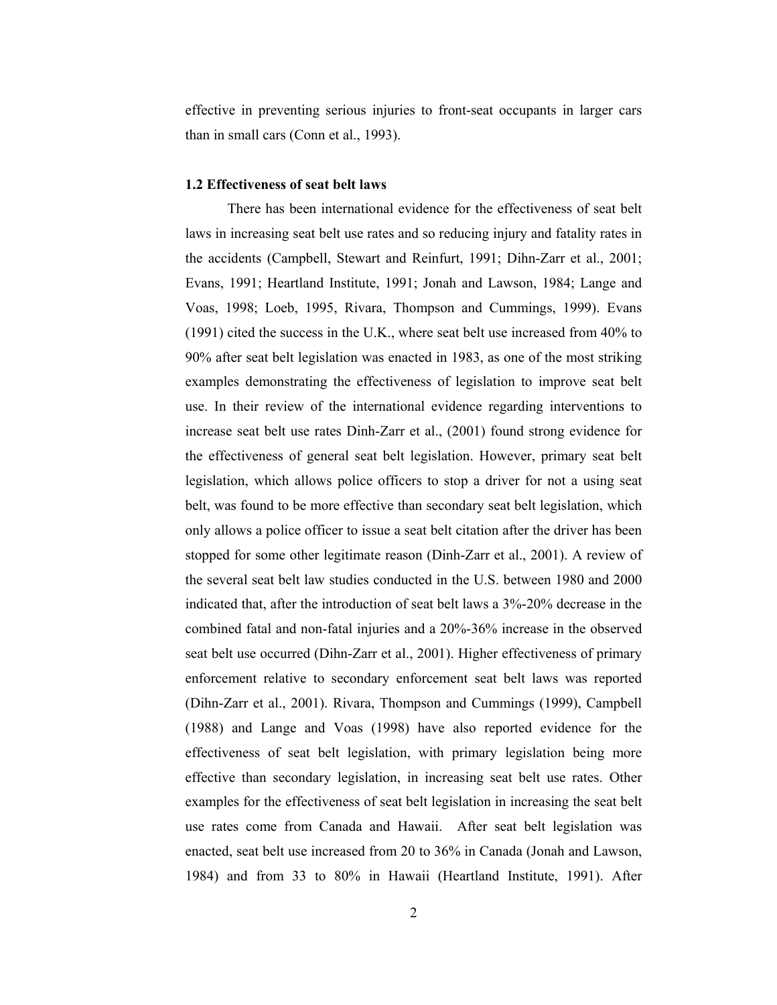effective in preventing serious injuries to front-seat occupants in larger cars than in small cars (Conn et al., 1993).

### 1.2 Effectiveness of seat belt laws

There has been international evidence for the effectiveness of seat belt laws in increasing seat belt use rates and so reducing injury and fatality rates in the accidents (Campbell, Stewart and Reinfurt, 1991; Dihn-Zarr et al., 2001; Evans, 1991; Heartland Institute, 1991; Jonah and Lawson, 1984; Lange and Voas, 1998; Loeb, 1995, Rivara, Thompson and Cummings, 1999). Evans (1991) cited the success in the U.K., where seat belt use increased from 40% to 90% after seat belt legislation was enacted in 1983, as one of the most striking examples demonstrating the effectiveness of legislation to improve seat belt use. In their review of the international evidence regarding interventions to increase seat belt use rates Dinh-Zarr et al., (2001) found strong evidence for the effectiveness of general seat belt legislation. However, primary seat belt legislation, which allows police officers to stop a driver for not a using seat belt, was found to be more effective than secondary seat belt legislation, which only allows a police officer to issue a seat belt citation after the driver has been stopped for some other legitimate reason (Dinh-Zarr et al., 2001). A review of the several seat belt law studies conducted in the U.S. between 1980 and 2000 indicated that, after the introduction of seat belt laws a 3%-20% decrease in the combined fatal and non-fatal injuries and a 20%-36% increase in the observed seat belt use occurred (Dihn-Zarr et al., 2001). Higher effectiveness of primary enforcement relative to secondary enforcement seat belt laws was reported (Dihn-Zarr et al., 2001). Rivara, Thompson and Cummings (1999), Campbell (1988) and Lange and Voas (1998) have also reported evidence for the effectiveness of seat belt legislation, with primary legislation being more effective than secondary legislation, in increasing seat belt use rates. Other examples for the effectiveness of seat belt legislation in increasing the seat belt use rates come from Canada and Hawaii. After seat belt legislation was enacted, seat belt use increased from 20 to 36% in Canada (Jonah and Lawson, 1984) and from 33 to 80% in Hawaii (Heartland Institute, 1991). After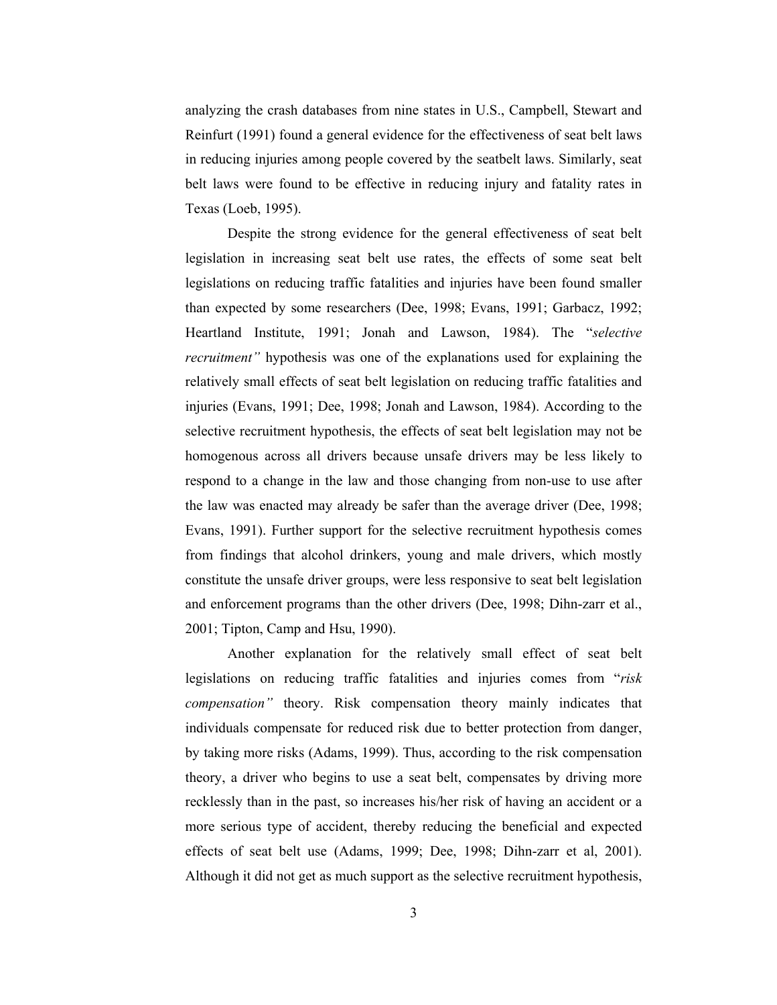analyzing the crash databases from nine states in U.S., Campbell, Stewart and Reinfurt (1991) found a general evidence for the effectiveness of seat belt laws in reducing injuries among people covered by the seatbelt laws. Similarly, seat belt laws were found to be effective in reducing injury and fatality rates in Texas (Loeb, 1995).

Despite the strong evidence for the general effectiveness of seat belt legislation in increasing seat belt use rates, the effects of some seat belt legislations on reducing traffic fatalities and injuries have been found smaller than expected by some researchers (Dee, 1998; Evans, 1991; Garbacz, 1992; Heartland Institute, 1991; Jonah and Lawson, 1984). The "selective recruitment" hypothesis was one of the explanations used for explaining the relatively small effects of seat belt legislation on reducing traffic fatalities and injuries (Evans, 1991; Dee, 1998; Jonah and Lawson, 1984). According to the selective recruitment hypothesis, the effects of seat belt legislation may not be homogenous across all drivers because unsafe drivers may be less likely to respond to a change in the law and those changing from non-use to use after the law was enacted may already be safer than the average driver (Dee, 1998; Evans, 1991). Further support for the selective recruitment hypothesis comes from findings that alcohol drinkers, young and male drivers, which mostly constitute the unsafe driver groups, were less responsive to seat belt legislation and enforcement programs than the other drivers (Dee, 1998; Dihn-zarr et al., 2001; Tipton, Camp and Hsu, 1990).

Another explanation for the relatively small effect of seat belt legislations on reducing traffic fatalities and injuries comes from "risk compensation" theory. Risk compensation theory mainly indicates that individuals compensate for reduced risk due to better protection from danger, by taking more risks (Adams, 1999). Thus, according to the risk compensation theory, a driver who begins to use a seat belt, compensates by driving more recklessly than in the past, so increases his/her risk of having an accident or a more serious type of accident, thereby reducing the beneficial and expected effects of seat belt use (Adams, 1999; Dee, 1998; Dihn-zarr et al, 2001). Although it did not get as much support as the selective recruitment hypothesis,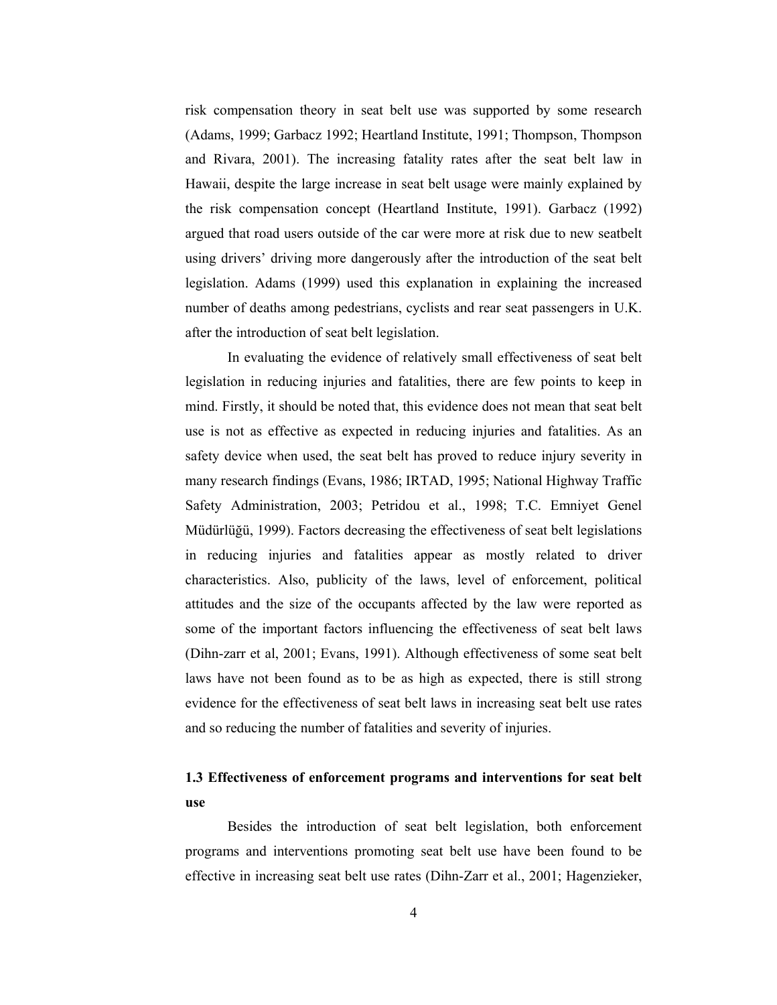risk compensation theory in seat belt use was supported by some research (Adams, 1999; Garbacz 1992; Heartland Institute, 1991; Thompson, Thompson and Rivara, 2001). The increasing fatality rates after the seat belt law in Hawaii, despite the large increase in seat belt usage were mainly explained by the risk compensation concept (Heartland Institute, 1991). Garbacz (1992) argued that road users outside of the car were more at risk due to new seatbelt using drivers' driving more dangerously after the introduction of the seat belt legislation. Adams (1999) used this explanation in explaining the increased number of deaths among pedestrians, cyclists and rear seat passengers in U.K. after the introduction of seat belt legislation.

In evaluating the evidence of relatively small effectiveness of seat belt legislation in reducing injuries and fatalities, there are few points to keep in mind. Firstly, it should be noted that, this evidence does not mean that seat belt use is not as effective as expected in reducing injuries and fatalities. As an safety device when used, the seat belt has proved to reduce injury severity in many research findings (Evans, 1986; IRTAD, 1995; National Highway Traffic Safety Administration, 2003; Petridou et al., 1998; T.C. Emniyet Genel Müdürlüğü, 1999). Factors decreasing the effectiveness of seat belt legislations in reducing injuries and fatalities appear as mostly related to driver characteristics. Also, publicity of the laws, level of enforcement, political attitudes and the size of the occupants affected by the law were reported as some of the important factors influencing the effectiveness of seat belt laws (Dihn-zarr et al, 2001; Evans, 1991). Although effectiveness of some seat belt laws have not been found as to be as high as expected, there is still strong evidence for the effectiveness of seat belt laws in increasing seat belt use rates and so reducing the number of fatalities and severity of injuries.

# 1.3 Effectiveness of enforcement programs and interventions for seat belt use

Besides the introduction of seat belt legislation, both enforcement programs and interventions promoting seat belt use have been found to be effective in increasing seat belt use rates (Dihn-Zarr et al., 2001; Hagenzieker,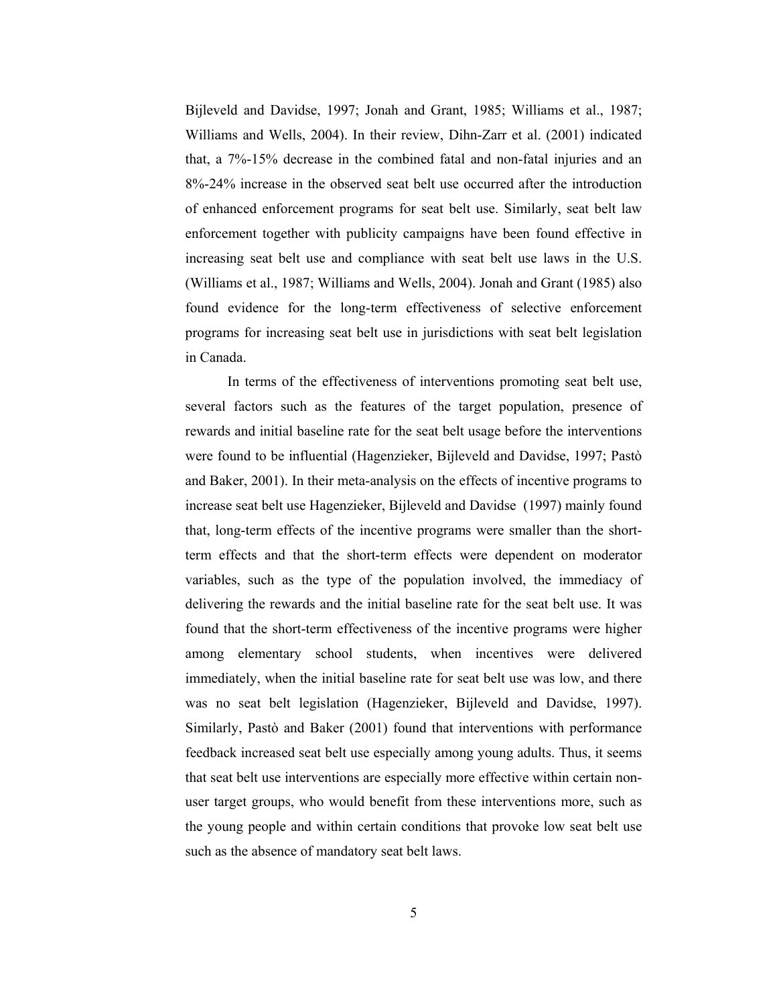Bijleveld and Davidse, 1997; Jonah and Grant, 1985; Williams et al., 1987; Williams and Wells, 2004). In their review, Dihn-Zarr et al. (2001) indicated that, a 7%-15% decrease in the combined fatal and non-fatal injuries and an 8%-24% increase in the observed seat belt use occurred after the introduction of enhanced enforcement programs for seat belt use. Similarly, seat belt law enforcement together with publicity campaigns have been found effective in increasing seat belt use and compliance with seat belt use laws in the U.S. (Williams et al., 1987; Williams and Wells, 2004). Jonah and Grant (1985) also found evidence for the long-term effectiveness of selective enforcement programs for increasing seat belt use in jurisdictions with seat belt legislation in Canada.

In terms of the effectiveness of interventions promoting seat belt use, several factors such as the features of the target population, presence of rewards and initial baseline rate for the seat belt usage before the interventions were found to be influential (Hagenzieker, Bijleveld and Davidse, 1997; Pastò and Baker, 2001). In their meta-analysis on the effects of incentive programs to increase seat belt use Hagenzieker, Bijleveld and Davidse (1997) mainly found that, long-term effects of the incentive programs were smaller than the shortterm effects and that the short-term effects were dependent on moderator variables, such as the type of the population involved, the immediacy of delivering the rewards and the initial baseline rate for the seat belt use. It was found that the short-term effectiveness of the incentive programs were higher among elementary school students, when incentives were delivered immediately, when the initial baseline rate for seat belt use was low, and there was no seat belt legislation (Hagenzieker, Bijleveld and Davidse, 1997). Similarly, Pastò and Baker (2001) found that interventions with performance feedback increased seat belt use especially among young adults. Thus, it seems that seat belt use interventions are especially more effective within certain nonuser target groups, who would benefit from these interventions more, such as the young people and within certain conditions that provoke low seat belt use such as the absence of mandatory seat belt laws.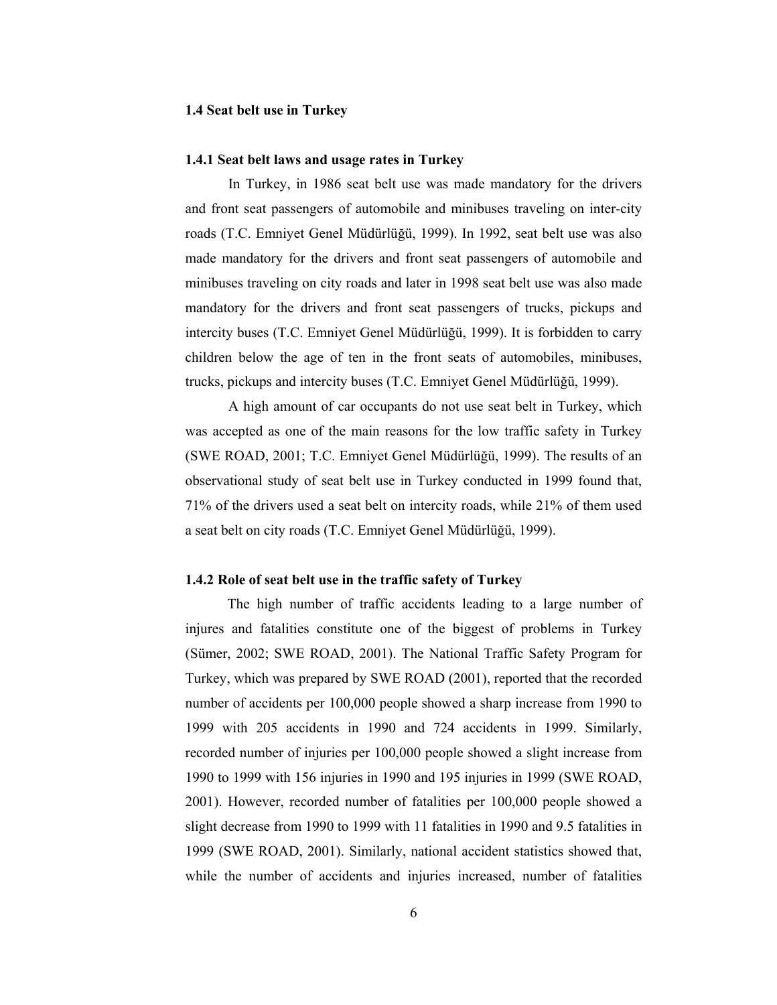### 1.4 Seat belt use in Turkey

### 1.4.1 Seat belt laws and usage rates in Turkey

In Turkey, in 1986 seat belt use was made mandatory for the drivers and front seat passengers of automobile and minibuses traveling on inter-city roads (T.C. Emniyet Genel Müdürlüğü, 1999). In 1992, seat belt use was also made mandatory for the drivers and front seat passengers of automobile and minibuses traveling on city roads and later in 1998 seat belt use was also made mandatory for the drivers and front seat passengers of trucks, pickups and intercity buses (T.C. Emniyet Genel Müdürlüğü, 1999). It is forbidden to carry children below the age of ten in the front seats of automobiles, minibuses, trucks, pickups and intercity buses (T.C. Emniyet Genel Müdürlüğü, 1999).

A high amount of car occupants do not use seat belt in Turkey, which was accepted as one of the main reasons for the low traffic safety in Turkey (SWE ROAD, 2001; T.C. Emniyet Genel Müdürlüğü, 1999). The results of an observational study of seat belt use in Turkey conducted in 1999 found that, 71% of the drivers used a seat belt on intercity roads, while 21% of them used a seat belt on city roads (T.C. Emniyet Genel Müdürlüğü, 1999).

#### 1.4.2 Role of seat belt use in the traffic safety of Turkey

The high number of traffic accidents leading to a large number of injures and fatalities constitute one of the biggest of problems in Turkey (Sümer, 2002; SWE ROAD, 2001). The National Traffic Safety Program for Turkey, which was prepared by SWE ROAD (2001), reported that the recorded number of accidents per 100,000 people showed a sharp increase from 1990 to 1999 with 205 accidents in 1990 and 724 accidents in 1999. Similarly, recorded number of injuries per 100,000 people showed a slight increase from 1990 to 1999 with 156 injuries in 1990 and 195 injuries in 1999 (SWE ROAD, 2001). However, recorded number of fatalities per 100,000 people showed a slight decrease from 1990 to 1999 with 11 fatalities in 1990 and 9.5 fatalities in 1999 (SWE ROAD, 2001). Similarly, national accident statistics showed that, while the number of accidents and injuries increased, number of fatalities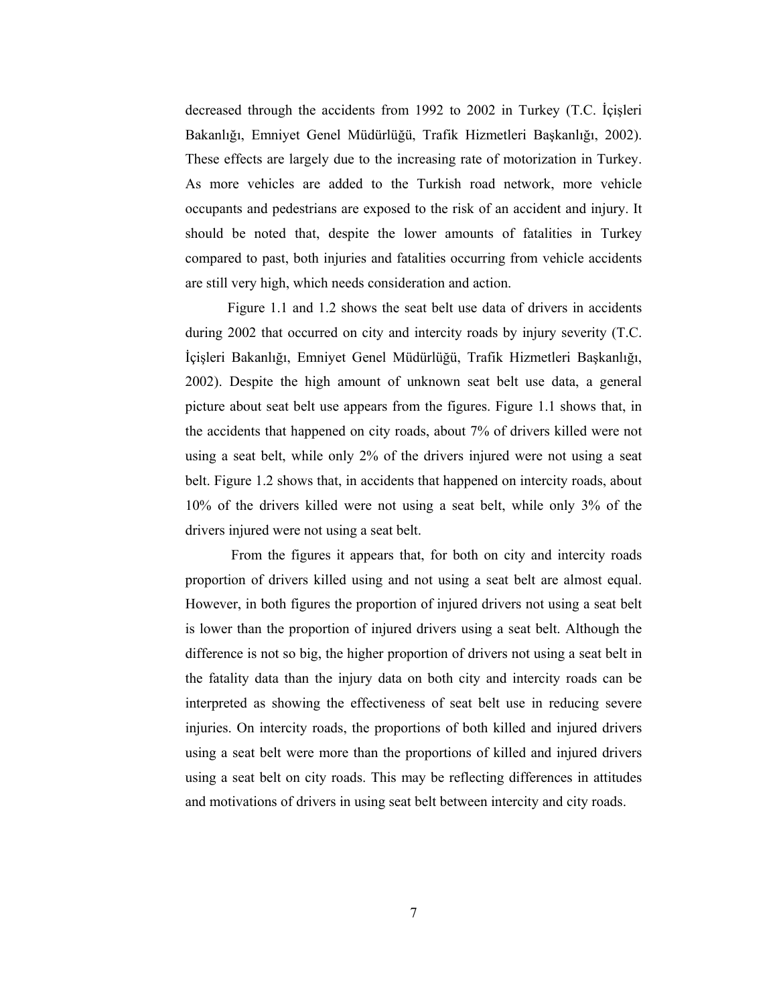decreased through the accidents from 1992 to 2002 in Turkey (T.C. İçişleri Bakanlığı, Emniyet Genel Müdürlüğü, Trafik Hizmetleri Başkanlığı, 2002). These effects are largely due to the increasing rate of motorization in Turkey. As more vehicles are added to the Turkish road network, more vehicle occupants and pedestrians are exposed to the risk of an accident and injury. It should be noted that, despite the lower amounts of fatalities in Turkey compared to past, both injuries and fatalities occurring from vehicle accidents are still very high, which needs consideration and action.

Figure 1.1 and 1.2 shows the seat belt use data of drivers in accidents during 2002 that occurred on city and intercity roads by injury severity (T.C. İçişleri Bakanlığı, Emniyet Genel Müdürlüğü, Trafik Hizmetleri Başkanlığı, 2002). Despite the high amount of unknown seat belt use data, a general picture about seat belt use appears from the figures. Figure 1.1 shows that, in the accidents that happened on city roads, about 7% of drivers killed were not using a seat belt, while only 2% of the drivers injured were not using a seat belt. Figure 1.2 shows that, in accidents that happened on intercity roads, about 10% of the drivers killed were not using a seat belt, while only 3% of the drivers injured were not using a seat belt.

 From the figures it appears that, for both on city and intercity roads proportion of drivers killed using and not using a seat belt are almost equal. However, in both figures the proportion of injured drivers not using a seat belt is lower than the proportion of injured drivers using a seat belt. Although the difference is not so big, the higher proportion of drivers not using a seat belt in the fatality data than the injury data on both city and intercity roads can be interpreted as showing the effectiveness of seat belt use in reducing severe injuries. On intercity roads, the proportions of both killed and injured drivers using a seat belt were more than the proportions of killed and injured drivers using a seat belt on city roads. This may be reflecting differences in attitudes and motivations of drivers in using seat belt between intercity and city roads.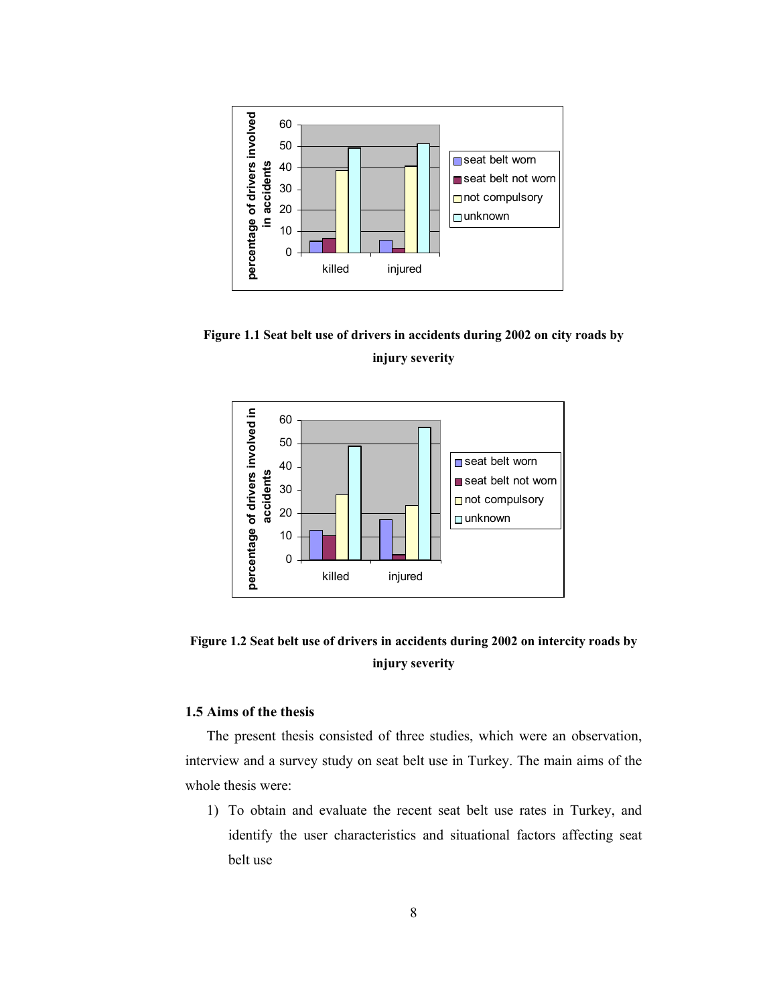

Figure 1.1 Seat belt use of drivers in accidents during 2002 on city roads by injury severity



# Figure 1.2 Seat belt use of drivers in accidents during 2002 on intercity roads by injury severity

# 1.5 Aims of the thesis

The present thesis consisted of three studies, which were an observation, interview and a survey study on seat belt use in Turkey. The main aims of the whole thesis were:

1) To obtain and evaluate the recent seat belt use rates in Turkey, and identify the user characteristics and situational factors affecting seat belt use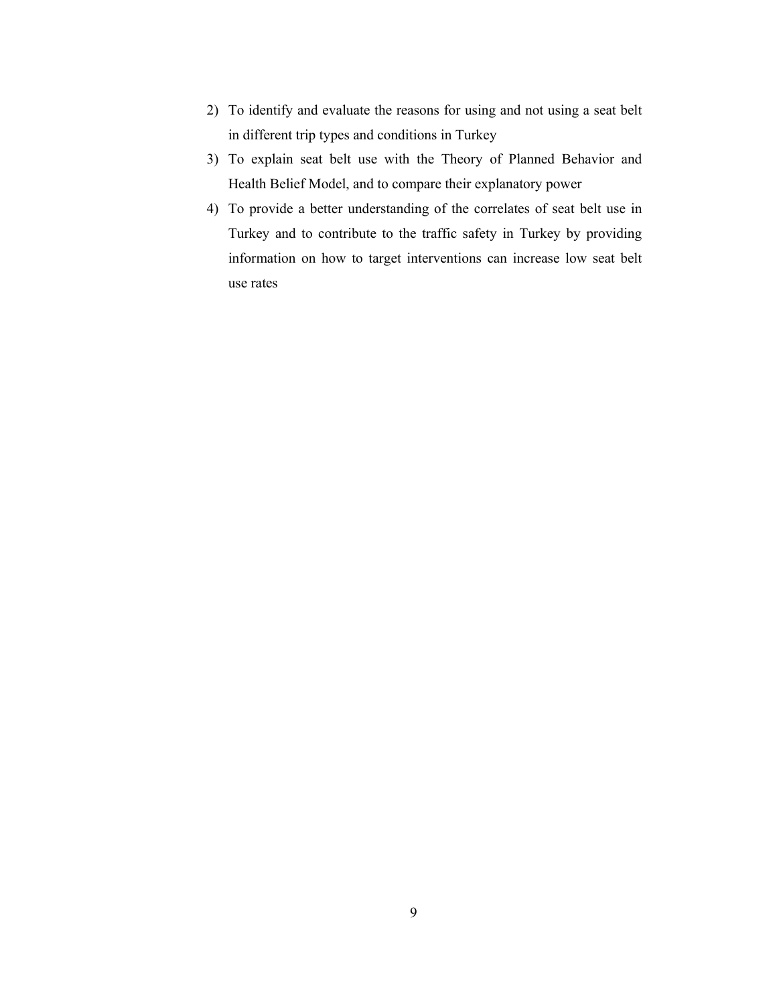- 2) To identify and evaluate the reasons for using and not using a seat belt in different trip types and conditions in Turkey
- 3) To explain seat belt use with the Theory of Planned Behavior and Health Belief Model, and to compare their explanatory power
- 4) To provide a better understanding of the correlates of seat belt use in Turkey and to contribute to the traffic safety in Turkey by providing information on how to target interventions can increase low seat belt use rates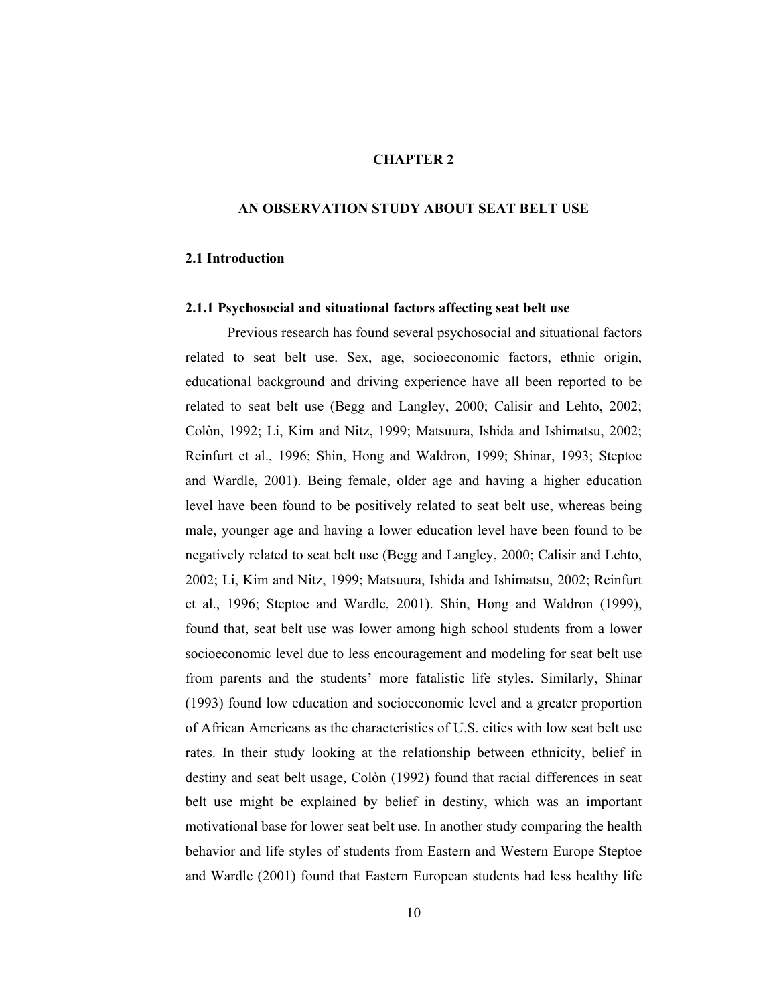### CHAPTER 2

### AN OBSERVATION STUDY ABOUT SEAT BELT USE

### 2.1 Introduction

#### 2.1.1 Psychosocial and situational factors affecting seat belt use

Previous research has found several psychosocial and situational factors related to seat belt use. Sex, age, socioeconomic factors, ethnic origin, educational background and driving experience have all been reported to be related to seat belt use (Begg and Langley, 2000; Calisir and Lehto, 2002; Colòn, 1992; Li, Kim and Nitz, 1999; Matsuura, Ishida and Ishimatsu, 2002; Reinfurt et al., 1996; Shin, Hong and Waldron, 1999; Shinar, 1993; Steptoe and Wardle, 2001). Being female, older age and having a higher education level have been found to be positively related to seat belt use, whereas being male, younger age and having a lower education level have been found to be negatively related to seat belt use (Begg and Langley, 2000; Calisir and Lehto, 2002; Li, Kim and Nitz, 1999; Matsuura, Ishida and Ishimatsu, 2002; Reinfurt et al., 1996; Steptoe and Wardle, 2001). Shin, Hong and Waldron (1999), found that, seat belt use was lower among high school students from a lower socioeconomic level due to less encouragement and modeling for seat belt use from parents and the students' more fatalistic life styles. Similarly, Shinar (1993) found low education and socioeconomic level and a greater proportion of African Americans as the characteristics of U.S. cities with low seat belt use rates. In their study looking at the relationship between ethnicity, belief in destiny and seat belt usage, Colòn (1992) found that racial differences in seat belt use might be explained by belief in destiny, which was an important motivational base for lower seat belt use. In another study comparing the health behavior and life styles of students from Eastern and Western Europe Steptoe and Wardle (2001) found that Eastern European students had less healthy life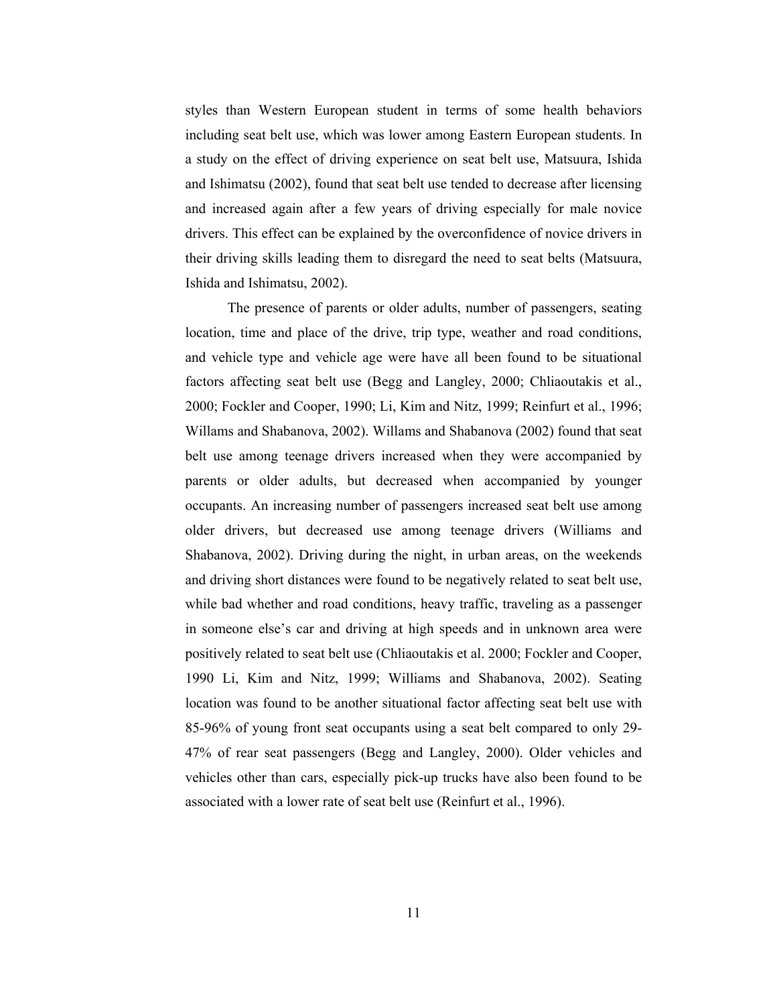styles than Western European student in terms of some health behaviors including seat belt use, which was lower among Eastern European students. In a study on the effect of driving experience on seat belt use, Matsuura, Ishida and Ishimatsu (2002), found that seat belt use tended to decrease after licensing and increased again after a few years of driving especially for male novice drivers. This effect can be explained by the overconfidence of novice drivers in their driving skills leading them to disregard the need to seat belts (Matsuura, Ishida and Ishimatsu, 2002).

The presence of parents or older adults, number of passengers, seating location, time and place of the drive, trip type, weather and road conditions, and vehicle type and vehicle age were have all been found to be situational factors affecting seat belt use (Begg and Langley, 2000; Chliaoutakis et al., 2000; Fockler and Cooper, 1990; Li, Kim and Nitz, 1999; Reinfurt et al., 1996; Willams and Shabanova, 2002). Willams and Shabanova (2002) found that seat belt use among teenage drivers increased when they were accompanied by parents or older adults, but decreased when accompanied by younger occupants. An increasing number of passengers increased seat belt use among older drivers, but decreased use among teenage drivers (Williams and Shabanova, 2002). Driving during the night, in urban areas, on the weekends and driving short distances were found to be negatively related to seat belt use, while bad whether and road conditions, heavy traffic, traveling as a passenger in someone else's car and driving at high speeds and in unknown area were positively related to seat belt use (Chliaoutakis et al. 2000; Fockler and Cooper, 1990 Li, Kim and Nitz, 1999; Williams and Shabanova, 2002). Seating location was found to be another situational factor affecting seat belt use with 85-96% of young front seat occupants using a seat belt compared to only 29- 47% of rear seat passengers (Begg and Langley, 2000). Older vehicles and vehicles other than cars, especially pick-up trucks have also been found to be associated with a lower rate of seat belt use (Reinfurt et al., 1996).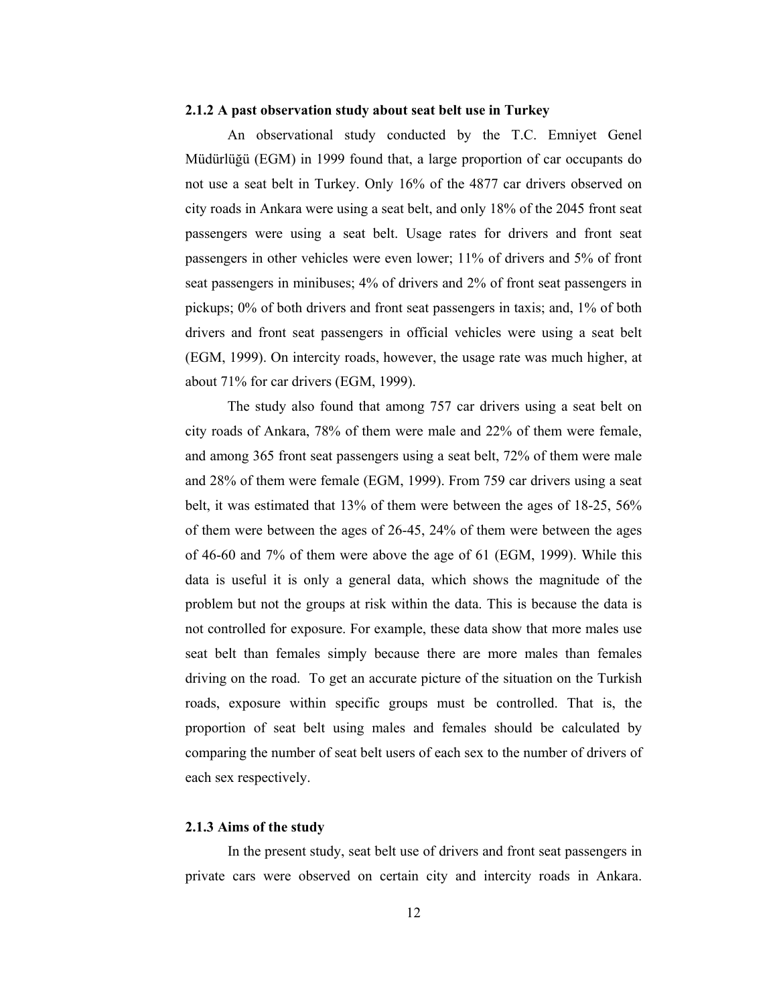#### 2.1.2 A past observation study about seat belt use in Turkey

An observational study conducted by the T.C. Emniyet Genel Müdürlüğü (EGM) in 1999 found that, a large proportion of car occupants do not use a seat belt in Turkey. Only 16% of the 4877 car drivers observed on city roads in Ankara were using a seat belt, and only 18% of the 2045 front seat passengers were using a seat belt. Usage rates for drivers and front seat passengers in other vehicles were even lower; 11% of drivers and 5% of front seat passengers in minibuses; 4% of drivers and 2% of front seat passengers in pickups; 0% of both drivers and front seat passengers in taxis; and, 1% of both drivers and front seat passengers in official vehicles were using a seat belt (EGM, 1999). On intercity roads, however, the usage rate was much higher, at about 71% for car drivers (EGM, 1999).

The study also found that among 757 car drivers using a seat belt on city roads of Ankara, 78% of them were male and 22% of them were female, and among 365 front seat passengers using a seat belt, 72% of them were male and 28% of them were female (EGM, 1999). From 759 car drivers using a seat belt, it was estimated that 13% of them were between the ages of 18-25, 56% of them were between the ages of 26-45, 24% of them were between the ages of 46-60 and 7% of them were above the age of 61 (EGM, 1999). While this data is useful it is only a general data, which shows the magnitude of the problem but not the groups at risk within the data. This is because the data is not controlled for exposure. For example, these data show that more males use seat belt than females simply because there are more males than females driving on the road. To get an accurate picture of the situation on the Turkish roads, exposure within specific groups must be controlled. That is, the proportion of seat belt using males and females should be calculated by comparing the number of seat belt users of each sex to the number of drivers of each sex respectively.

### 2.1.3 Aims of the study

In the present study, seat belt use of drivers and front seat passengers in private cars were observed on certain city and intercity roads in Ankara.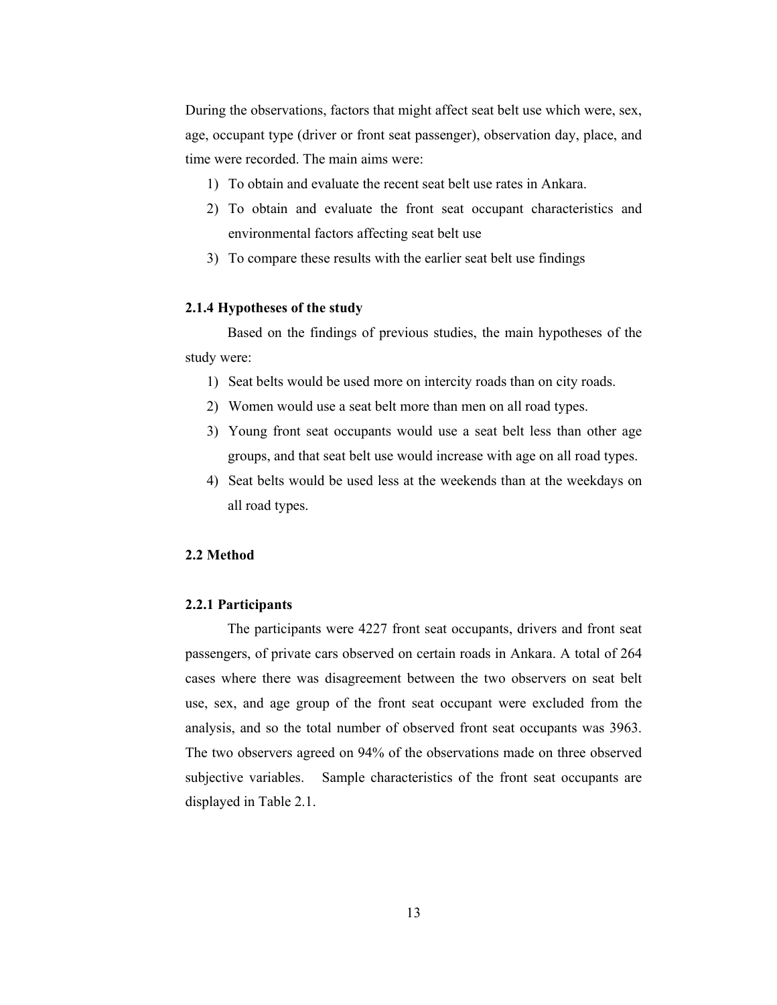During the observations, factors that might affect seat belt use which were, sex, age, occupant type (driver or front seat passenger), observation day, place, and time were recorded. The main aims were:

- 1) To obtain and evaluate the recent seat belt use rates in Ankara.
- 2) To obtain and evaluate the front seat occupant characteristics and environmental factors affecting seat belt use
- 3) To compare these results with the earlier seat belt use findings

### 2.1.4 Hypotheses of the study

 Based on the findings of previous studies, the main hypotheses of the study were:

- 1) Seat belts would be used more on intercity roads than on city roads.
- 2) Women would use a seat belt more than men on all road types.
- 3) Young front seat occupants would use a seat belt less than other age groups, and that seat belt use would increase with age on all road types.
- 4) Seat belts would be used less at the weekends than at the weekdays on all road types.

## 2.2 Method

### 2.2.1 Participants

The participants were 4227 front seat occupants, drivers and front seat passengers, of private cars observed on certain roads in Ankara. A total of 264 cases where there was disagreement between the two observers on seat belt use, sex, and age group of the front seat occupant were excluded from the analysis, and so the total number of observed front seat occupants was 3963. The two observers agreed on 94% of the observations made on three observed subjective variables. Sample characteristics of the front seat occupants are displayed in Table 2.1.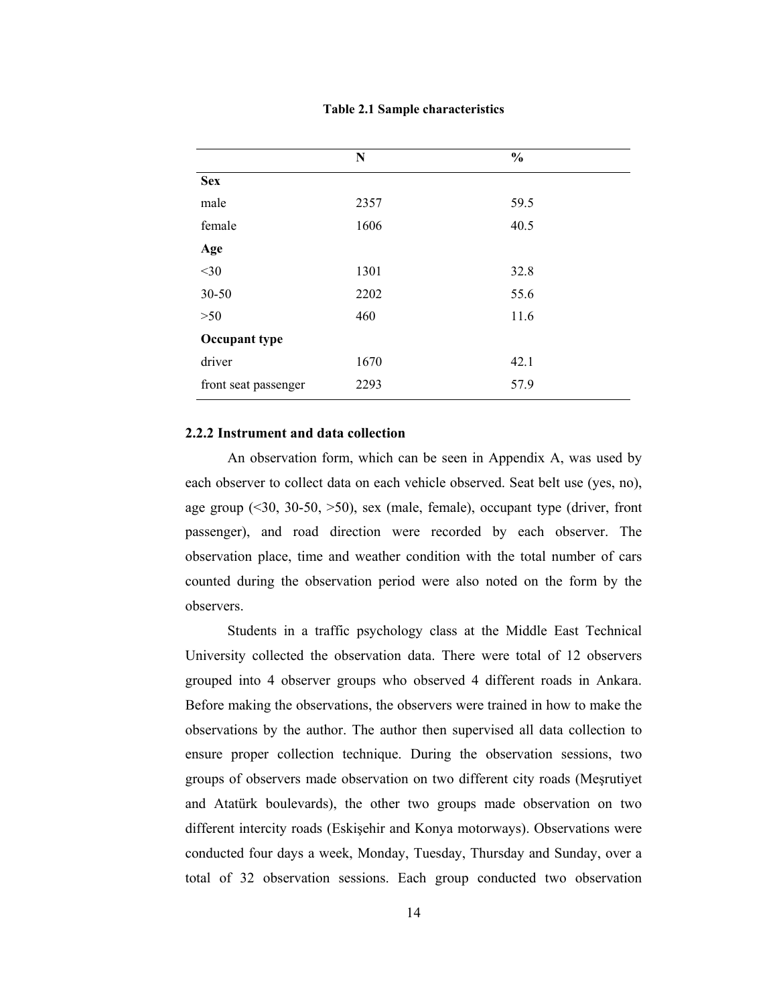|  |  | <b>Table 2.1 Sample characteristics</b> |
|--|--|-----------------------------------------|
|--|--|-----------------------------------------|

|                      | N    | $\frac{0}{0}$ |  |
|----------------------|------|---------------|--|
| <b>Sex</b>           |      |               |  |
| male                 | 2357 | 59.5          |  |
| female               | 1606 | 40.5          |  |
| Age                  |      |               |  |
| $<$ 30               | 1301 | 32.8          |  |
| 30-50                | 2202 | 55.6          |  |
| >50                  | 460  | 11.6          |  |
| Occupant type        |      |               |  |
| driver               | 1670 | 42.1          |  |
| front seat passenger | 2293 | 57.9          |  |

## 2.2.2 Instrument and data collection

An observation form, which can be seen in Appendix A, was used by each observer to collect data on each vehicle observed. Seat belt use (yes, no), age group  $(30, 30-50, 50)$ , sex (male, female), occupant type (driver, front passenger), and road direction were recorded by each observer. The observation place, time and weather condition with the total number of cars counted during the observation period were also noted on the form by the observers.

Students in a traffic psychology class at the Middle East Technical University collected the observation data. There were total of 12 observers grouped into 4 observer groups who observed 4 different roads in Ankara. Before making the observations, the observers were trained in how to make the observations by the author. The author then supervised all data collection to ensure proper collection technique. During the observation sessions, two groups of observers made observation on two different city roads (Meşrutiyet and Atatürk boulevards), the other two groups made observation on two different intercity roads (Eskişehir and Konya motorways). Observations were conducted four days a week, Monday, Tuesday, Thursday and Sunday, over a total of 32 observation sessions. Each group conducted two observation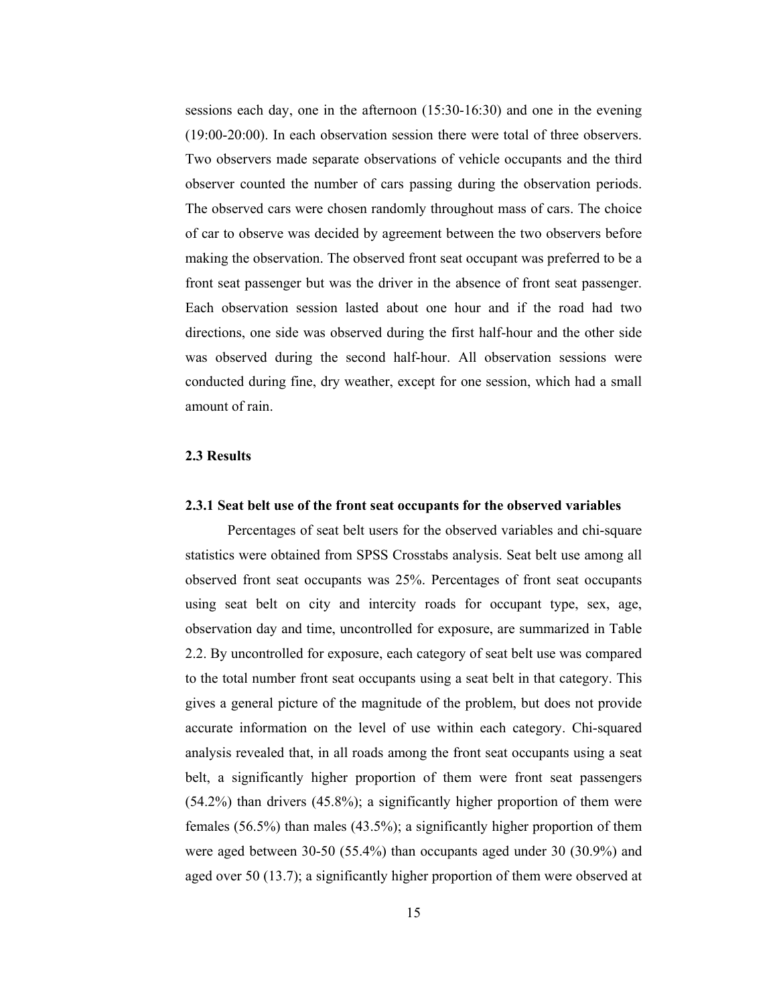sessions each day, one in the afternoon (15:30-16:30) and one in the evening (19:00-20:00). In each observation session there were total of three observers. Two observers made separate observations of vehicle occupants and the third observer counted the number of cars passing during the observation periods. The observed cars were chosen randomly throughout mass of cars. The choice of car to observe was decided by agreement between the two observers before making the observation. The observed front seat occupant was preferred to be a front seat passenger but was the driver in the absence of front seat passenger. Each observation session lasted about one hour and if the road had two directions, one side was observed during the first half-hour and the other side was observed during the second half-hour. All observation sessions were conducted during fine, dry weather, except for one session, which had a small amount of rain.

### 2.3 Results

#### 2.3.1 Seat belt use of the front seat occupants for the observed variables

Percentages of seat belt users for the observed variables and chi-square statistics were obtained from SPSS Crosstabs analysis. Seat belt use among all observed front seat occupants was 25%. Percentages of front seat occupants using seat belt on city and intercity roads for occupant type, sex, age, observation day and time, uncontrolled for exposure, are summarized in Table 2.2. By uncontrolled for exposure, each category of seat belt use was compared to the total number front seat occupants using a seat belt in that category. This gives a general picture of the magnitude of the problem, but does not provide accurate information on the level of use within each category. Chi-squared analysis revealed that, in all roads among the front seat occupants using a seat belt, a significantly higher proportion of them were front seat passengers (54.2%) than drivers (45.8%); a significantly higher proportion of them were females (56.5%) than males (43.5%); a significantly higher proportion of them were aged between 30-50 (55.4%) than occupants aged under 30 (30.9%) and aged over 50 (13.7); a significantly higher proportion of them were observed at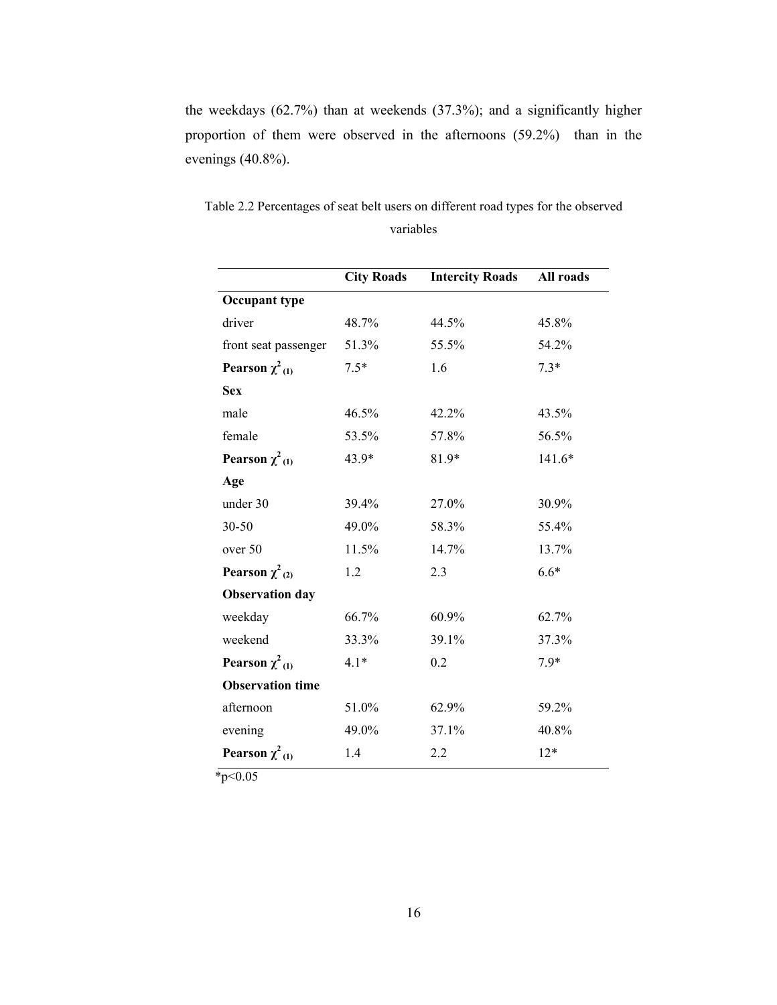the weekdays (62.7%) than at weekends (37.3%); and a significantly higher proportion of them were observed in the afternoons (59.2%) than in the evenings (40.8%).

|                                 | <b>City Roads</b> | <b>Intercity Roads</b> | All roads |
|---------------------------------|-------------------|------------------------|-----------|
| <b>Occupant type</b>            |                   |                        |           |
| driver                          | 48.7%             | 44.5%                  | 45.8%     |
| front seat passenger            | 51.3%             | 55.5%                  | 54.2%     |
| Pearson $\chi^2$ <sub>(1)</sub> | $7.5*$            | 1.6                    | $7.3*$    |
| <b>Sex</b>                      |                   |                        |           |
| male                            | 46.5%             | 42.2%                  | 43.5%     |
| female                          | 53.5%             | 57.8%                  | 56.5%     |
| Pearson $\chi^2$ <sub>(1)</sub> | 43.9*             | 81.9*                  | $141.6*$  |
| Age                             |                   |                        |           |
| under 30                        | 39.4%             | 27.0%                  | 30.9%     |
| 30-50                           | 49.0%             | 58.3%                  | 55.4%     |
| over 50                         | 11.5%             | 14.7%                  | 13.7%     |
| Pearson $\chi^2_{(2)}$          | 1.2               | 2.3                    | $6.6*$    |
| <b>Observation day</b>          |                   |                        |           |
| weekday                         | 66.7%             | 60.9%                  | 62.7%     |
| weekend                         | 33.3%             | 39.1%                  | 37.3%     |
| Pearson $\chi^2$ <sub>(1)</sub> | $4.1*$            | 0.2                    | 7.9*      |
| <b>Observation time</b>         |                   |                        |           |
| afternoon                       | 51.0%             | 62.9%                  | 59.2%     |
| evening                         | 49.0%             | 37.1%                  | 40.8%     |
| Pearson $\chi^2$ <sub>(1)</sub> | 1.4               | 2.2                    | $12*$     |

Table 2.2 Percentages of seat belt users on different road types for the observed variables

 $*_{p<0.05}$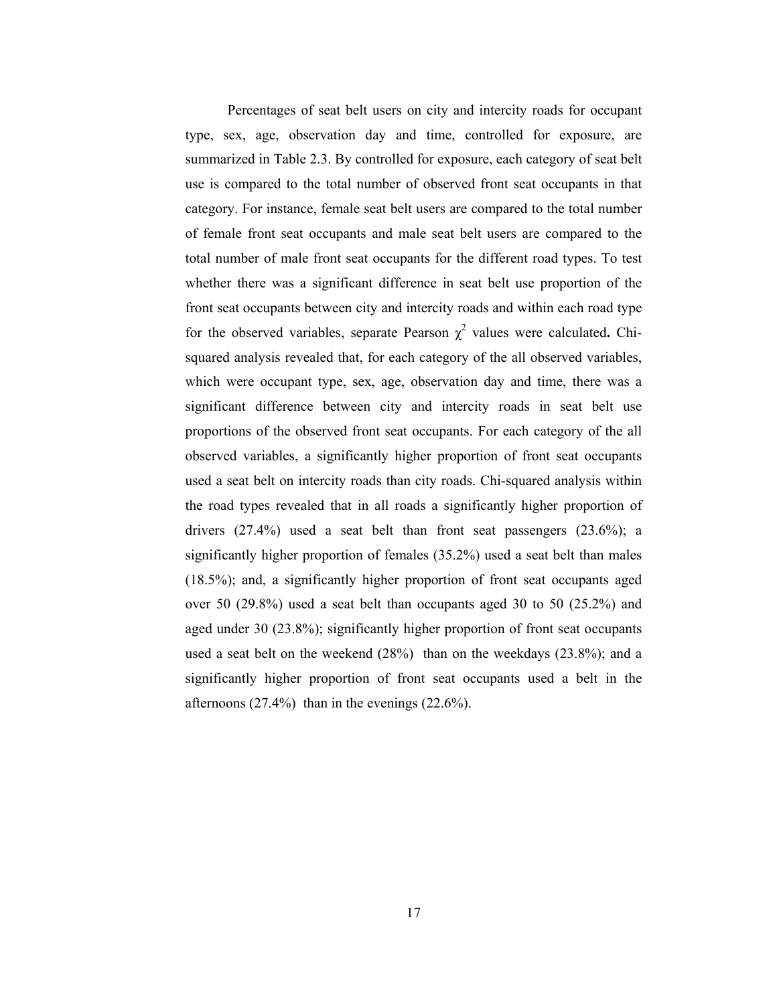Percentages of seat belt users on city and intercity roads for occupant type, sex, age, observation day and time, controlled for exposure, are summarized in Table 2.3. By controlled for exposure, each category of seat belt use is compared to the total number of observed front seat occupants in that category. For instance, female seat belt users are compared to the total number of female front seat occupants and male seat belt users are compared to the total number of male front seat occupants for the different road types. To test whether there was a significant difference in seat belt use proportion of the front seat occupants between city and intercity roads and within each road type for the observed variables, separate Pearson  $\chi^2$  values were calculated. Chisquared analysis revealed that, for each category of the all observed variables, which were occupant type, sex, age, observation day and time, there was a significant difference between city and intercity roads in seat belt use proportions of the observed front seat occupants. For each category of the all observed variables, a significantly higher proportion of front seat occupants used a seat belt on intercity roads than city roads. Chi-squared analysis within the road types revealed that in all roads a significantly higher proportion of drivers (27.4%) used a seat belt than front seat passengers (23.6%); a significantly higher proportion of females (35.2%) used a seat belt than males (18.5%); and, a significantly higher proportion of front seat occupants aged over 50 (29.8%) used a seat belt than occupants aged 30 to 50 (25.2%) and aged under 30 (23.8%); significantly higher proportion of front seat occupants used a seat belt on the weekend (28%) than on the weekdays (23.8%); and a significantly higher proportion of front seat occupants used a belt in the afternoons  $(27.4\%)$  than in the evenings  $(22.6\%)$ .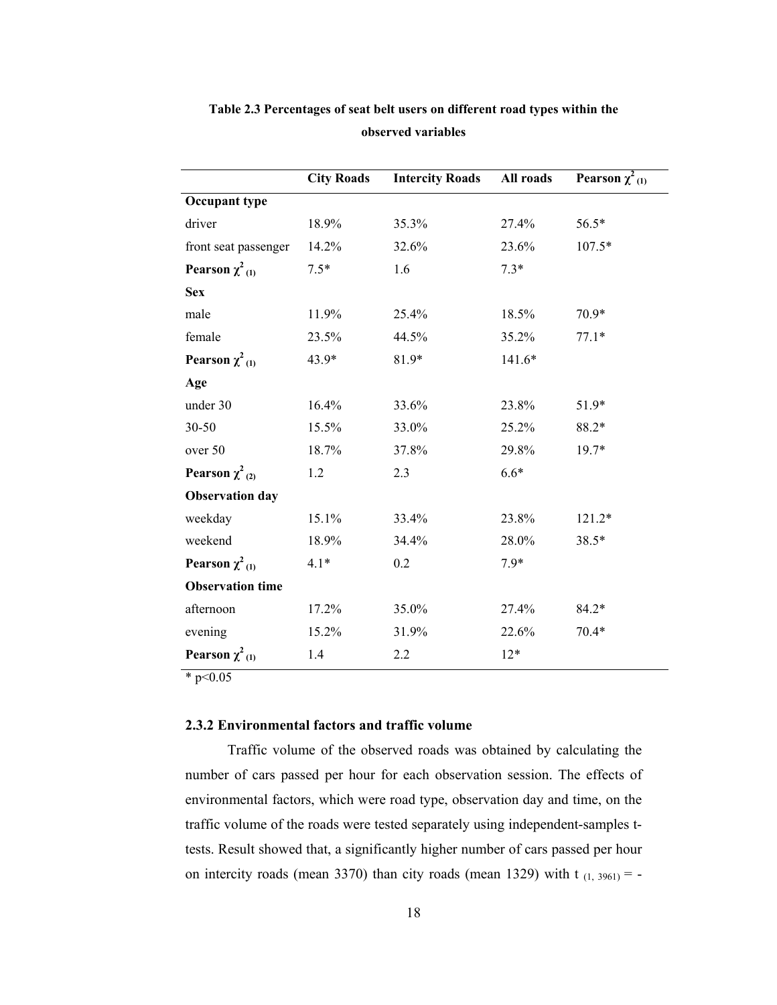|                                 | <b>City Roads</b> | <b>Intercity Roads</b> | All roads | Pearson $\chi^2$ <sub>(1)</sub> |
|---------------------------------|-------------------|------------------------|-----------|---------------------------------|
| <b>Occupant type</b>            |                   |                        |           |                                 |
| driver                          | 18.9%             | 35.3%                  | 27.4%     | 56.5*                           |
| front seat passenger            | 14.2%             | 32.6%                  | 23.6%     | $107.5*$                        |
| Pearson $\chi^2$ <sub>(1)</sub> | $7.5*$            | 1.6                    | $7.3*$    |                                 |
| <b>Sex</b>                      |                   |                        |           |                                 |
| male                            | 11.9%             | 25.4%                  | 18.5%     | 70.9*                           |
| female                          | 23.5%             | 44.5%                  | 35.2%     | $77.1*$                         |
| Pearson $\chi^2$ <sub>(1)</sub> | 43.9*             | 81.9*                  | $141.6*$  |                                 |
| Age                             |                   |                        |           |                                 |
| under 30                        | 16.4%             | 33.6%                  | 23.8%     | 51.9*                           |
| 30-50                           | 15.5%             | 33.0%                  | 25.2%     | 88.2*                           |
| over 50                         | 18.7%             | 37.8%                  | 29.8%     | 19.7*                           |
| Pearson $\chi^2$ (2)            | 1.2               | 2.3                    | $6.6*$    |                                 |
| <b>Observation day</b>          |                   |                        |           |                                 |
| weekday                         | 15.1%             | 33.4%                  | 23.8%     | 121.2*                          |
| weekend                         | 18.9%             | 34.4%                  | 28.0%     | 38.5*                           |
| Pearson $\chi^2$ <sub>(1)</sub> | $4.1*$            | 0.2                    | $7.9*$    |                                 |
| <b>Observation time</b>         |                   |                        |           |                                 |
| afternoon                       | 17.2%             | 35.0%                  | 27.4%     | 84.2*                           |
| evening                         | 15.2%             | 31.9%                  | 22.6%     | $70.4*$                         |
| Pearson $\chi^2$ <sub>(1)</sub> | 1.4               | 2.2                    | $12*$     |                                 |

# Table 2.3 Percentages of seat belt users on different road types within the observed variables

 $*$  p<0.05

## 2.3.2 Environmental factors and traffic volume

Traffic volume of the observed roads was obtained by calculating the number of cars passed per hour for each observation session. The effects of environmental factors, which were road type, observation day and time, on the traffic volume of the roads were tested separately using independent-samples ttests. Result showed that, a significantly higher number of cars passed per hour on intercity roads (mean 3370) than city roads (mean 1329) with  $t_{(1, 3961)} = -$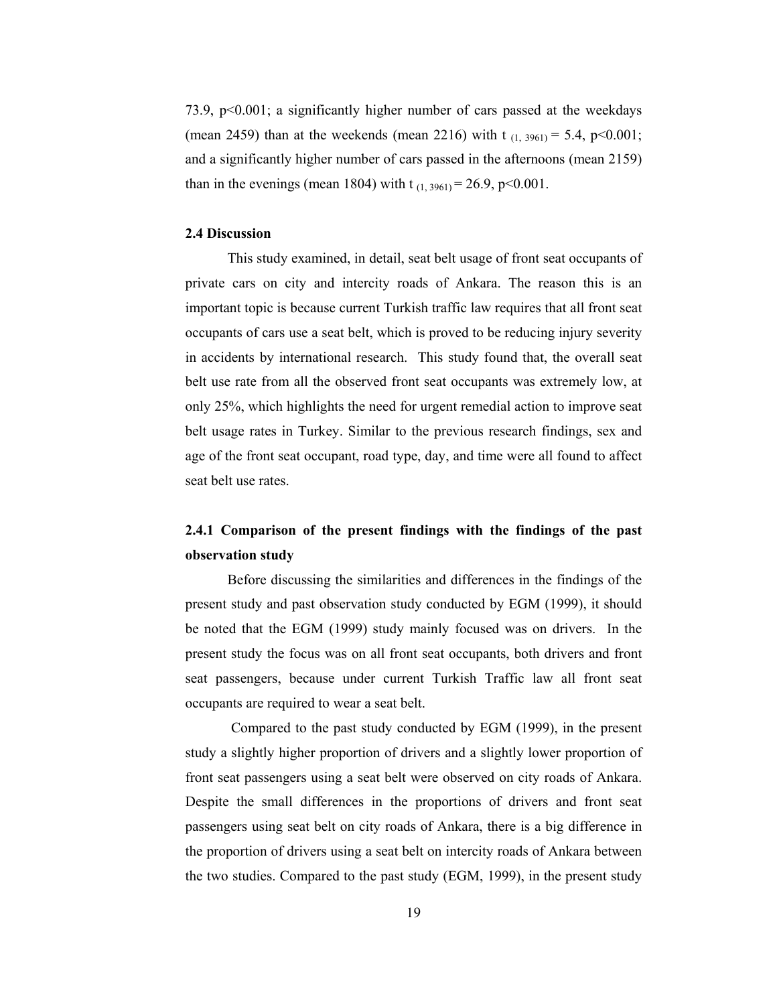73.9, p<0.001; a significantly higher number of cars passed at the weekdays (mean 2459) than at the weekends (mean 2216) with t  $_{(1, 3961)} = 5.4$ , p<0.001; and a significantly higher number of cars passed in the afternoons (mean 2159) than in the evenings (mean 1804) with t  $_{(1, 3961)} = 26.9$ , p<0.001.

## 2.4 Discussion

This study examined, in detail, seat belt usage of front seat occupants of private cars on city and intercity roads of Ankara. The reason this is an important topic is because current Turkish traffic law requires that all front seat occupants of cars use a seat belt, which is proved to be reducing injury severity in accidents by international research. This study found that, the overall seat belt use rate from all the observed front seat occupants was extremely low, at only 25%, which highlights the need for urgent remedial action to improve seat belt usage rates in Turkey. Similar to the previous research findings, sex and age of the front seat occupant, road type, day, and time were all found to affect seat belt use rates.

# 2.4.1 Comparison of the present findings with the findings of the past observation study

Before discussing the similarities and differences in the findings of the present study and past observation study conducted by EGM (1999), it should be noted that the EGM (1999) study mainly focused was on drivers. In the present study the focus was on all front seat occupants, both drivers and front seat passengers, because under current Turkish Traffic law all front seat occupants are required to wear a seat belt.

 Compared to the past study conducted by EGM (1999), in the present study a slightly higher proportion of drivers and a slightly lower proportion of front seat passengers using a seat belt were observed on city roads of Ankara. Despite the small differences in the proportions of drivers and front seat passengers using seat belt on city roads of Ankara, there is a big difference in the proportion of drivers using a seat belt on intercity roads of Ankara between the two studies. Compared to the past study (EGM, 1999), in the present study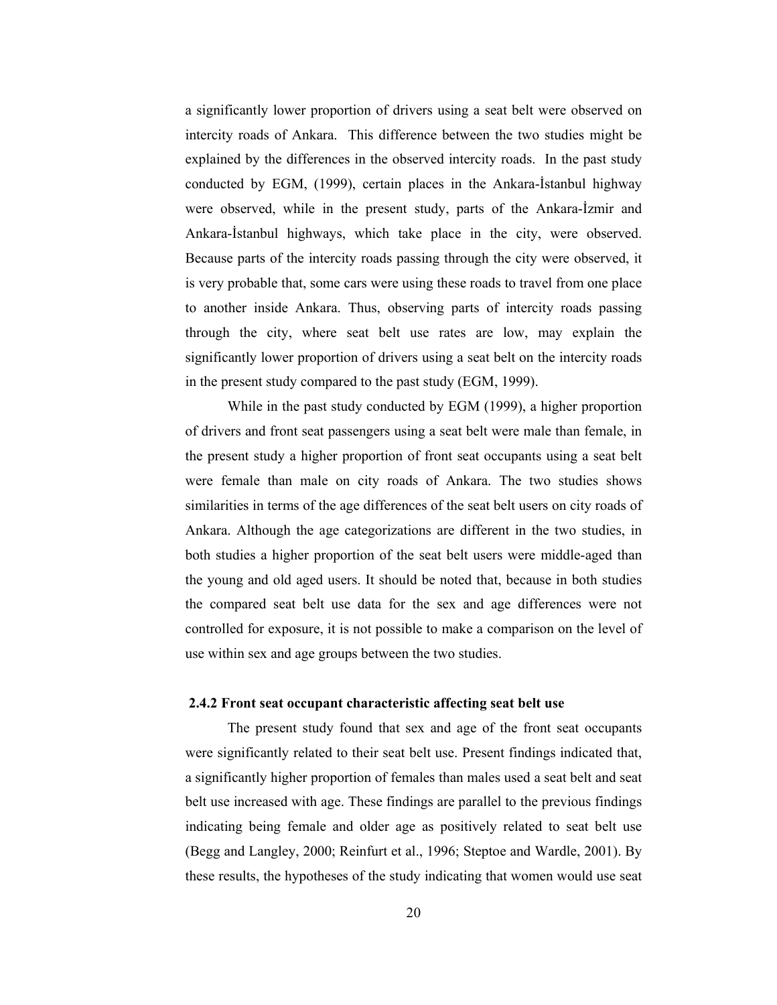a significantly lower proportion of drivers using a seat belt were observed on intercity roads of Ankara. This difference between the two studies might be explained by the differences in the observed intercity roads. In the past study conducted by EGM, (1999), certain places in the Ankara-İstanbul highway were observed, while in the present study, parts of the Ankara-İzmir and Ankara-İstanbul highways, which take place in the city, were observed. Because parts of the intercity roads passing through the city were observed, it is very probable that, some cars were using these roads to travel from one place to another inside Ankara. Thus, observing parts of intercity roads passing through the city, where seat belt use rates are low, may explain the significantly lower proportion of drivers using a seat belt on the intercity roads in the present study compared to the past study (EGM, 1999).

While in the past study conducted by EGM (1999), a higher proportion of drivers and front seat passengers using a seat belt were male than female, in the present study a higher proportion of front seat occupants using a seat belt were female than male on city roads of Ankara. The two studies shows similarities in terms of the age differences of the seat belt users on city roads of Ankara. Although the age categorizations are different in the two studies, in both studies a higher proportion of the seat belt users were middle-aged than the young and old aged users. It should be noted that, because in both studies the compared seat belt use data for the sex and age differences were not controlled for exposure, it is not possible to make a comparison on the level of use within sex and age groups between the two studies.

### 2.4.2 Front seat occupant characteristic affecting seat belt use

The present study found that sex and age of the front seat occupants were significantly related to their seat belt use. Present findings indicated that, a significantly higher proportion of females than males used a seat belt and seat belt use increased with age. These findings are parallel to the previous findings indicating being female and older age as positively related to seat belt use (Begg and Langley, 2000; Reinfurt et al., 1996; Steptoe and Wardle, 2001). By these results, the hypotheses of the study indicating that women would use seat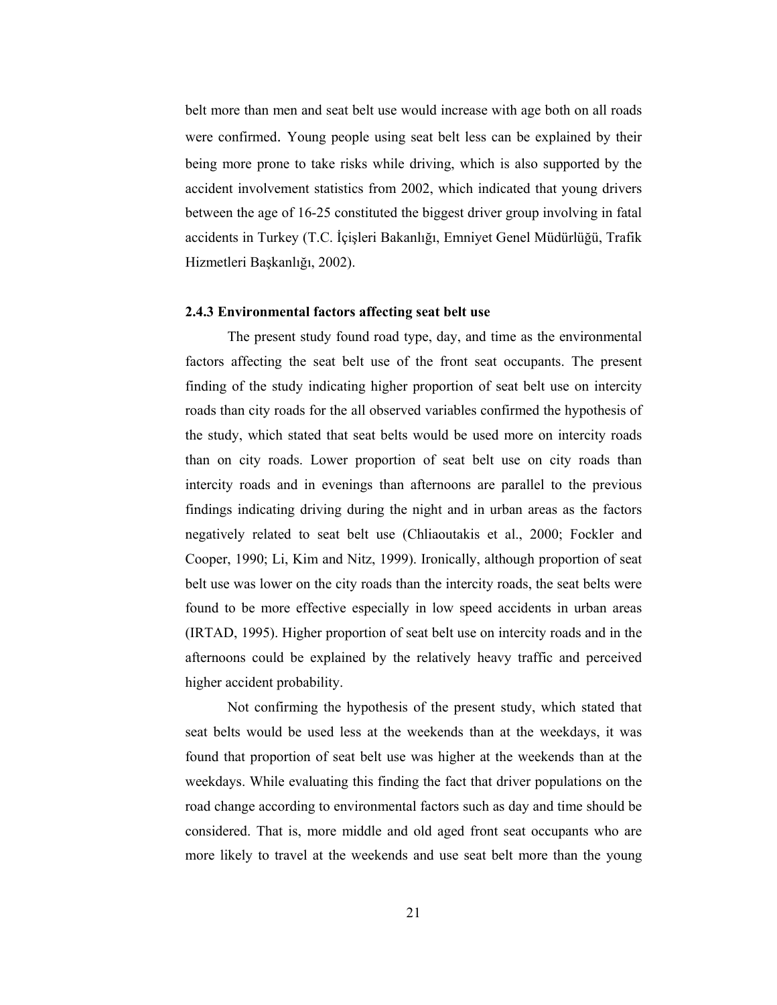belt more than men and seat belt use would increase with age both on all roads were confirmed. Young people using seat belt less can be explained by their being more prone to take risks while driving, which is also supported by the accident involvement statistics from 2002, which indicated that young drivers between the age of 16-25 constituted the biggest driver group involving in fatal accidents in Turkey (T.C. İçişleri Bakanlığı, Emniyet Genel Müdürlüğü, Trafik Hizmetleri Başkanlığı, 2002).

#### 2.4.3 Environmental factors affecting seat belt use

The present study found road type, day, and time as the environmental factors affecting the seat belt use of the front seat occupants. The present finding of the study indicating higher proportion of seat belt use on intercity roads than city roads for the all observed variables confirmed the hypothesis of the study, which stated that seat belts would be used more on intercity roads than on city roads. Lower proportion of seat belt use on city roads than intercity roads and in evenings than afternoons are parallel to the previous findings indicating driving during the night and in urban areas as the factors negatively related to seat belt use (Chliaoutakis et al., 2000; Fockler and Cooper, 1990; Li, Kim and Nitz, 1999). Ironically, although proportion of seat belt use was lower on the city roads than the intercity roads, the seat belts were found to be more effective especially in low speed accidents in urban areas (IRTAD, 1995). Higher proportion of seat belt use on intercity roads and in the afternoons could be explained by the relatively heavy traffic and perceived higher accident probability.

Not confirming the hypothesis of the present study, which stated that seat belts would be used less at the weekends than at the weekdays, it was found that proportion of seat belt use was higher at the weekends than at the weekdays. While evaluating this finding the fact that driver populations on the road change according to environmental factors such as day and time should be considered. That is, more middle and old aged front seat occupants who are more likely to travel at the weekends and use seat belt more than the young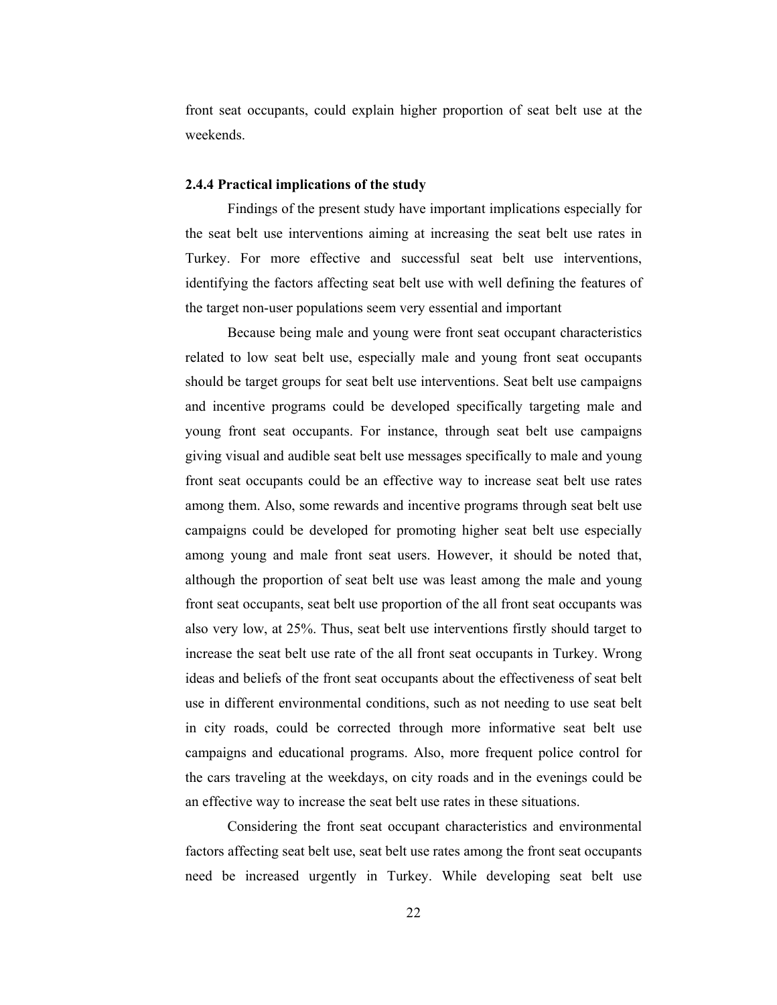front seat occupants, could explain higher proportion of seat belt use at the weekends.

## 2.4.4 Practical implications of the study

Findings of the present study have important implications especially for the seat belt use interventions aiming at increasing the seat belt use rates in Turkey. For more effective and successful seat belt use interventions, identifying the factors affecting seat belt use with well defining the features of the target non-user populations seem very essential and important

Because being male and young were front seat occupant characteristics related to low seat belt use, especially male and young front seat occupants should be target groups for seat belt use interventions. Seat belt use campaigns and incentive programs could be developed specifically targeting male and young front seat occupants. For instance, through seat belt use campaigns giving visual and audible seat belt use messages specifically to male and young front seat occupants could be an effective way to increase seat belt use rates among them. Also, some rewards and incentive programs through seat belt use campaigns could be developed for promoting higher seat belt use especially among young and male front seat users. However, it should be noted that, although the proportion of seat belt use was least among the male and young front seat occupants, seat belt use proportion of the all front seat occupants was also very low, at 25%. Thus, seat belt use interventions firstly should target to increase the seat belt use rate of the all front seat occupants in Turkey. Wrong ideas and beliefs of the front seat occupants about the effectiveness of seat belt use in different environmental conditions, such as not needing to use seat belt in city roads, could be corrected through more informative seat belt use campaigns and educational programs. Also, more frequent police control for the cars traveling at the weekdays, on city roads and in the evenings could be an effective way to increase the seat belt use rates in these situations.

Considering the front seat occupant characteristics and environmental factors affecting seat belt use, seat belt use rates among the front seat occupants need be increased urgently in Turkey. While developing seat belt use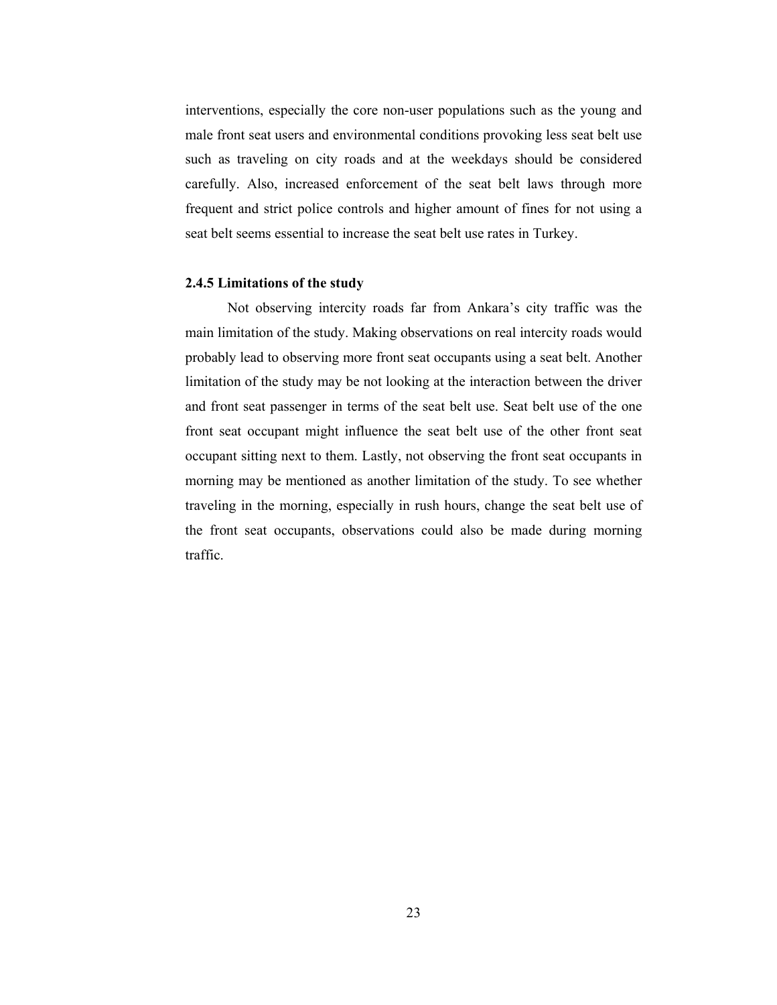interventions, especially the core non-user populations such as the young and male front seat users and environmental conditions provoking less seat belt use such as traveling on city roads and at the weekdays should be considered carefully. Also, increased enforcement of the seat belt laws through more frequent and strict police controls and higher amount of fines for not using a seat belt seems essential to increase the seat belt use rates in Turkey.

## 2.4.5 Limitations of the study

 Not observing intercity roads far from Ankara's city traffic was the main limitation of the study. Making observations on real intercity roads would probably lead to observing more front seat occupants using a seat belt. Another limitation of the study may be not looking at the interaction between the driver and front seat passenger in terms of the seat belt use. Seat belt use of the one front seat occupant might influence the seat belt use of the other front seat occupant sitting next to them. Lastly, not observing the front seat occupants in morning may be mentioned as another limitation of the study. To see whether traveling in the morning, especially in rush hours, change the seat belt use of the front seat occupants, observations could also be made during morning traffic.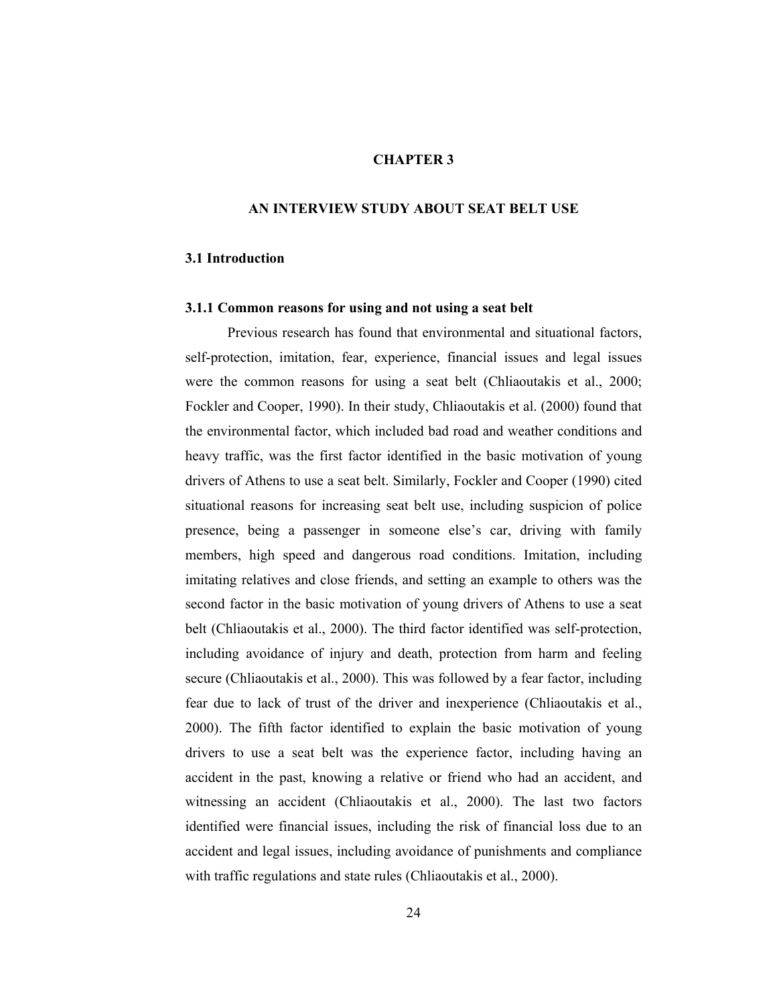## CHAPTER 3

## AN INTERVIEW STUDY ABOUT SEAT BELT USE

## 3.1 Introduction

#### 3.1.1 Common reasons for using and not using a seat belt

 Previous research has found that environmental and situational factors, self-protection, imitation, fear, experience, financial issues and legal issues were the common reasons for using a seat belt (Chliaoutakis et al., 2000; Fockler and Cooper, 1990). In their study, Chliaoutakis et al. (2000) found that the environmental factor, which included bad road and weather conditions and heavy traffic, was the first factor identified in the basic motivation of young drivers of Athens to use a seat belt. Similarly, Fockler and Cooper (1990) cited situational reasons for increasing seat belt use, including suspicion of police presence, being a passenger in someone else's car, driving with family members, high speed and dangerous road conditions. Imitation, including imitating relatives and close friends, and setting an example to others was the second factor in the basic motivation of young drivers of Athens to use a seat belt (Chliaoutakis et al., 2000). The third factor identified was self-protection, including avoidance of injury and death, protection from harm and feeling secure (Chliaoutakis et al., 2000). This was followed by a fear factor, including fear due to lack of trust of the driver and inexperience (Chliaoutakis et al., 2000). The fifth factor identified to explain the basic motivation of young drivers to use a seat belt was the experience factor, including having an accident in the past, knowing a relative or friend who had an accident, and witnessing an accident (Chliaoutakis et al., 2000). The last two factors identified were financial issues, including the risk of financial loss due to an accident and legal issues, including avoidance of punishments and compliance with traffic regulations and state rules (Chliaoutakis et al., 2000).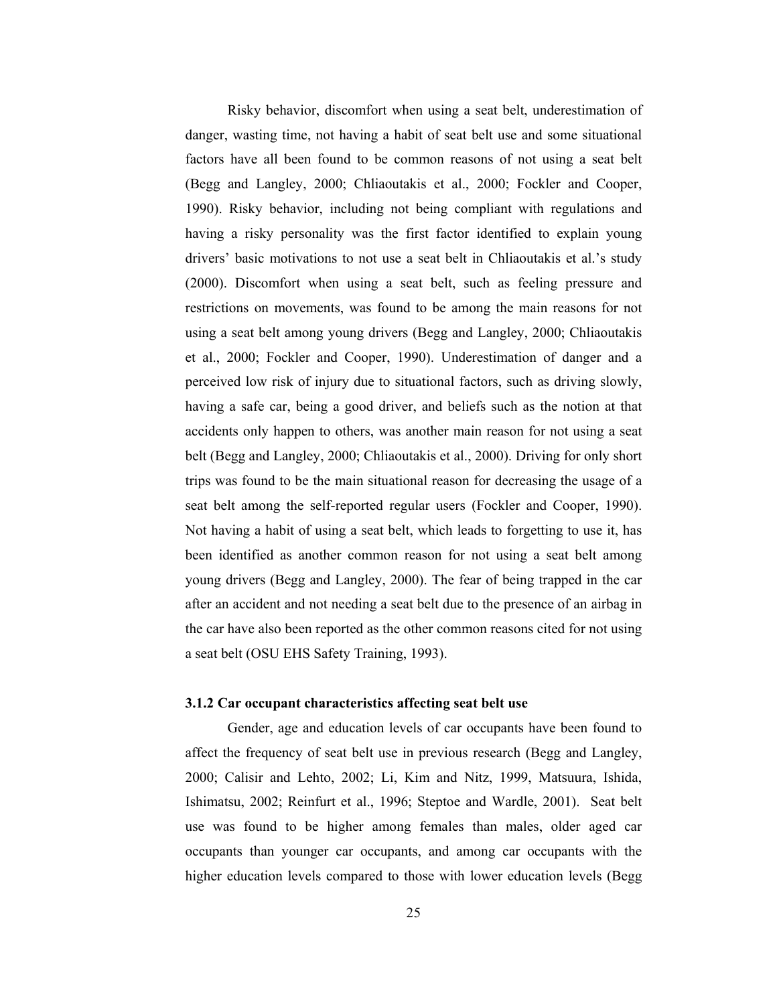Risky behavior, discomfort when using a seat belt, underestimation of danger, wasting time, not having a habit of seat belt use and some situational factors have all been found to be common reasons of not using a seat belt (Begg and Langley, 2000; Chliaoutakis et al., 2000; Fockler and Cooper, 1990). Risky behavior, including not being compliant with regulations and having a risky personality was the first factor identified to explain young drivers' basic motivations to not use a seat belt in Chliaoutakis et al.'s study (2000). Discomfort when using a seat belt, such as feeling pressure and restrictions on movements, was found to be among the main reasons for not using a seat belt among young drivers (Begg and Langley, 2000; Chliaoutakis et al., 2000; Fockler and Cooper, 1990). Underestimation of danger and a perceived low risk of injury due to situational factors, such as driving slowly, having a safe car, being a good driver, and beliefs such as the notion at that accidents only happen to others, was another main reason for not using a seat belt (Begg and Langley, 2000; Chliaoutakis et al., 2000). Driving for only short trips was found to be the main situational reason for decreasing the usage of a seat belt among the self-reported regular users (Fockler and Cooper, 1990). Not having a habit of using a seat belt, which leads to forgetting to use it, has been identified as another common reason for not using a seat belt among young drivers (Begg and Langley, 2000). The fear of being trapped in the car after an accident and not needing a seat belt due to the presence of an airbag in the car have also been reported as the other common reasons cited for not using a seat belt (OSU EHS Safety Training, 1993).

#### 3.1.2 Car occupant characteristics affecting seat belt use

 Gender, age and education levels of car occupants have been found to affect the frequency of seat belt use in previous research (Begg and Langley, 2000; Calisir and Lehto, 2002; Li, Kim and Nitz, 1999, Matsuura, Ishida, Ishimatsu, 2002; Reinfurt et al., 1996; Steptoe and Wardle, 2001). Seat belt use was found to be higher among females than males, older aged car occupants than younger car occupants, and among car occupants with the higher education levels compared to those with lower education levels (Begg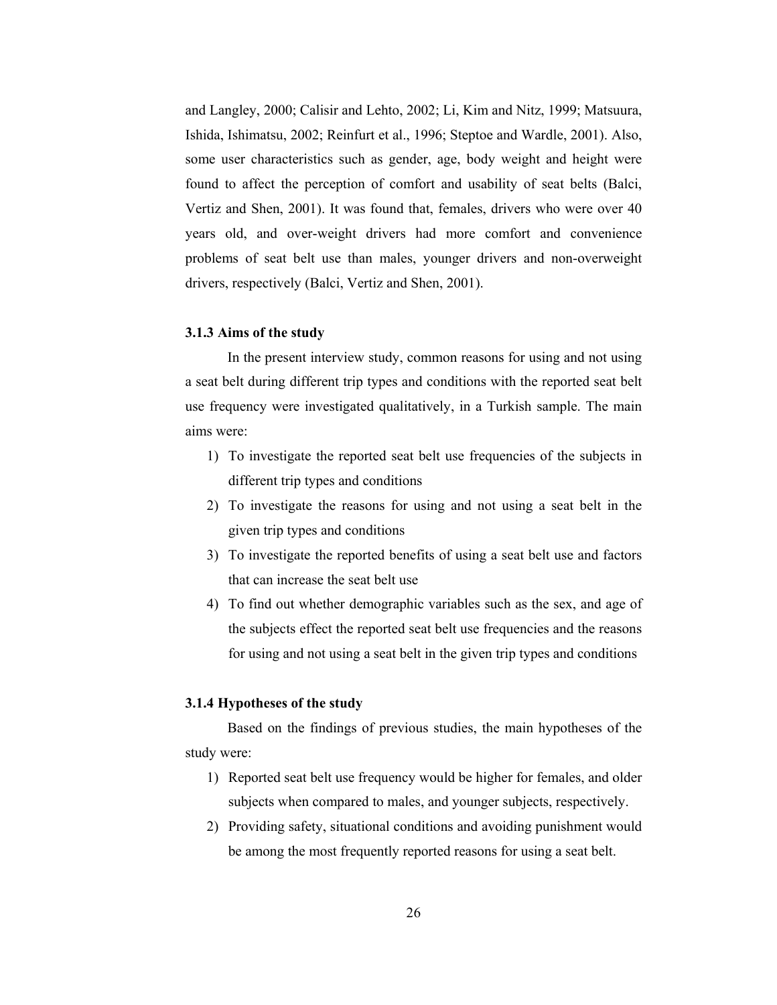and Langley, 2000; Calisir and Lehto, 2002; Li, Kim and Nitz, 1999; Matsuura, Ishida, Ishimatsu, 2002; Reinfurt et al., 1996; Steptoe and Wardle, 2001). Also, some user characteristics such as gender, age, body weight and height were found to affect the perception of comfort and usability of seat belts (Balci, Vertiz and Shen, 2001). It was found that, females, drivers who were over 40 years old, and over-weight drivers had more comfort and convenience problems of seat belt use than males, younger drivers and non-overweight drivers, respectively (Balci, Vertiz and Shen, 2001).

## 3.1.3 Aims of the study

 In the present interview study, common reasons for using and not using a seat belt during different trip types and conditions with the reported seat belt use frequency were investigated qualitatively, in a Turkish sample. The main aims were:

- 1) To investigate the reported seat belt use frequencies of the subjects in different trip types and conditions
- 2) To investigate the reasons for using and not using a seat belt in the given trip types and conditions
- 3) To investigate the reported benefits of using a seat belt use and factors that can increase the seat belt use
- 4) To find out whether demographic variables such as the sex, and age of the subjects effect the reported seat belt use frequencies and the reasons for using and not using a seat belt in the given trip types and conditions

## 3.1.4 Hypotheses of the study

Based on the findings of previous studies, the main hypotheses of the study were:

- 1) Reported seat belt use frequency would be higher for females, and older subjects when compared to males, and younger subjects, respectively.
- 2) Providing safety, situational conditions and avoiding punishment would be among the most frequently reported reasons for using a seat belt.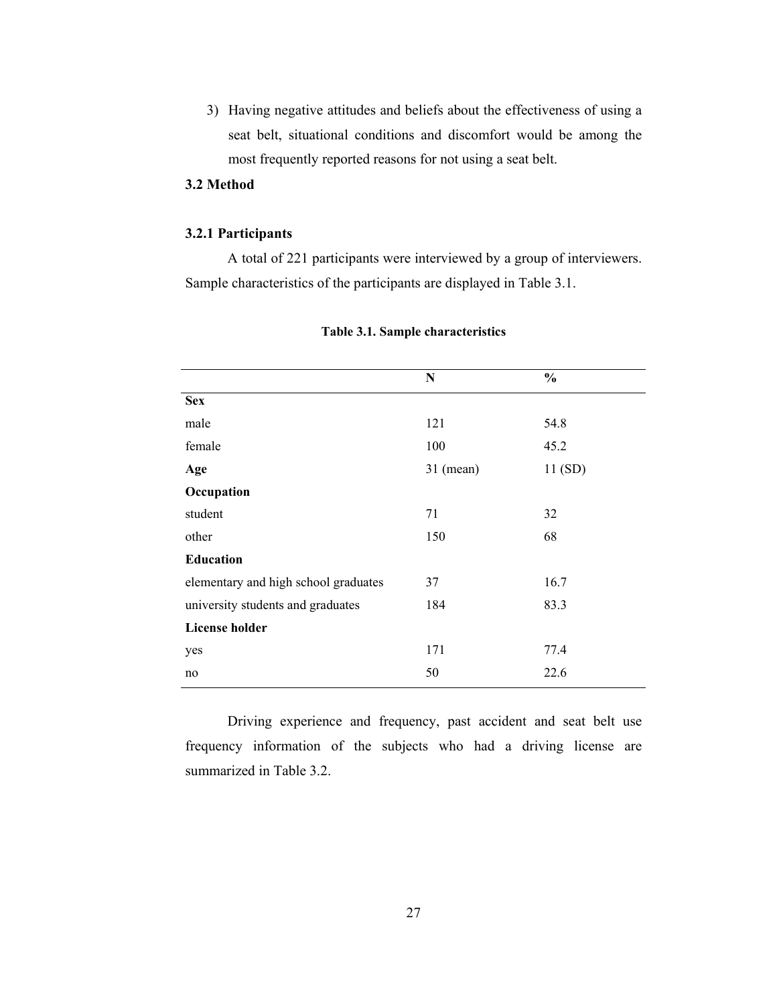3) Having negative attitudes and beliefs about the effectiveness of using a seat belt, situational conditions and discomfort would be among the most frequently reported reasons for not using a seat belt.

## 3.2 Method

## 3.2.1 Participants

 A total of 221 participants were interviewed by a group of interviewers. Sample characteristics of the participants are displayed in Table 3.1.

|                                      | ${\bf N}$   | $\frac{0}{0}$ |
|--------------------------------------|-------------|---------------|
| <b>Sex</b>                           |             |               |
| male                                 | 121         | 54.8          |
| female                               | 100         | 45.2          |
| Age                                  | $31$ (mean) | 11 (SD)       |
| Occupation                           |             |               |
| student                              | 71          | 32            |
| other                                | 150         | 68            |
| <b>Education</b>                     |             |               |
| elementary and high school graduates | 37          | 16.7          |
| university students and graduates    | 184         | 83.3          |
| <b>License holder</b>                |             |               |
| yes                                  | 171         | 77.4          |
| no                                   | 50          | 22.6          |

## Table 3.1. Sample characteristics

Driving experience and frequency, past accident and seat belt use frequency information of the subjects who had a driving license are summarized in Table 3.2.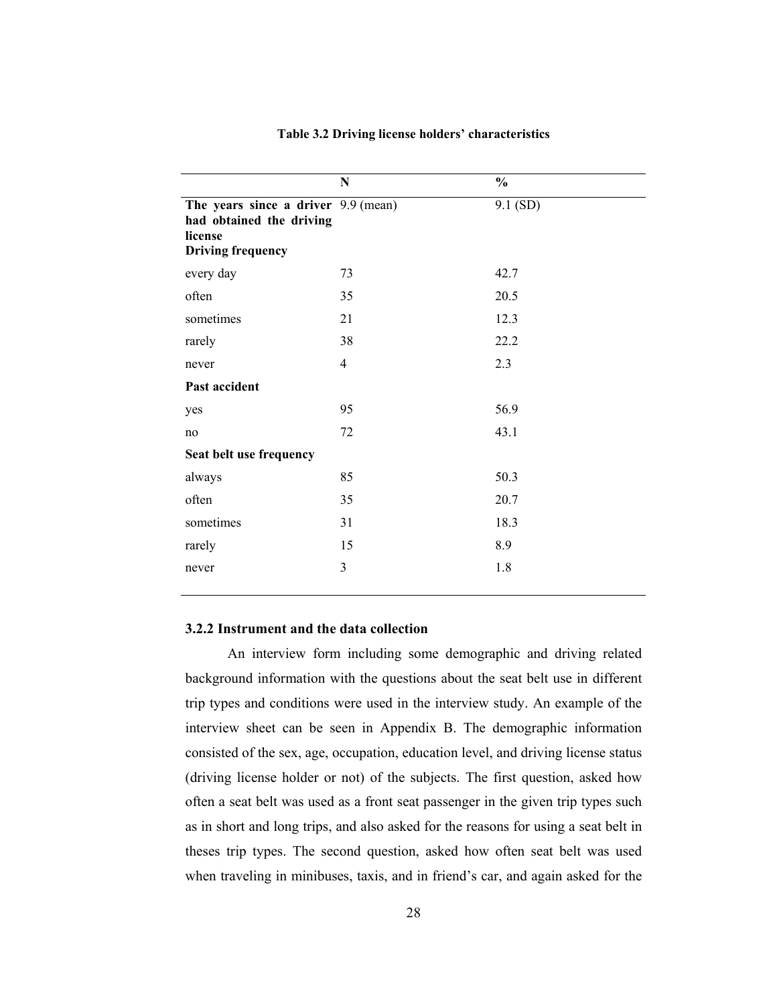|                                                                                                        | $\mathbf N$    | $\frac{0}{0}$ |
|--------------------------------------------------------------------------------------------------------|----------------|---------------|
| The years since a driver 9.9 (mean)<br>had obtained the driving<br>license<br><b>Driving frequency</b> |                | 9.1 (SD)      |
| every day                                                                                              | 73             | 42.7          |
| often                                                                                                  | 35             | 20.5          |
| sometimes                                                                                              | 21             | 12.3          |
| rarely                                                                                                 | 38             | 22.2          |
| never                                                                                                  | $\overline{4}$ | 2.3           |
| Past accident                                                                                          |                |               |
| yes                                                                                                    | 95             | 56.9          |
| no                                                                                                     | 72             | 43.1          |
| Seat belt use frequency                                                                                |                |               |
| always                                                                                                 | 85             | 50.3          |
| often                                                                                                  | 35             | 20.7          |
| sometimes                                                                                              | 31             | 18.3          |
| rarely                                                                                                 | 15             | 8.9           |
| never                                                                                                  | 3              | 1.8           |

#### Table 3.2 Driving license holders' characteristics

## 3.2.2 Instrument and the data collection

An interview form including some demographic and driving related background information with the questions about the seat belt use in different trip types and conditions were used in the interview study. An example of the interview sheet can be seen in Appendix B. The demographic information consisted of the sex, age, occupation, education level, and driving license status (driving license holder or not) of the subjects. The first question, asked how often a seat belt was used as a front seat passenger in the given trip types such as in short and long trips, and also asked for the reasons for using a seat belt in theses trip types. The second question, asked how often seat belt was used when traveling in minibuses, taxis, and in friend's car, and again asked for the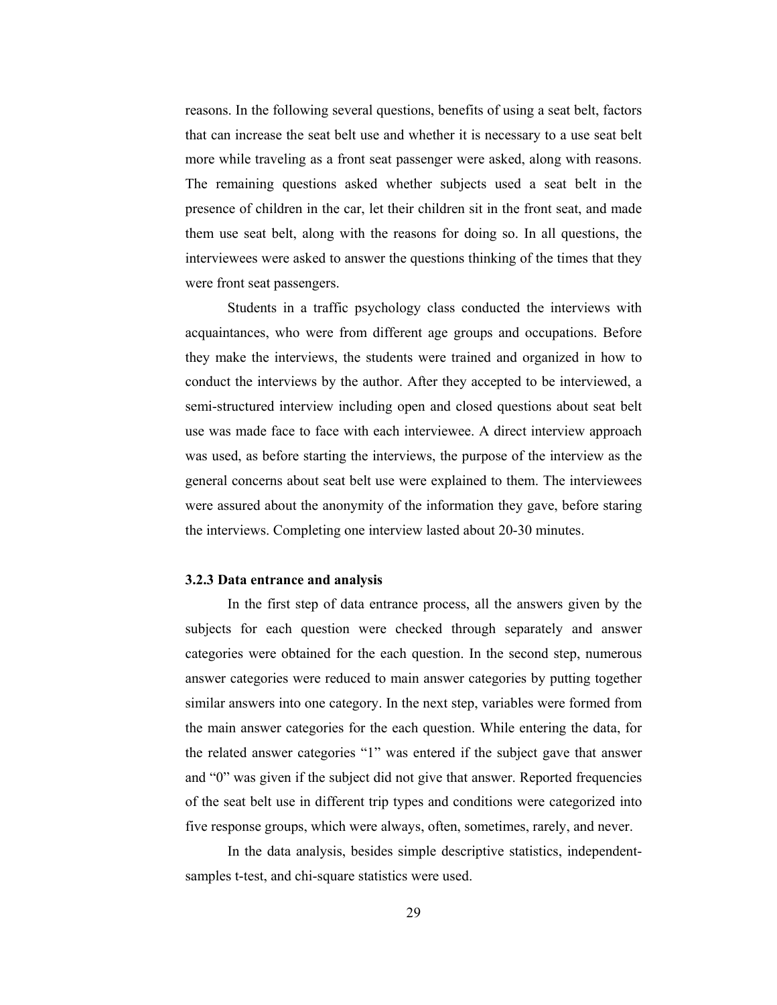reasons. In the following several questions, benefits of using a seat belt, factors that can increase the seat belt use and whether it is necessary to a use seat belt more while traveling as a front seat passenger were asked, along with reasons. The remaining questions asked whether subjects used a seat belt in the presence of children in the car, let their children sit in the front seat, and made them use seat belt, along with the reasons for doing so. In all questions, the interviewees were asked to answer the questions thinking of the times that they were front seat passengers.

Students in a traffic psychology class conducted the interviews with acquaintances, who were from different age groups and occupations. Before they make the interviews, the students were trained and organized in how to conduct the interviews by the author. After they accepted to be interviewed, a semi-structured interview including open and closed questions about seat belt use was made face to face with each interviewee. A direct interview approach was used, as before starting the interviews, the purpose of the interview as the general concerns about seat belt use were explained to them. The interviewees were assured about the anonymity of the information they gave, before staring the interviews. Completing one interview lasted about 20-30 minutes.

#### 3.2.3 Data entrance and analysis

In the first step of data entrance process, all the answers given by the subjects for each question were checked through separately and answer categories were obtained for the each question. In the second step, numerous answer categories were reduced to main answer categories by putting together similar answers into one category. In the next step, variables were formed from the main answer categories for the each question. While entering the data, for the related answer categories "1" was entered if the subject gave that answer and "0" was given if the subject did not give that answer. Reported frequencies of the seat belt use in different trip types and conditions were categorized into five response groups, which were always, often, sometimes, rarely, and never.

In the data analysis, besides simple descriptive statistics, independentsamples t-test, and chi-square statistics were used.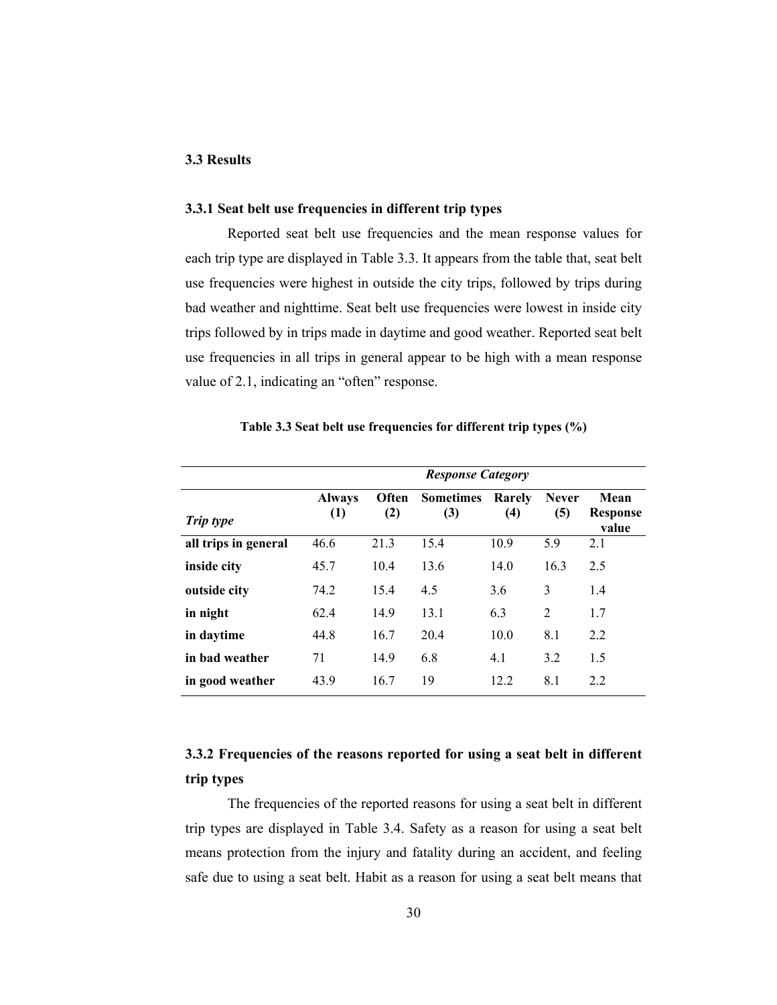## 3.3 Results

## 3.3.1 Seat belt use frequencies in different trip types

 Reported seat belt use frequencies and the mean response values for each trip type are displayed in Table 3.3. It appears from the table that, seat belt use frequencies were highest in outside the city trips, followed by trips during bad weather and nighttime. Seat belt use frequencies were lowest in inside city trips followed by in trips made in daytime and good weather. Reported seat belt use frequencies in all trips in general appear to be high with a mean response value of 2.1, indicating an "often" response.

|                      | <b>Response Category</b>          |              |                         |               |                     |                                  |  |
|----------------------|-----------------------------------|--------------|-------------------------|---------------|---------------------|----------------------------------|--|
| Trip type            | <b>Always</b><br>$\left(1\right)$ | Often<br>(2) | <b>Sometimes</b><br>(3) | Rarely<br>(4) | <b>Never</b><br>(5) | Mean<br><b>Response</b><br>value |  |
| all trips in general | 46.6                              | 21.3         | 15.4                    | 10.9          | 5.9                 | 2.1                              |  |
| inside city          | 45.7                              | 10.4         | 13.6                    | 14.0          | 16.3                | 2.5                              |  |
| outside city         | 74.2                              | 15.4         | 4.5                     | 3.6           | 3                   | 1.4                              |  |
| in night             | 62.4                              | 14.9         | 13.1                    | 6.3           | 2                   | 1.7                              |  |
| in daytime           | 44.8                              | 16.7         | 20.4                    | 10.0          | 8.1                 | 2.2                              |  |
| in bad weather       | 71                                | 14.9         | 6.8                     | 4.1           | 3.2                 | 1.5                              |  |
| in good weather      | 43.9                              | 16.7         | 19                      | 12.2          | 8.1                 | 2.2                              |  |

Table 3.3 Seat belt use frequencies for different trip types (%)

## 3.3.2 Frequencies of the reasons reported for using a seat belt in different trip types

The frequencies of the reported reasons for using a seat belt in different trip types are displayed in Table 3.4. Safety as a reason for using a seat belt means protection from the injury and fatality during an accident, and feeling safe due to using a seat belt. Habit as a reason for using a seat belt means that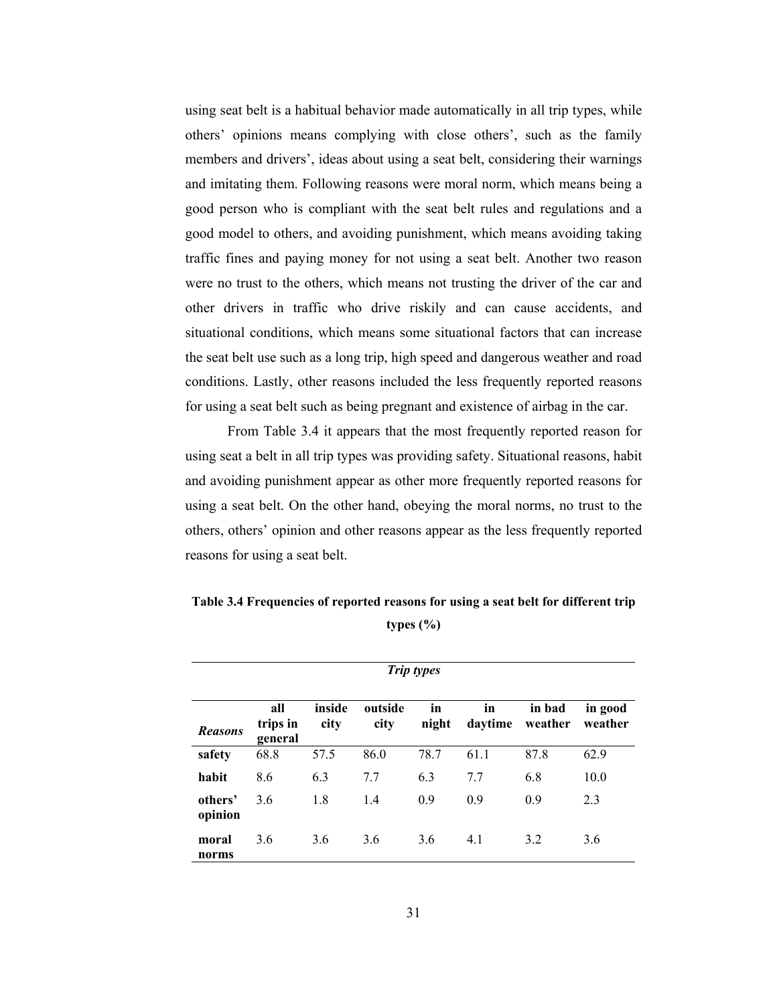using seat belt is a habitual behavior made automatically in all trip types, while others' opinions means complying with close others', such as the family members and drivers', ideas about using a seat belt, considering their warnings and imitating them. Following reasons were moral norm, which means being a good person who is compliant with the seat belt rules and regulations and a good model to others, and avoiding punishment, which means avoiding taking traffic fines and paying money for not using a seat belt. Another two reason were no trust to the others, which means not trusting the driver of the car and other drivers in traffic who drive riskily and can cause accidents, and situational conditions, which means some situational factors that can increase the seat belt use such as a long trip, high speed and dangerous weather and road conditions. Lastly, other reasons included the less frequently reported reasons for using a seat belt such as being pregnant and existence of airbag in the car.

From Table 3.4 it appears that the most frequently reported reason for using seat a belt in all trip types was providing safety. Situational reasons, habit and avoiding punishment appear as other more frequently reported reasons for using a seat belt. On the other hand, obeying the moral norms, no trust to the others, others' opinion and other reasons appear as the less frequently reported reasons for using a seat belt.

| <b>Trip types</b>  |                            |                |                 |             |               |                   |                    |
|--------------------|----------------------------|----------------|-----------------|-------------|---------------|-------------------|--------------------|
| <b>Reasons</b>     | all<br>trips in<br>general | inside<br>city | outside<br>city | in<br>night | in<br>daytime | in bad<br>weather | in good<br>weather |
| safety             | 68.8                       | 57.5           | 86.0            | 78.7        | 61.1          | 87.8              | 62.9               |
| habit              | 8.6                        | 6.3            | 7.7             | 6.3         | 7.7           | 6.8               | 10.0               |
| others'<br>opinion | 3.6                        | 1.8            | 1.4             | 0.9         | 0.9           | 0.9               | 2.3                |
| moral<br>norms     | 3.6                        | 3.6            | 3.6             | 3.6         | 4.1           | 3.2               | 3.6                |

Table 3.4 Frequencies of reported reasons for using a seat belt for different trip types (%)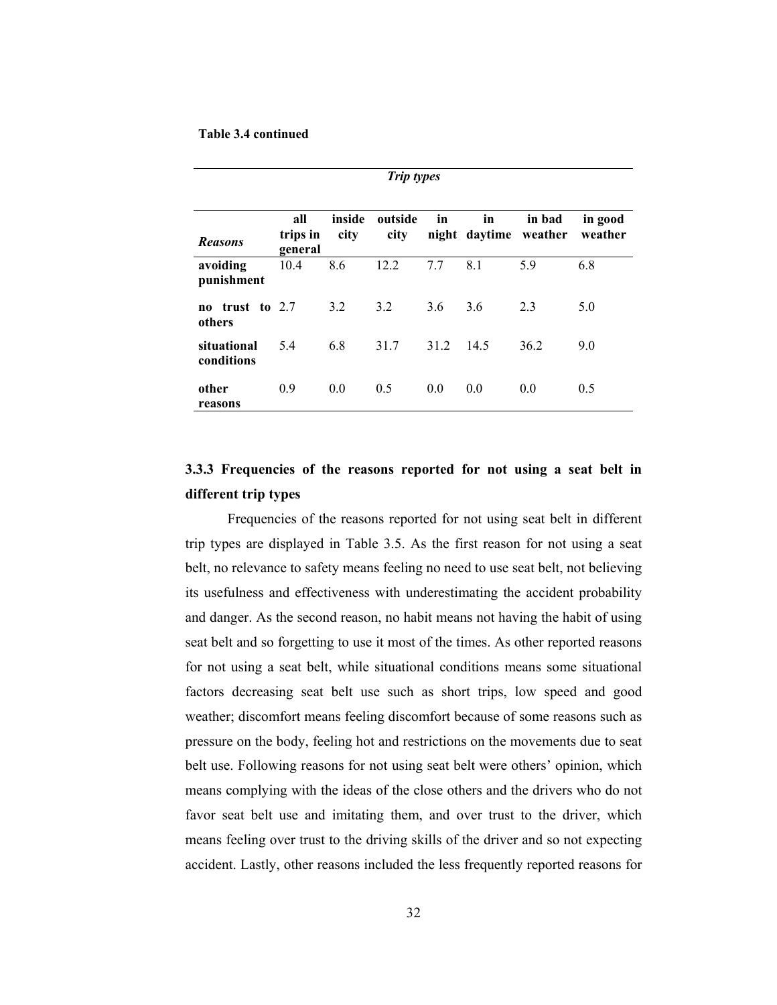#### Table 3.4 continued

different trip types

| <b>Trip types</b>              |                            |                |                 |      |                     |                   |                    |
|--------------------------------|----------------------------|----------------|-----------------|------|---------------------|-------------------|--------------------|
| <b>Reasons</b>                 | all<br>trips in<br>general | inside<br>city | outside<br>city | in   | in<br>night daytime | in bad<br>weather | in good<br>weather |
| avoiding<br>punishment         | 10.4                       | 8.6            | 12.2            | 7.7  | 8.1                 | 59                | 6.8                |
| trust to $2.7$<br>no<br>others |                            | 3.2            | 3.2             | 3.6  | 3.6                 | 2.3               | 5.0                |
| situational<br>conditions      | 5.4                        | 6.8            | 31.7            | 31.2 | 14.5                | 36.2              | 9.0                |
| other<br>reasons               | 0.9                        | 0.0            | 0.5             | 0.0  | 0.0                 | 0.0               | 0.5                |

3.3.3 Frequencies of the reasons reported for not using a seat belt in

 Frequencies of the reasons reported for not using seat belt in different trip types are displayed in Table 3.5. As the first reason for not using a seat belt, no relevance to safety means feeling no need to use seat belt, not believing its usefulness and effectiveness with underestimating the accident probability and danger. As the second reason, no habit means not having the habit of using seat belt and so forgetting to use it most of the times. As other reported reasons for not using a seat belt, while situational conditions means some situational factors decreasing seat belt use such as short trips, low speed and good weather; discomfort means feeling discomfort because of some reasons such as pressure on the body, feeling hot and restrictions on the movements due to seat belt use. Following reasons for not using seat belt were others' opinion, which means complying with the ideas of the close others and the drivers who do not favor seat belt use and imitating them, and over trust to the driver, which means feeling over trust to the driving skills of the driver and so not expecting accident. Lastly, other reasons included the less frequently reported reasons for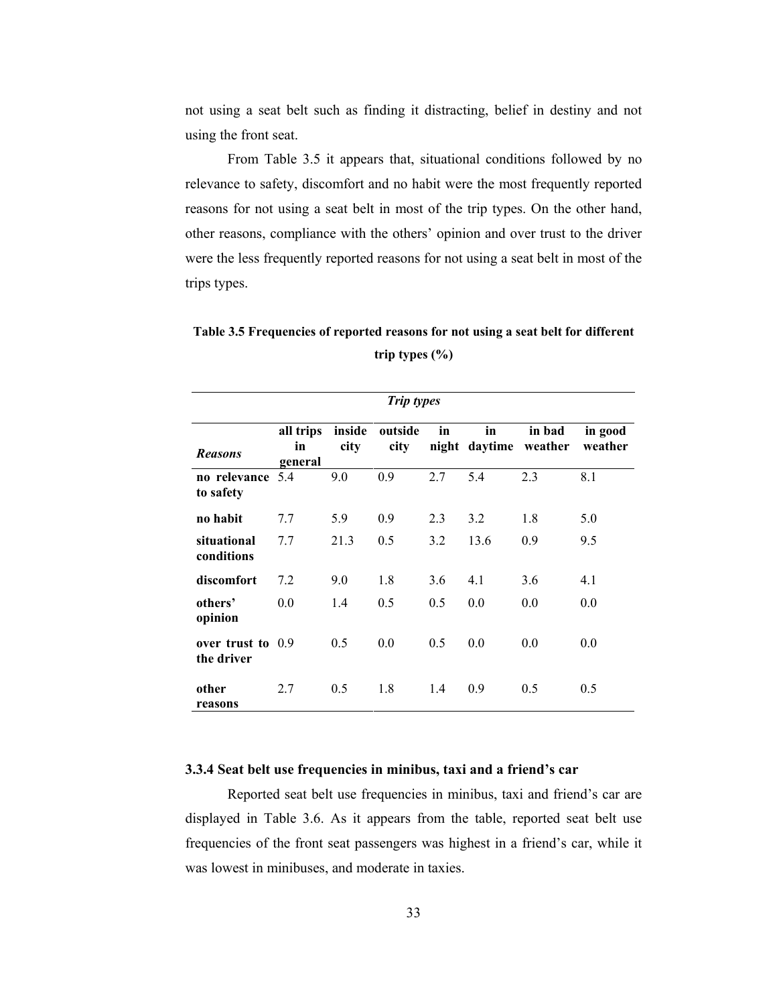not using a seat belt such as finding it distracting, belief in destiny and not using the front seat.

 From Table 3.5 it appears that, situational conditions followed by no relevance to safety, discomfort and no habit were the most frequently reported reasons for not using a seat belt in most of the trip types. On the other hand, other reasons, compliance with the others' opinion and over trust to the driver were the less frequently reported reasons for not using a seat belt in most of the trips types.

Table 3.5 Frequencies of reported reasons for not using a seat belt for different trip types (%)

| <b>Trip types</b>                 |                            |                |                 |     |      |                                 |                    |
|-----------------------------------|----------------------------|----------------|-----------------|-----|------|---------------------------------|--------------------|
| <b>Reasons</b>                    | all trips<br>in<br>general | inside<br>city | outside<br>city | in  | in   | in bad<br>night daytime weather | in good<br>weather |
| no relevance 5.4<br>to safety     |                            | 9.0            | 0.9             | 2.7 | 5.4  | 2.3                             | 8.1                |
| no habit                          | 7.7                        | 5.9            | 0.9             | 2.3 | 3.2  | 1.8                             | 5.0                |
| situational<br>conditions         | 7.7                        | 21.3           | 0.5             | 3.2 | 13.6 | 0.9                             | 9.5                |
| discomfort                        | 7.2                        | 9.0            | 1.8             | 3.6 | 4.1  | 3.6                             | 4.1                |
| others'<br>opinion                | 0.0                        | 1.4            | 0.5             | 0.5 | 0.0  | 0.0                             | 0.0                |
| over trust to $0.9$<br>the driver |                            | 0.5            | 0.0             | 0.5 | 0.0  | 0.0                             | 0.0                |
| other<br>reasons                  | 2.7                        | 0.5            | 1.8             | 1.4 | 0.9  | 0.5                             | 0.5                |

## 3.3.4 Seat belt use frequencies in minibus, taxi and a friend's car

 Reported seat belt use frequencies in minibus, taxi and friend's car are displayed in Table 3.6. As it appears from the table, reported seat belt use frequencies of the front seat passengers was highest in a friend's car, while it was lowest in minibuses, and moderate in taxies.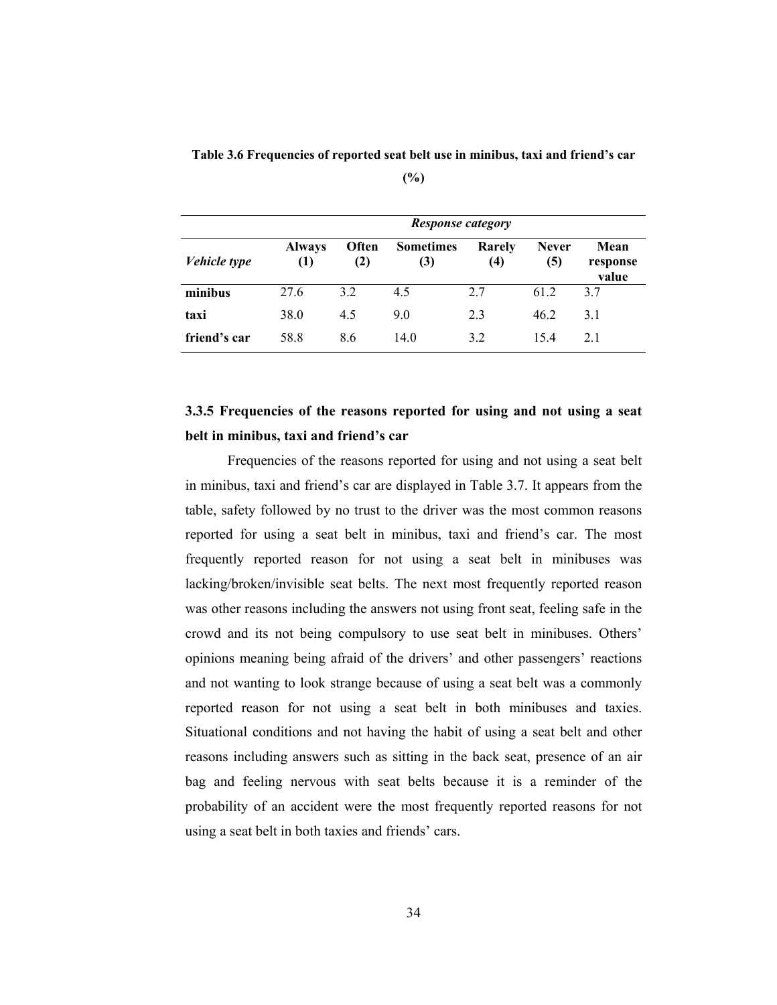Table 3.6 Frequencies of reported seat belt use in minibus, taxi and friend's car

|              | <b>Response category</b> |              |                         |               |                     |                           |
|--------------|--------------------------|--------------|-------------------------|---------------|---------------------|---------------------------|
| Vehicle type | <b>Always</b><br>(1)     | Often<br>(2) | <b>Sometimes</b><br>(3) | Rarely<br>(4) | <b>Never</b><br>(5) | Mean<br>response<br>value |
| minibus      | 27.6                     | 32           | 4.5                     | 2.7           | 61 2                | 37                        |
| taxi         | 38.0                     | 4.5          | 9.0                     | 2.3           | 46.2                | 3.1                       |
| friend's car | 58.8                     | 8.6          | 14.0                    | 3.2           | 154                 | 21                        |

## 3.3.5 Frequencies of the reasons reported for using and not using a seat belt in minibus, taxi and friend's car

Frequencies of the reasons reported for using and not using a seat belt in minibus, taxi and friend's car are displayed in Table 3.7. It appears from the table, safety followed by no trust to the driver was the most common reasons reported for using a seat belt in minibus, taxi and friend's car. The most frequently reported reason for not using a seat belt in minibuses was lacking/broken/invisible seat belts. The next most frequently reported reason was other reasons including the answers not using front seat, feeling safe in the crowd and its not being compulsory to use seat belt in minibuses. Others' opinions meaning being afraid of the drivers' and other passengers' reactions and not wanting to look strange because of using a seat belt was a commonly reported reason for not using a seat belt in both minibuses and taxies. Situational conditions and not having the habit of using a seat belt and other reasons including answers such as sitting in the back seat, presence of an air bag and feeling nervous with seat belts because it is a reminder of the probability of an accident were the most frequently reported reasons for not using a seat belt in both taxies and friends' cars.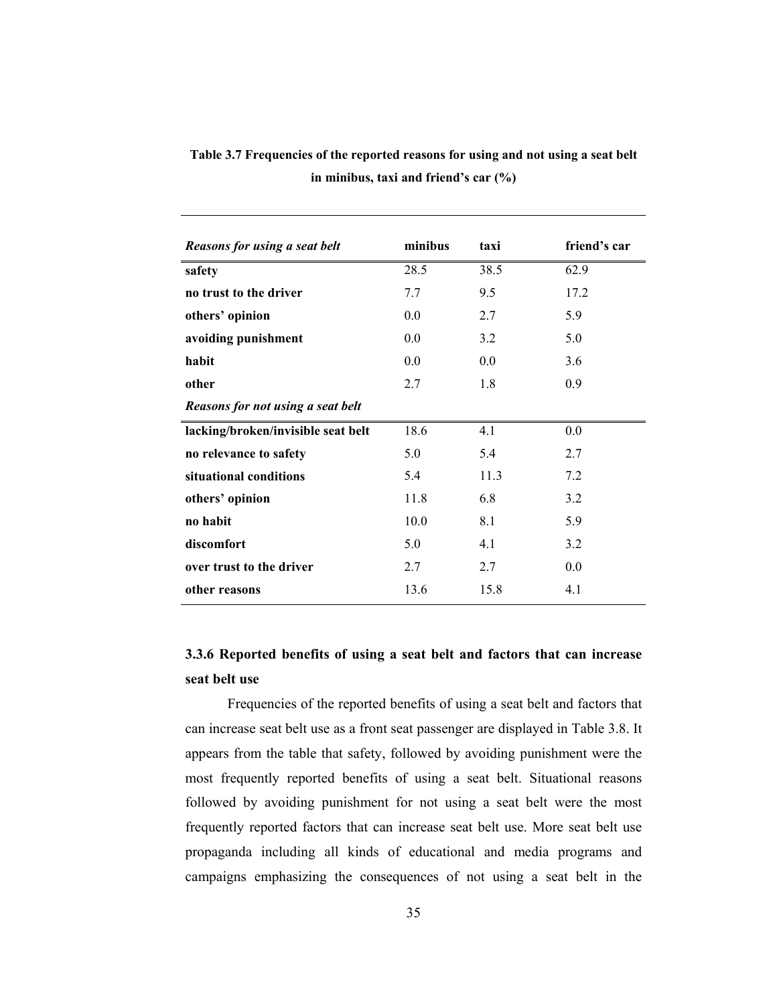| Reasons for using a seat belt      | minibus | taxi | friend's car |
|------------------------------------|---------|------|--------------|
| safety                             | 28.5    | 38.5 | 62.9         |
| no trust to the driver             | 7.7     | 9.5  | 17.2         |
| others' opinion                    | 0.0     | 2.7  | 5.9          |
| avoiding punishment                | 0.0     | 3.2  | 5.0          |
| habit                              | 0.0     | 0.0  | 3.6          |
| other                              | 2.7     | 1.8  | 0.9          |
| Reasons for not using a seat belt  |         |      |              |
| lacking/broken/invisible seat belt | 18.6    | 4.1  | 0.0          |
| no relevance to safety             | 5.0     | 5.4  | 2.7          |
| situational conditions             | 5.4     | 11.3 | 7.2          |
| others' opinion                    | 11.8    | 6.8  | 3.2          |
| no habit                           | 10.0    | 8.1  | 5.9          |
| discomfort                         | 5.0     | 4.1  | 3.2          |
| over trust to the driver           | 2.7     | 2.7  | 0.0          |
| other reasons                      | 13.6    | 15.8 | 4.1          |

Table 3.7 Frequencies of the reported reasons for using and not using a seat belt in minibus, taxi and friend's car (%)

## 3.3.6 Reported benefits of using a seat belt and factors that can increase seat belt use

 Frequencies of the reported benefits of using a seat belt and factors that can increase seat belt use as a front seat passenger are displayed in Table 3.8. It appears from the table that safety, followed by avoiding punishment were the most frequently reported benefits of using a seat belt. Situational reasons followed by avoiding punishment for not using a seat belt were the most frequently reported factors that can increase seat belt use. More seat belt use propaganda including all kinds of educational and media programs and campaigns emphasizing the consequences of not using a seat belt in the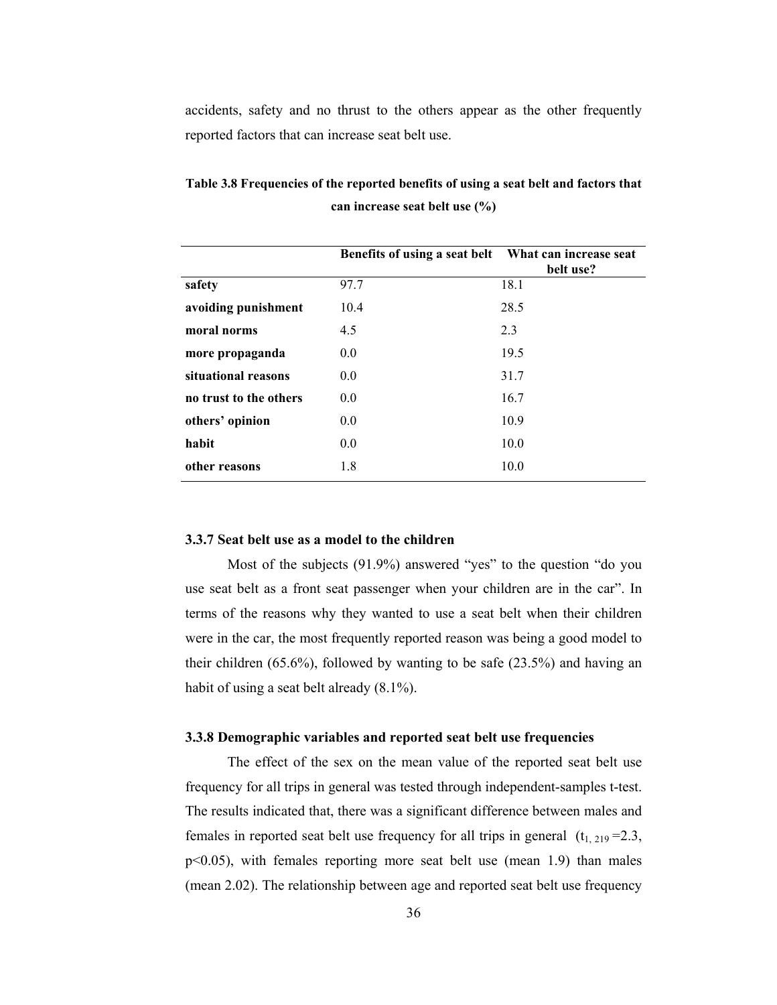accidents, safety and no thrust to the others appear as the other frequently reported factors that can increase seat belt use.

|                        | Benefits of using a seat belt | What can increase seat<br>belt use? |
|------------------------|-------------------------------|-------------------------------------|
| safety                 | 97.7                          | 18.1                                |
| avoiding punishment    | 10.4                          | 28.5                                |
| moral norms            | 4.5                           | 2.3                                 |
| more propaganda        | 0.0                           | 19.5                                |
| situational reasons    | 0.0                           | 31.7                                |
| no trust to the others | 0.0                           | 16.7                                |
| others' opinion        | 0.0                           | 10.9                                |
| habit                  | 0.0                           | 10.0                                |
| other reasons          | 1.8                           | 10.0                                |

Table 3.8 Frequencies of the reported benefits of using a seat belt and factors that can increase seat belt use (%)

#### 3.3.7 Seat belt use as a model to the children

Most of the subjects (91.9%) answered "yes" to the question "do you use seat belt as a front seat passenger when your children are in the car". In terms of the reasons why they wanted to use a seat belt when their children were in the car, the most frequently reported reason was being a good model to their children (65.6%), followed by wanting to be safe (23.5%) and having an habit of using a seat belt already  $(8.1\%)$ .

## 3.3.8 Demographic variables and reported seat belt use frequencies

 The effect of the sex on the mean value of the reported seat belt use frequency for all trips in general was tested through independent-samples t-test. The results indicated that, there was a significant difference between males and females in reported seat belt use frequency for all trips in general  $(t<sub>1, 219</sub> = 2.3)$ , p<0.05), with females reporting more seat belt use (mean 1.9) than males (mean 2.02). The relationship between age and reported seat belt use frequency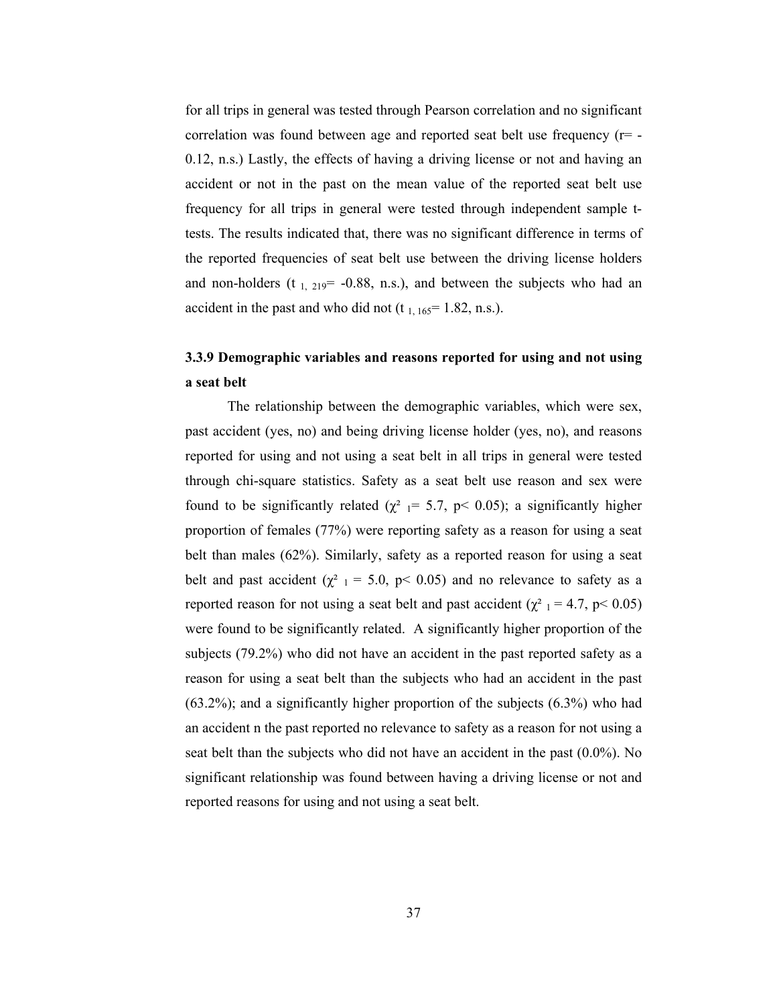for all trips in general was tested through Pearson correlation and no significant correlation was found between age and reported seat belt use frequency  $(r=$  -0.12, n.s.) Lastly, the effects of having a driving license or not and having an accident or not in the past on the mean value of the reported seat belt use frequency for all trips in general were tested through independent sample ttests. The results indicated that, there was no significant difference in terms of the reported frequencies of seat belt use between the driving license holders and non-holders ( $t_{1, 219}$ = -0.88, n.s.), and between the subjects who had an accident in the past and who did not  $(t_{1, 165} = 1.82, n.s.).$ 

## 3.3.9 Demographic variables and reasons reported for using and not using a seat belt

The relationship between the demographic variables, which were sex, past accident (yes, no) and being driving license holder (yes, no), and reasons reported for using and not using a seat belt in all trips in general were tested through chi-square statistics. Safety as a seat belt use reason and sex were found to be significantly related ( $\chi^2$  1 = 5.7, p < 0.05); a significantly higher proportion of females (77%) were reporting safety as a reason for using a seat belt than males (62%). Similarly, safety as a reported reason for using a seat belt and past accident ( $\chi^2$  1 = 5.0, p < 0.05) and no relevance to safety as a reported reason for not using a seat belt and past accident ( $\chi^2$  1 = 4.7, p< 0.05) were found to be significantly related. A significantly higher proportion of the subjects (79.2%) who did not have an accident in the past reported safety as a reason for using a seat belt than the subjects who had an accident in the past (63.2%); and a significantly higher proportion of the subjects (6.3%) who had an accident n the past reported no relevance to safety as a reason for not using a seat belt than the subjects who did not have an accident in the past (0.0%). No significant relationship was found between having a driving license or not and reported reasons for using and not using a seat belt.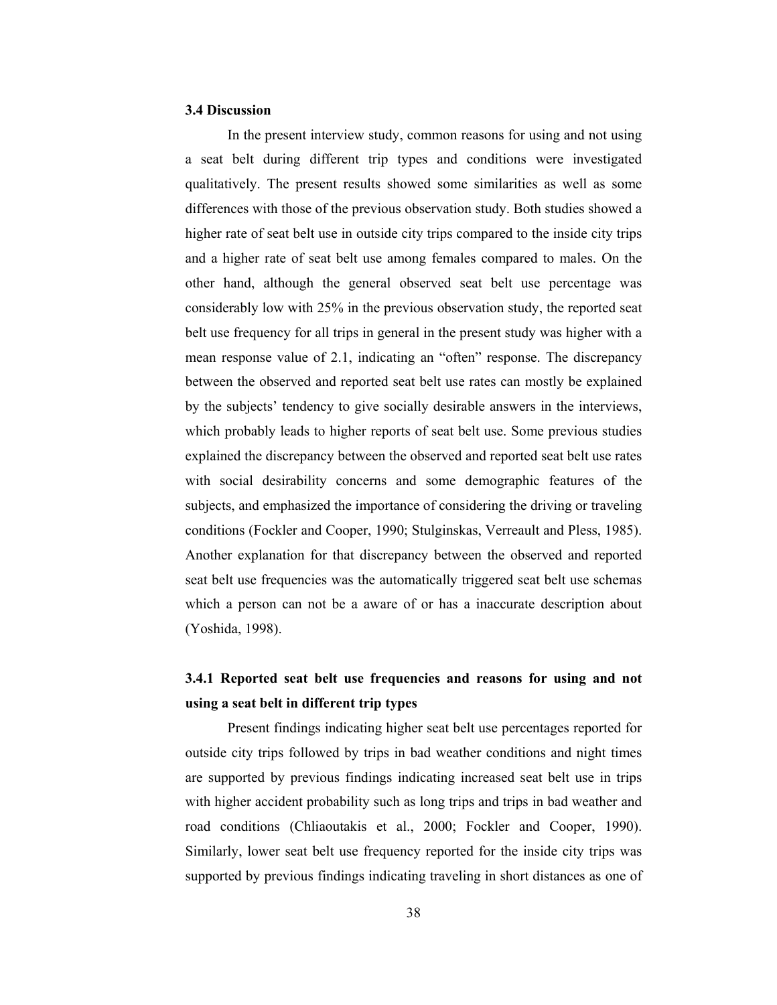## 3.4 Discussion

 In the present interview study, common reasons for using and not using a seat belt during different trip types and conditions were investigated qualitatively. The present results showed some similarities as well as some differences with those of the previous observation study. Both studies showed a higher rate of seat belt use in outside city trips compared to the inside city trips and a higher rate of seat belt use among females compared to males. On the other hand, although the general observed seat belt use percentage was considerably low with 25% in the previous observation study, the reported seat belt use frequency for all trips in general in the present study was higher with a mean response value of 2.1, indicating an "often" response. The discrepancy between the observed and reported seat belt use rates can mostly be explained by the subjects' tendency to give socially desirable answers in the interviews, which probably leads to higher reports of seat belt use. Some previous studies explained the discrepancy between the observed and reported seat belt use rates with social desirability concerns and some demographic features of the subjects, and emphasized the importance of considering the driving or traveling conditions (Fockler and Cooper, 1990; Stulginskas, Verreault and Pless, 1985). Another explanation for that discrepancy between the observed and reported seat belt use frequencies was the automatically triggered seat belt use schemas which a person can not be a aware of or has a inaccurate description about (Yoshida, 1998).

## 3.4.1 Reported seat belt use frequencies and reasons for using and not using a seat belt in different trip types

 Present findings indicating higher seat belt use percentages reported for outside city trips followed by trips in bad weather conditions and night times are supported by previous findings indicating increased seat belt use in trips with higher accident probability such as long trips and trips in bad weather and road conditions (Chliaoutakis et al., 2000; Fockler and Cooper, 1990). Similarly, lower seat belt use frequency reported for the inside city trips was supported by previous findings indicating traveling in short distances as one of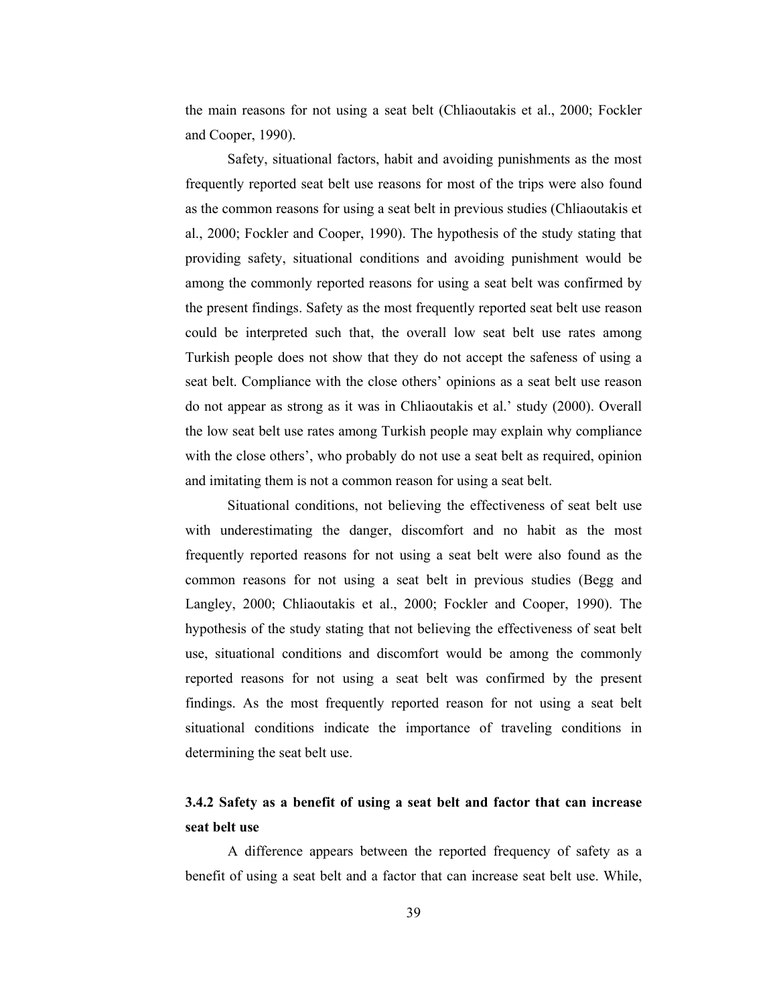the main reasons for not using a seat belt (Chliaoutakis et al., 2000; Fockler and Cooper, 1990).

Safety, situational factors, habit and avoiding punishments as the most frequently reported seat belt use reasons for most of the trips were also found as the common reasons for using a seat belt in previous studies (Chliaoutakis et al., 2000; Fockler and Cooper, 1990). The hypothesis of the study stating that providing safety, situational conditions and avoiding punishment would be among the commonly reported reasons for using a seat belt was confirmed by the present findings. Safety as the most frequently reported seat belt use reason could be interpreted such that, the overall low seat belt use rates among Turkish people does not show that they do not accept the safeness of using a seat belt. Compliance with the close others' opinions as a seat belt use reason do not appear as strong as it was in Chliaoutakis et al.' study (2000). Overall the low seat belt use rates among Turkish people may explain why compliance with the close others', who probably do not use a seat belt as required, opinion and imitating them is not a common reason for using a seat belt.

Situational conditions, not believing the effectiveness of seat belt use with underestimating the danger, discomfort and no habit as the most frequently reported reasons for not using a seat belt were also found as the common reasons for not using a seat belt in previous studies (Begg and Langley, 2000; Chliaoutakis et al., 2000; Fockler and Cooper, 1990). The hypothesis of the study stating that not believing the effectiveness of seat belt use, situational conditions and discomfort would be among the commonly reported reasons for not using a seat belt was confirmed by the present findings. As the most frequently reported reason for not using a seat belt situational conditions indicate the importance of traveling conditions in determining the seat belt use.

## 3.4.2 Safety as a benefit of using a seat belt and factor that can increase seat belt use

A difference appears between the reported frequency of safety as a benefit of using a seat belt and a factor that can increase seat belt use. While,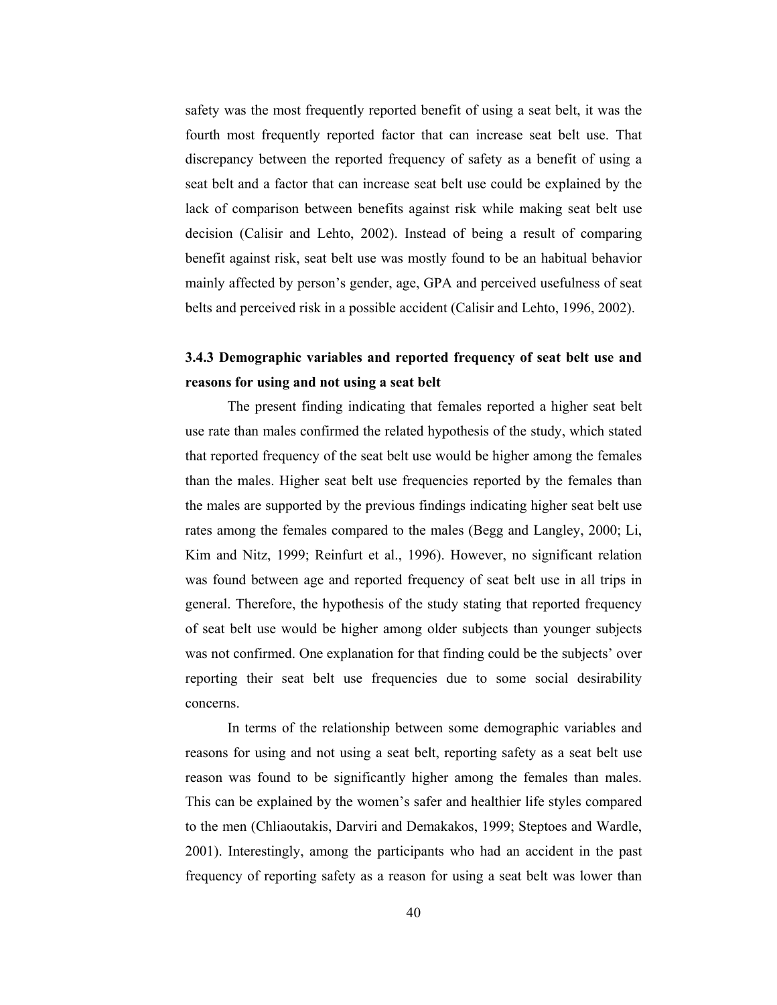safety was the most frequently reported benefit of using a seat belt, it was the fourth most frequently reported factor that can increase seat belt use. That discrepancy between the reported frequency of safety as a benefit of using a seat belt and a factor that can increase seat belt use could be explained by the lack of comparison between benefits against risk while making seat belt use decision (Calisir and Lehto, 2002). Instead of being a result of comparing benefit against risk, seat belt use was mostly found to be an habitual behavior mainly affected by person's gender, age, GPA and perceived usefulness of seat belts and perceived risk in a possible accident (Calisir and Lehto, 1996, 2002).

## 3.4.3 Demographic variables and reported frequency of seat belt use and reasons for using and not using a seat belt

 The present finding indicating that females reported a higher seat belt use rate than males confirmed the related hypothesis of the study, which stated that reported frequency of the seat belt use would be higher among the females than the males. Higher seat belt use frequencies reported by the females than the males are supported by the previous findings indicating higher seat belt use rates among the females compared to the males (Begg and Langley, 2000; Li, Kim and Nitz, 1999; Reinfurt et al., 1996). However, no significant relation was found between age and reported frequency of seat belt use in all trips in general. Therefore, the hypothesis of the study stating that reported frequency of seat belt use would be higher among older subjects than younger subjects was not confirmed. One explanation for that finding could be the subjects' over reporting their seat belt use frequencies due to some social desirability concerns.

In terms of the relationship between some demographic variables and reasons for using and not using a seat belt, reporting safety as a seat belt use reason was found to be significantly higher among the females than males. This can be explained by the women's safer and healthier life styles compared to the men (Chliaoutakis, Darviri and Demakakos, 1999; Steptoes and Wardle, 2001). Interestingly, among the participants who had an accident in the past frequency of reporting safety as a reason for using a seat belt was lower than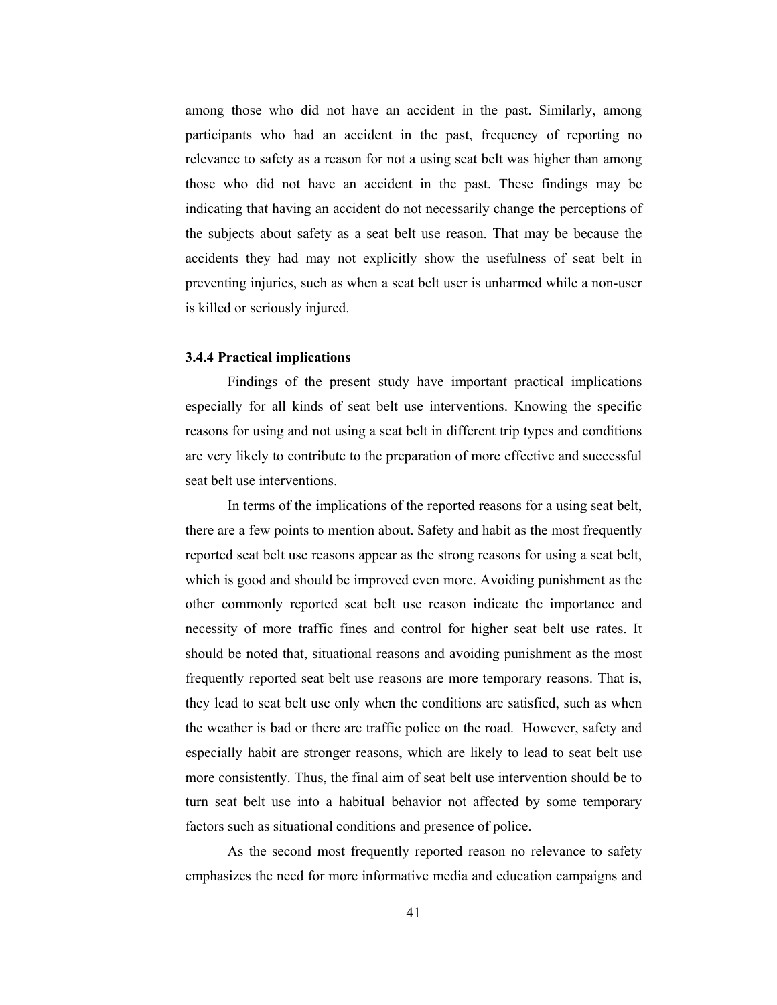among those who did not have an accident in the past. Similarly, among participants who had an accident in the past, frequency of reporting no relevance to safety as a reason for not a using seat belt was higher than among those who did not have an accident in the past. These findings may be indicating that having an accident do not necessarily change the perceptions of the subjects about safety as a seat belt use reason. That may be because the accidents they had may not explicitly show the usefulness of seat belt in preventing injuries, such as when a seat belt user is unharmed while a non-user is killed or seriously injured.

### 3.4.4 Practical implications

 Findings of the present study have important practical implications especially for all kinds of seat belt use interventions. Knowing the specific reasons for using and not using a seat belt in different trip types and conditions are very likely to contribute to the preparation of more effective and successful seat belt use interventions.

 In terms of the implications of the reported reasons for a using seat belt, there are a few points to mention about. Safety and habit as the most frequently reported seat belt use reasons appear as the strong reasons for using a seat belt, which is good and should be improved even more. Avoiding punishment as the other commonly reported seat belt use reason indicate the importance and necessity of more traffic fines and control for higher seat belt use rates. It should be noted that, situational reasons and avoiding punishment as the most frequently reported seat belt use reasons are more temporary reasons. That is, they lead to seat belt use only when the conditions are satisfied, such as when the weather is bad or there are traffic police on the road. However, safety and especially habit are stronger reasons, which are likely to lead to seat belt use more consistently. Thus, the final aim of seat belt use intervention should be to turn seat belt use into a habitual behavior not affected by some temporary factors such as situational conditions and presence of police.

As the second most frequently reported reason no relevance to safety emphasizes the need for more informative media and education campaigns and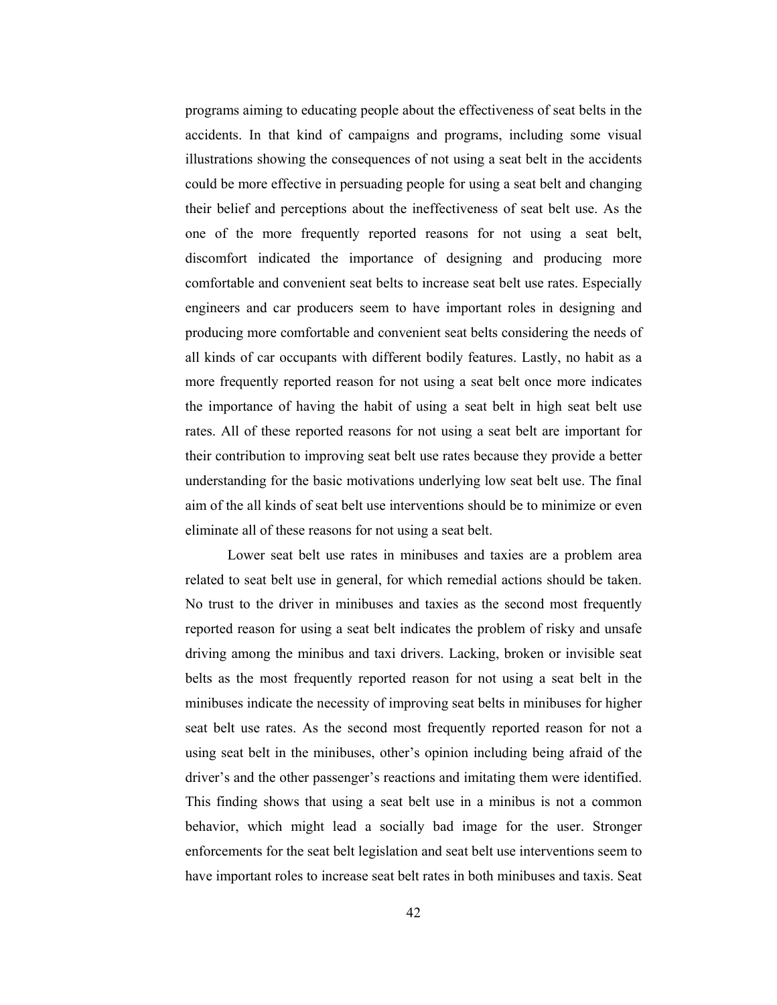programs aiming to educating people about the effectiveness of seat belts in the accidents. In that kind of campaigns and programs, including some visual illustrations showing the consequences of not using a seat belt in the accidents could be more effective in persuading people for using a seat belt and changing their belief and perceptions about the ineffectiveness of seat belt use. As the one of the more frequently reported reasons for not using a seat belt, discomfort indicated the importance of designing and producing more comfortable and convenient seat belts to increase seat belt use rates. Especially engineers and car producers seem to have important roles in designing and producing more comfortable and convenient seat belts considering the needs of all kinds of car occupants with different bodily features. Lastly, no habit as a more frequently reported reason for not using a seat belt once more indicates the importance of having the habit of using a seat belt in high seat belt use rates. All of these reported reasons for not using a seat belt are important for their contribution to improving seat belt use rates because they provide a better understanding for the basic motivations underlying low seat belt use. The final aim of the all kinds of seat belt use interventions should be to minimize or even eliminate all of these reasons for not using a seat belt.

Lower seat belt use rates in minibuses and taxies are a problem area related to seat belt use in general, for which remedial actions should be taken. No trust to the driver in minibuses and taxies as the second most frequently reported reason for using a seat belt indicates the problem of risky and unsafe driving among the minibus and taxi drivers. Lacking, broken or invisible seat belts as the most frequently reported reason for not using a seat belt in the minibuses indicate the necessity of improving seat belts in minibuses for higher seat belt use rates. As the second most frequently reported reason for not a using seat belt in the minibuses, other's opinion including being afraid of the driver's and the other passenger's reactions and imitating them were identified. This finding shows that using a seat belt use in a minibus is not a common behavior, which might lead a socially bad image for the user. Stronger enforcements for the seat belt legislation and seat belt use interventions seem to have important roles to increase seat belt rates in both minibuses and taxis. Seat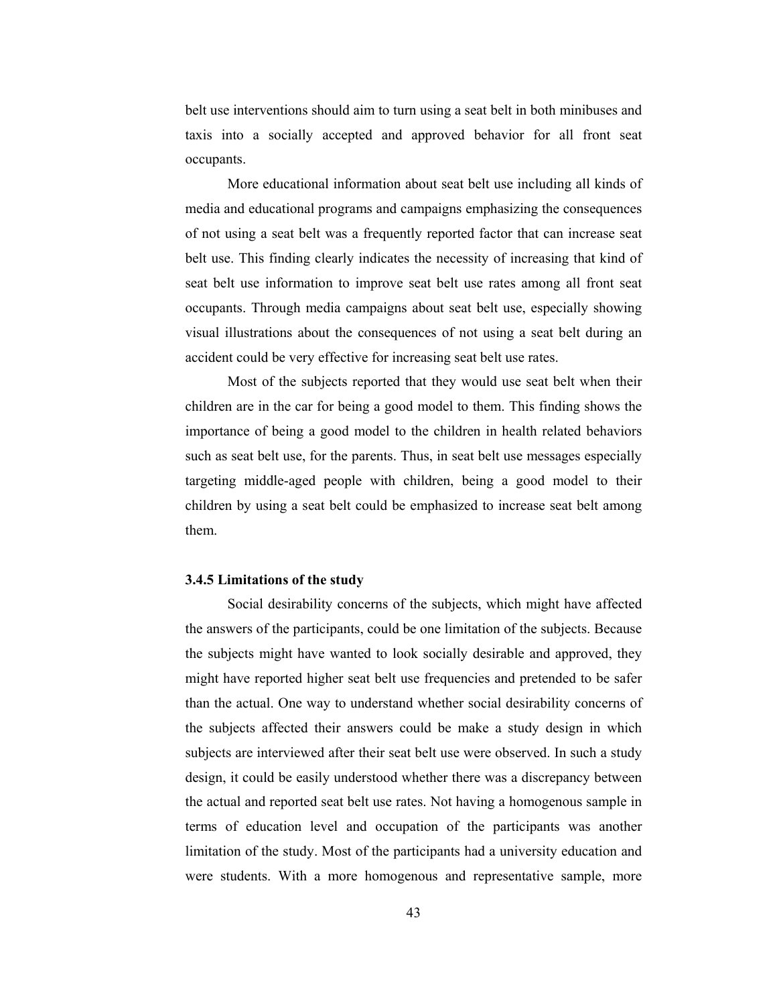belt use interventions should aim to turn using a seat belt in both minibuses and taxis into a socially accepted and approved behavior for all front seat occupants.

 More educational information about seat belt use including all kinds of media and educational programs and campaigns emphasizing the consequences of not using a seat belt was a frequently reported factor that can increase seat belt use. This finding clearly indicates the necessity of increasing that kind of seat belt use information to improve seat belt use rates among all front seat occupants. Through media campaigns about seat belt use, especially showing visual illustrations about the consequences of not using a seat belt during an accident could be very effective for increasing seat belt use rates.

 Most of the subjects reported that they would use seat belt when their children are in the car for being a good model to them. This finding shows the importance of being a good model to the children in health related behaviors such as seat belt use, for the parents. Thus, in seat belt use messages especially targeting middle-aged people with children, being a good model to their children by using a seat belt could be emphasized to increase seat belt among them.

#### 3.4.5 Limitations of the study

Social desirability concerns of the subjects, which might have affected the answers of the participants, could be one limitation of the subjects. Because the subjects might have wanted to look socially desirable and approved, they might have reported higher seat belt use frequencies and pretended to be safer than the actual. One way to understand whether social desirability concerns of the subjects affected their answers could be make a study design in which subjects are interviewed after their seat belt use were observed. In such a study design, it could be easily understood whether there was a discrepancy between the actual and reported seat belt use rates. Not having a homogenous sample in terms of education level and occupation of the participants was another limitation of the study. Most of the participants had a university education and were students. With a more homogenous and representative sample, more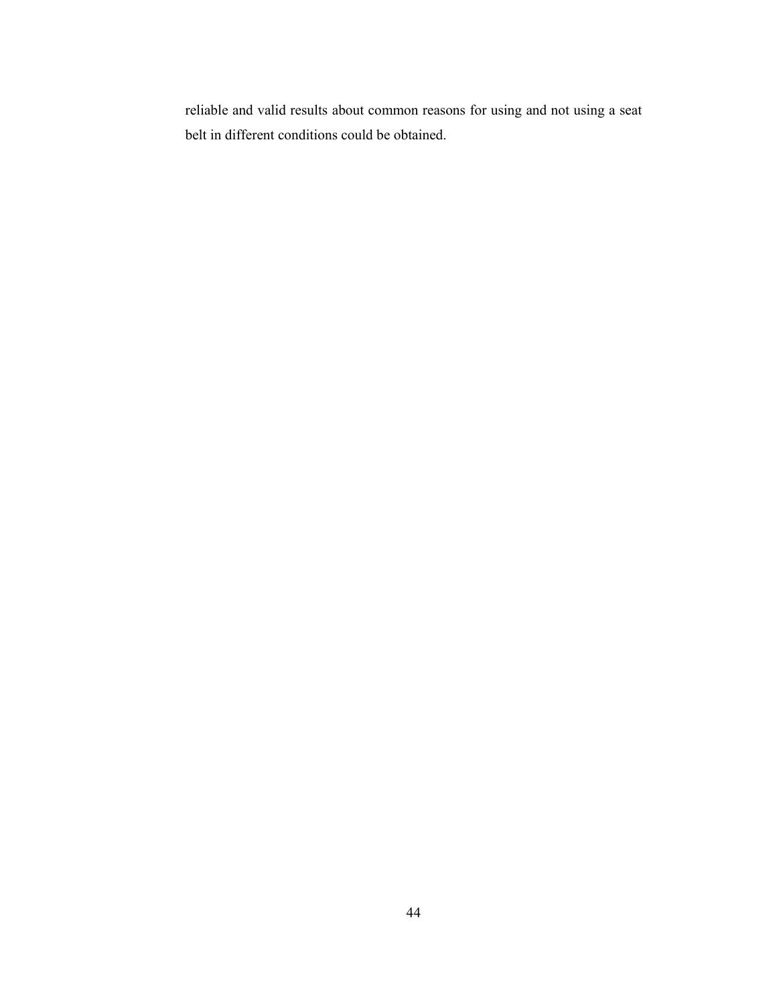reliable and valid results about common reasons for using and not using a seat belt in different conditions could be obtained.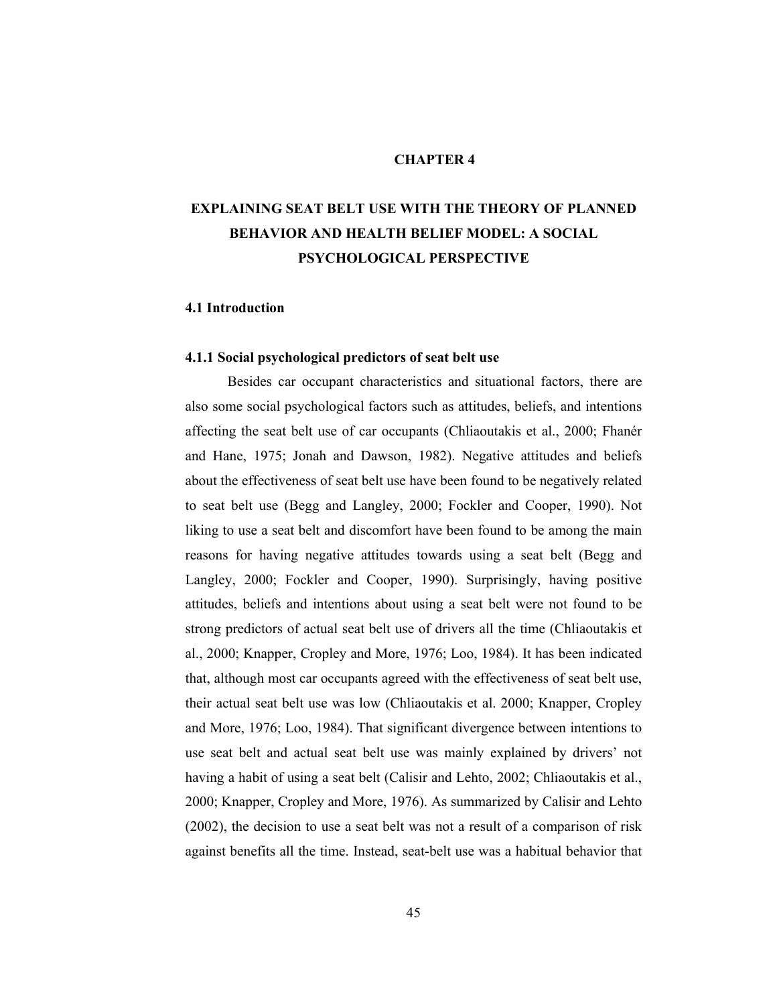## CHAPTER 4

# EXPLAINING SEAT BELT USE WITH THE THEORY OF PLANNED BEHAVIOR AND HEALTH BELIEF MODEL: A SOCIAL PSYCHOLOGICAL PERSPECTIVE

## 4.1 Introduction

## 4.1.1 Social psychological predictors of seat belt use

Besides car occupant characteristics and situational factors, there are also some social psychological factors such as attitudes, beliefs, and intentions affecting the seat belt use of car occupants (Chliaoutakis et al., 2000; Fhanér and Hane, 1975; Jonah and Dawson, 1982). Negative attitudes and beliefs about the effectiveness of seat belt use have been found to be negatively related to seat belt use (Begg and Langley, 2000; Fockler and Cooper, 1990). Not liking to use a seat belt and discomfort have been found to be among the main reasons for having negative attitudes towards using a seat belt (Begg and Langley, 2000; Fockler and Cooper, 1990). Surprisingly, having positive attitudes, beliefs and intentions about using a seat belt were not found to be strong predictors of actual seat belt use of drivers all the time (Chliaoutakis et al., 2000; Knapper, Cropley and More, 1976; Loo, 1984). It has been indicated that, although most car occupants agreed with the effectiveness of seat belt use, their actual seat belt use was low (Chliaoutakis et al. 2000; Knapper, Cropley and More, 1976; Loo, 1984). That significant divergence between intentions to use seat belt and actual seat belt use was mainly explained by drivers' not having a habit of using a seat belt (Calisir and Lehto, 2002; Chliaoutakis et al., 2000; Knapper, Cropley and More, 1976). As summarized by Calisir and Lehto (2002), the decision to use a seat belt was not a result of a comparison of risk against benefits all the time. Instead, seat-belt use was a habitual behavior that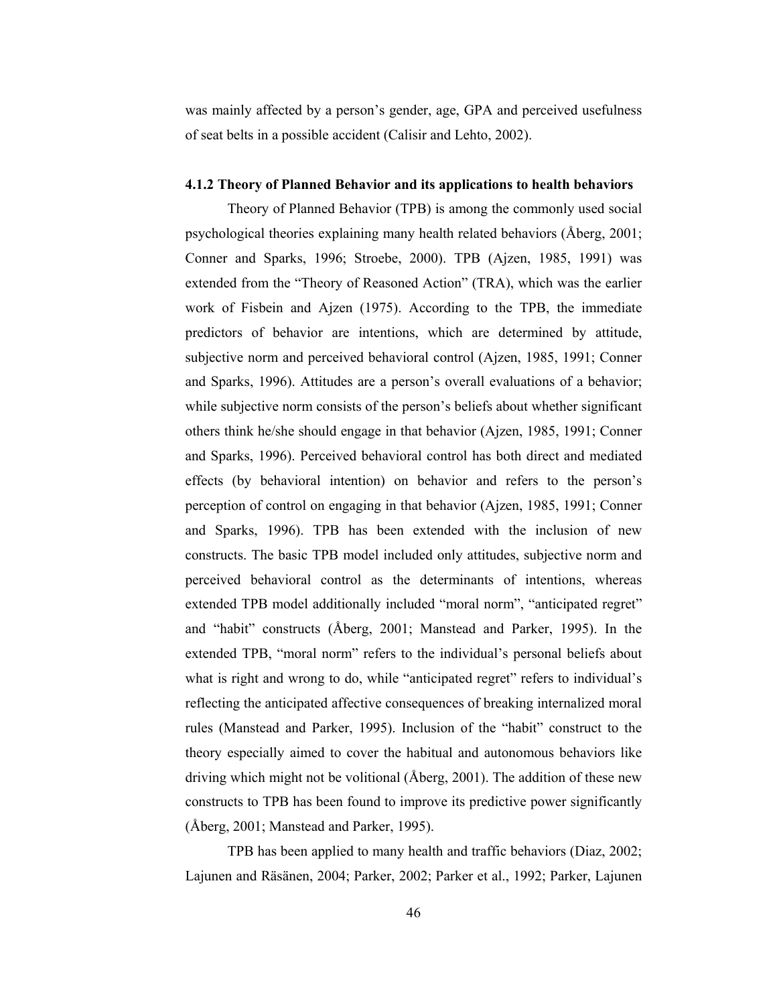was mainly affected by a person's gender, age, GPA and perceived usefulness of seat belts in a possible accident (Calisir and Lehto, 2002).

#### 4.1.2 Theory of Planned Behavior and its applications to health behaviors

Theory of Planned Behavior (TPB) is among the commonly used social psychological theories explaining many health related behaviors (Åberg, 2001; Conner and Sparks, 1996; Stroebe, 2000). TPB (Ajzen, 1985, 1991) was extended from the "Theory of Reasoned Action" (TRA), which was the earlier work of Fisbein and Ajzen (1975). According to the TPB, the immediate predictors of behavior are intentions, which are determined by attitude, subjective norm and perceived behavioral control (Ajzen, 1985, 1991; Conner and Sparks, 1996). Attitudes are a person's overall evaluations of a behavior; while subjective norm consists of the person's beliefs about whether significant others think he/she should engage in that behavior (Ajzen, 1985, 1991; Conner and Sparks, 1996). Perceived behavioral control has both direct and mediated effects (by behavioral intention) on behavior and refers to the person's perception of control on engaging in that behavior (Ajzen, 1985, 1991; Conner and Sparks, 1996). TPB has been extended with the inclusion of new constructs. The basic TPB model included only attitudes, subjective norm and perceived behavioral control as the determinants of intentions, whereas extended TPB model additionally included "moral norm", "anticipated regret" and "habit" constructs (Åberg, 2001; Manstead and Parker, 1995). In the extended TPB, "moral norm" refers to the individual's personal beliefs about what is right and wrong to do, while "anticipated regret" refers to individual's reflecting the anticipated affective consequences of breaking internalized moral rules (Manstead and Parker, 1995). Inclusion of the "habit" construct to the theory especially aimed to cover the habitual and autonomous behaviors like driving which might not be volitional (Åberg, 2001). The addition of these new constructs to TPB has been found to improve its predictive power significantly (Åberg, 2001; Manstead and Parker, 1995).

TPB has been applied to many health and traffic behaviors (Diaz, 2002; Lajunen and Räsänen, 2004; Parker, 2002; Parker et al., 1992; Parker, Lajunen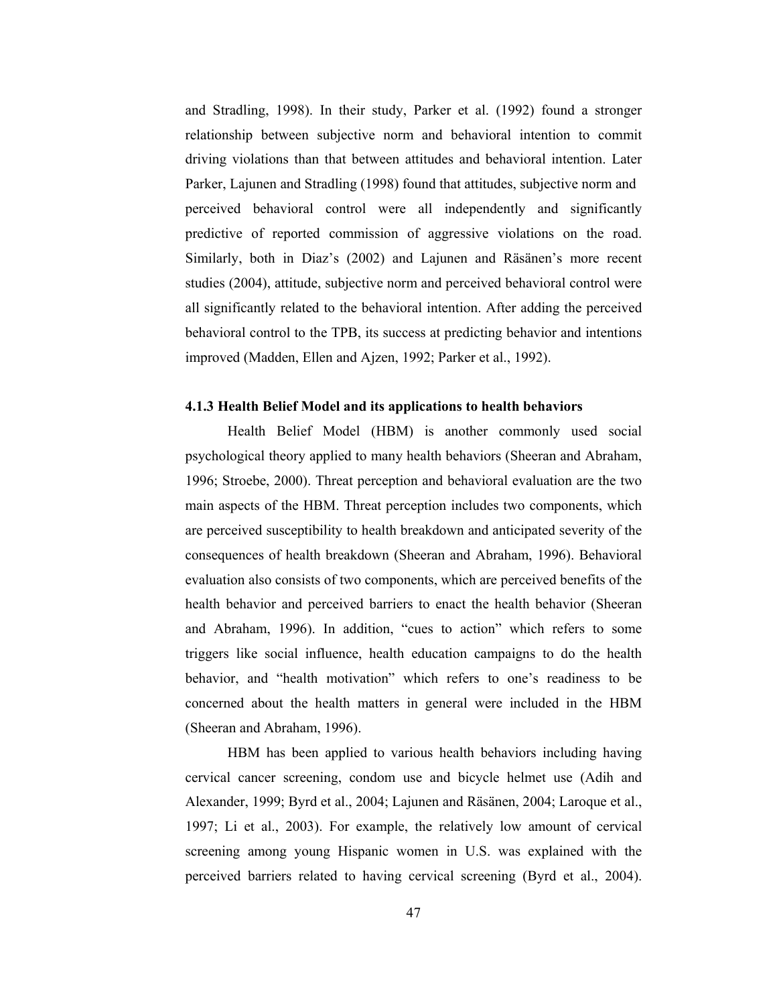and Stradling, 1998). In their study, Parker et al. (1992) found a stronger relationship between subjective norm and behavioral intention to commit driving violations than that between attitudes and behavioral intention. Later Parker, Lajunen and Stradling (1998) found that attitudes, subjective norm and perceived behavioral control were all independently and significantly predictive of reported commission of aggressive violations on the road. Similarly, both in Diaz's (2002) and Lajunen and Räsänen's more recent studies (2004), attitude, subjective norm and perceived behavioral control were all significantly related to the behavioral intention. After adding the perceived behavioral control to the TPB, its success at predicting behavior and intentions improved (Madden, Ellen and Ajzen, 1992; Parker et al., 1992).

## 4.1.3 Health Belief Model and its applications to health behaviors

Health Belief Model (HBM) is another commonly used social psychological theory applied to many health behaviors (Sheeran and Abraham, 1996; Stroebe, 2000). Threat perception and behavioral evaluation are the two main aspects of the HBM. Threat perception includes two components, which are perceived susceptibility to health breakdown and anticipated severity of the consequences of health breakdown (Sheeran and Abraham, 1996). Behavioral evaluation also consists of two components, which are perceived benefits of the health behavior and perceived barriers to enact the health behavior (Sheeran and Abraham, 1996). In addition, "cues to action" which refers to some triggers like social influence, health education campaigns to do the health behavior, and "health motivation" which refers to one's readiness to be concerned about the health matters in general were included in the HBM (Sheeran and Abraham, 1996).

HBM has been applied to various health behaviors including having cervical cancer screening, condom use and bicycle helmet use (Adih and Alexander, 1999; Byrd et al., 2004; Lajunen and Räsänen, 2004; Laroque et al., 1997; Li et al., 2003). For example, the relatively low amount of cervical screening among young Hispanic women in U.S. was explained with the perceived barriers related to having cervical screening (Byrd et al., 2004).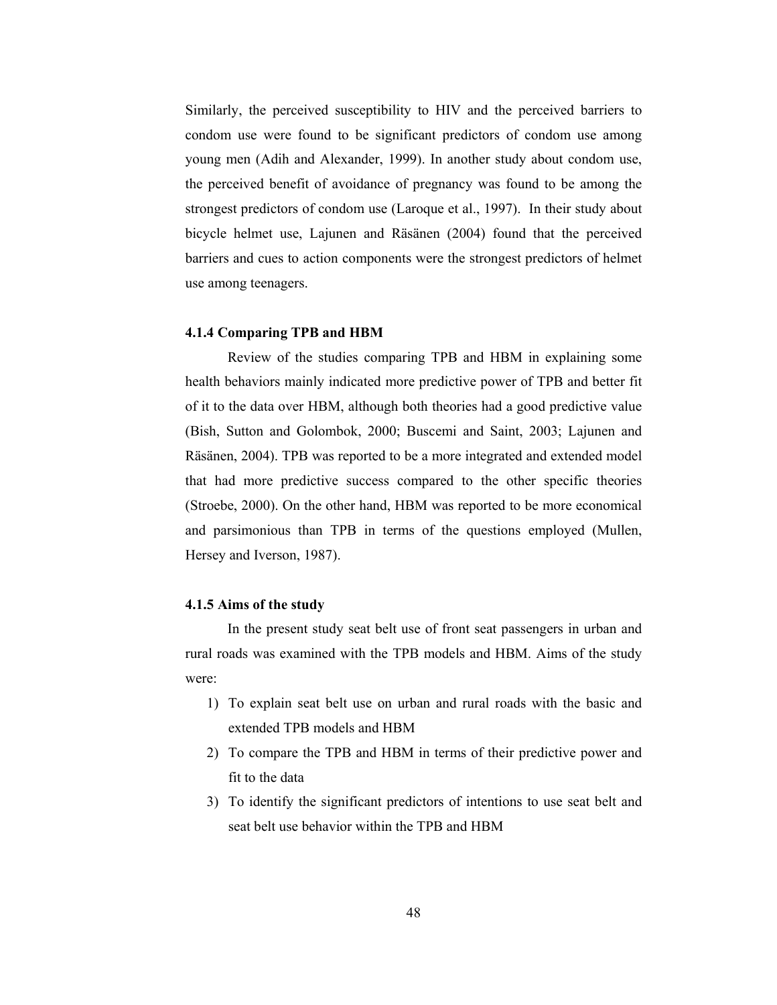Similarly, the perceived susceptibility to HIV and the perceived barriers to condom use were found to be significant predictors of condom use among young men (Adih and Alexander, 1999). In another study about condom use, the perceived benefit of avoidance of pregnancy was found to be among the strongest predictors of condom use (Laroque et al., 1997). In their study about bicycle helmet use, Lajunen and Räsänen (2004) found that the perceived barriers and cues to action components were the strongest predictors of helmet use among teenagers.

## 4.1.4 Comparing TPB and HBM

Review of the studies comparing TPB and HBM in explaining some health behaviors mainly indicated more predictive power of TPB and better fit of it to the data over HBM, although both theories had a good predictive value (Bish, Sutton and Golombok, 2000; Buscemi and Saint, 2003; Lajunen and Räsänen, 2004). TPB was reported to be a more integrated and extended model that had more predictive success compared to the other specific theories (Stroebe, 2000). On the other hand, HBM was reported to be more economical and parsimonious than TPB in terms of the questions employed (Mullen, Hersey and Iverson, 1987).

### 4.1.5 Aims of the study

 In the present study seat belt use of front seat passengers in urban and rural roads was examined with the TPB models and HBM. Aims of the study were:

- 1) To explain seat belt use on urban and rural roads with the basic and extended TPB models and HBM
- 2) To compare the TPB and HBM in terms of their predictive power and fit to the data
- 3) To identify the significant predictors of intentions to use seat belt and seat belt use behavior within the TPB and HBM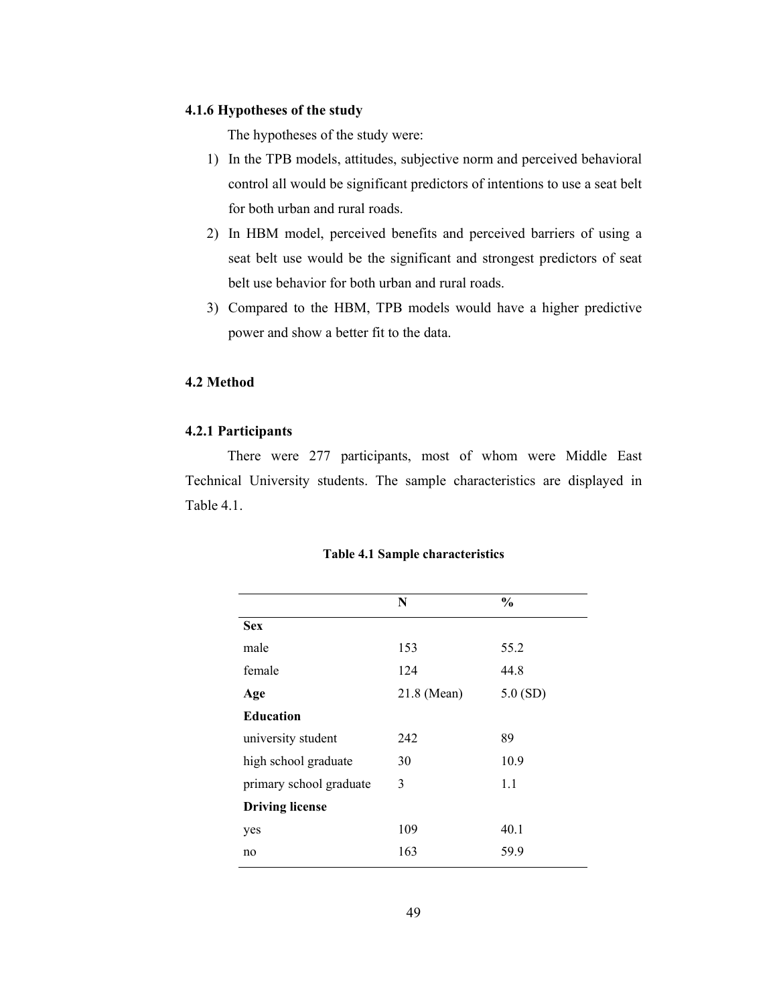## 4.1.6 Hypotheses of the study

The hypotheses of the study were:

- 1) In the TPB models, attitudes, subjective norm and perceived behavioral control all would be significant predictors of intentions to use a seat belt for both urban and rural roads.
- 2) In HBM model, perceived benefits and perceived barriers of using a seat belt use would be the significant and strongest predictors of seat belt use behavior for both urban and rural roads.
- 3) Compared to the HBM, TPB models would have a higher predictive power and show a better fit to the data.

## 4.2 Method

### 4.2.1 Participants

There were 277 participants, most of whom were Middle East Technical University students. The sample characteristics are displayed in Table 4.1.

|                         | N           | $\frac{6}{6}$ |
|-------------------------|-------------|---------------|
| <b>Sex</b>              |             |               |
| male                    | 153         | 55.2          |
| female                  | 124         | 44.8          |
| Age                     | 21.8 (Mean) | 5.0(SD)       |
| <b>Education</b>        |             |               |
| university student      | 242         | 89            |
| high school graduate    | 30          | 10.9          |
| primary school graduate | 3           | 1.1           |
| <b>Driving license</b>  |             |               |
| yes                     | 109         | 40.1          |
| no                      | 163         | 59.9          |

#### Table 4.1 Sample characteristics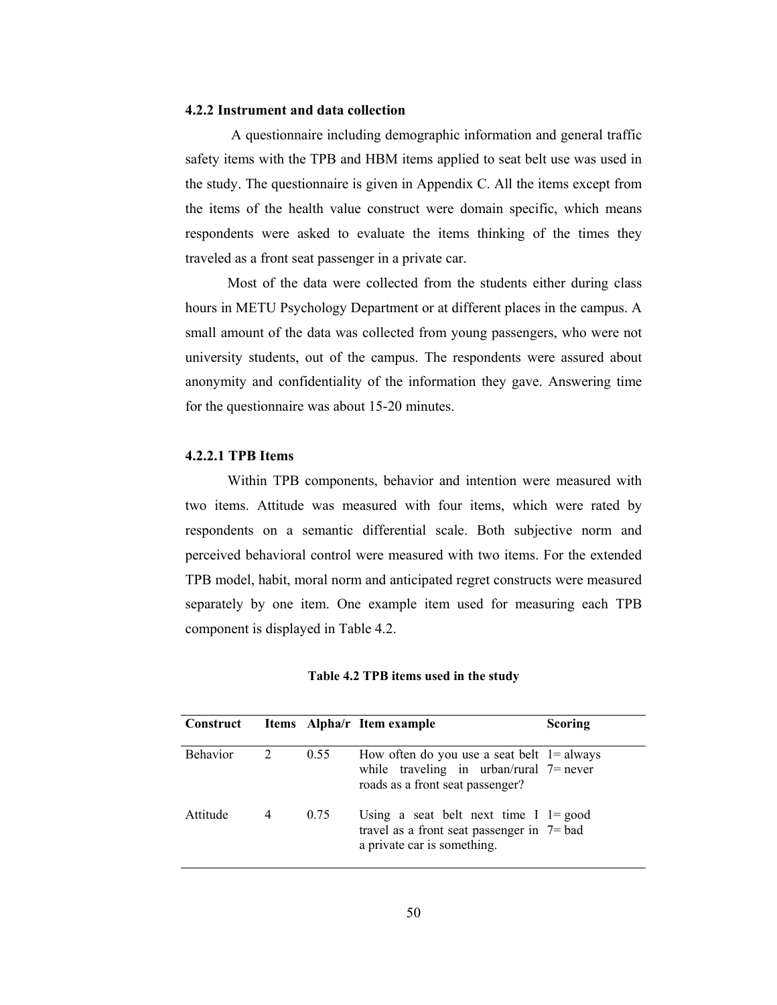### 4.2.2 Instrument and data collection

 A questionnaire including demographic information and general traffic safety items with the TPB and HBM items applied to seat belt use was used in the study. The questionnaire is given in Appendix C. All the items except from the items of the health value construct were domain specific, which means respondents were asked to evaluate the items thinking of the times they traveled as a front seat passenger in a private car.

Most of the data were collected from the students either during class hours in METU Psychology Department or at different places in the campus. A small amount of the data was collected from young passengers, who were not university students, out of the campus. The respondents were assured about anonymity and confidentiality of the information they gave. Answering time for the questionnaire was about 15-20 minutes.

### 4.2.2.1 TPB Items

Within TPB components, behavior and intention were measured with two items. Attitude was measured with four items, which were rated by respondents on a semantic differential scale. Both subjective norm and perceived behavioral control were measured with two items. For the extended TPB model, habit, moral norm and anticipated regret constructs were measured separately by one item. One example item used for measuring each TPB component is displayed in Table 4.2.

#### Table 4.2 TPB items used in the study

| <b>Construct</b> |                |      | Items Alpha/r Item example                                                                                                      | Scoring |
|------------------|----------------|------|---------------------------------------------------------------------------------------------------------------------------------|---------|
| <b>Behavior</b>  | $\overline{2}$ | 0.55 | How often do you use a seat belt $1 =$ always<br>while traveling in urban/rural $7$ = never<br>roads as a front seat passenger? |         |
| Attitude         | 4              | 0.75 | Using a seat belt next time $I = good$<br>travel as a front seat passenger in $7 =$ bad<br>a private car is something.          |         |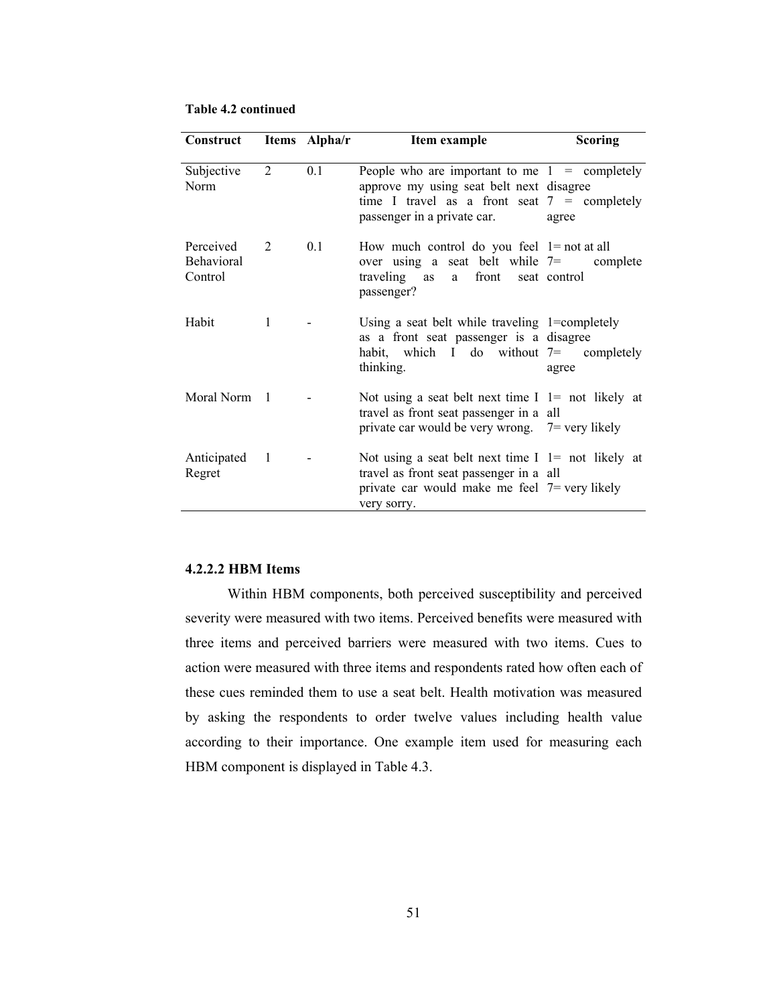| Construct                                 |                | Items Alpha/r | Item example                                                                                                                                                                 | <b>Scoring</b> |
|-------------------------------------------|----------------|---------------|------------------------------------------------------------------------------------------------------------------------------------------------------------------------------|----------------|
| Subjective<br>Norm                        | 2              | 0.1           | People who are important to me $1 =$ completely<br>approve my using seat belt next disagree<br>time I travel as a front seat $7 =$ completely<br>passenger in a private car. | agree          |
| Perceived<br><b>Behavioral</b><br>Control | 2              | 0.1           | How much control do you feel $1 = not at all$<br>over using a seat belt while $7 =$ complete<br>traveling as a front seat control<br>passenger?                              |                |
| Habit                                     | 1              |               | Using a seat belt while traveling $1$ =completely<br>as a front seat passenger is a disagree<br>habit, which I do without 7= completely<br>thinking.                         | agree          |
| Moral Norm 1                              |                |               | Not using a seat belt next time $I = \text{not}$ likely at<br>travel as front seat passenger in a all<br>private car would be very wrong. $7 =$ very likely                  |                |
| Anticipated<br>Regret                     | $\blacksquare$ |               | Not using a seat belt next time $I = \text{not}$ likely at<br>travel as front seat passenger in a all<br>private car would make me feel $7 =$ very likely<br>very sorry.     |                |

#### Table 4.2 continued

## 4.2.2.2 HBM Items

Within HBM components, both perceived susceptibility and perceived severity were measured with two items. Perceived benefits were measured with three items and perceived barriers were measured with two items. Cues to action were measured with three items and respondents rated how often each of these cues reminded them to use a seat belt. Health motivation was measured by asking the respondents to order twelve values including health value according to their importance. One example item used for measuring each HBM component is displayed in Table 4.3.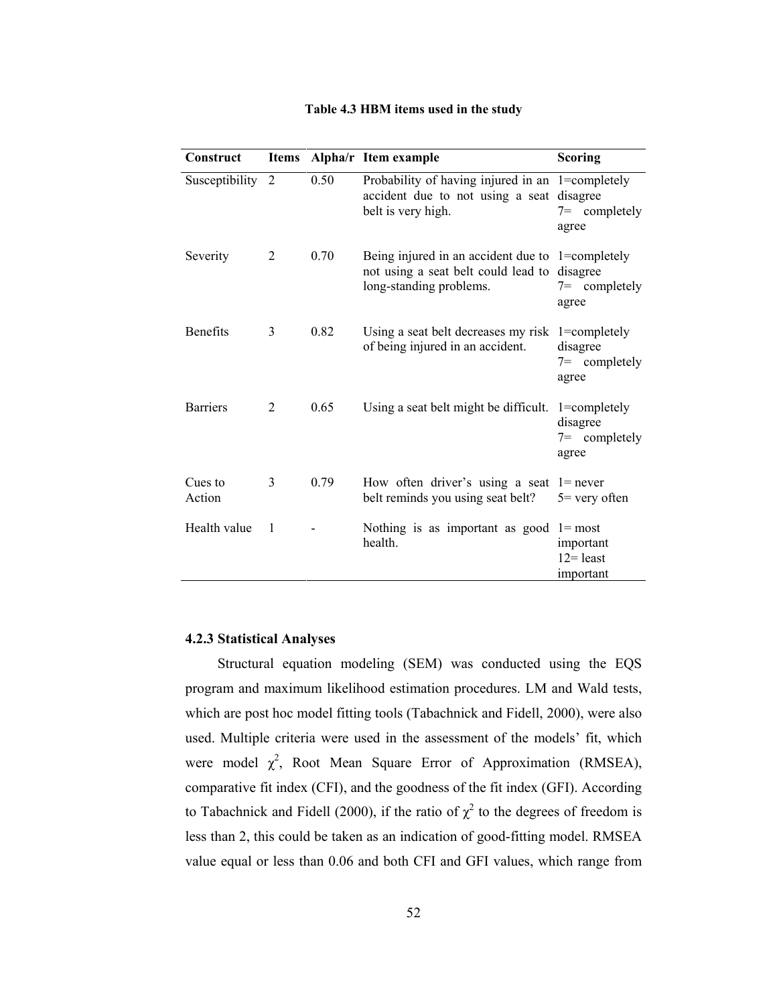| Construct         | <b>Items</b> |      | Alpha/r Item example                                                                                                        | <b>Scoring</b>                                       |
|-------------------|--------------|------|-----------------------------------------------------------------------------------------------------------------------------|------------------------------------------------------|
| Susceptibility 2  |              | 0.50 | Probability of having injured in an 1=completely<br>accident due to not using a seat disagree<br>belt is very high.         | $7=$ completely<br>agree                             |
| Severity          | 2            | 0.70 | Being injured in an accident due to 1=completely<br>not using a seat belt could lead to disagree<br>long-standing problems. | $7=$ completely<br>agree                             |
| <b>Benefits</b>   | 3            | 0.82 | Using a seat belt decreases my risk 1=completely<br>of being injured in an accident.                                        | disagree<br>$7=$ completely<br>agree                 |
| <b>Barriers</b>   | 2            | 0.65 | Using a seat belt might be difficult. $1 =$ completely                                                                      | disagree<br>$7=$ completely<br>agree                 |
| Cues to<br>Action | 3            | 0.79 | How often driver's using a seat $l$ = never<br>belt reminds you using seat belt?                                            | $5 =$ very often                                     |
| Health value      | 1            |      | Nothing is as important as good<br>health.                                                                                  | $l = most$<br>important<br>$12$ = least<br>important |

#### Table 4.3 HBM items used in the study

## 4.2.3 Statistical Analyses

Structural equation modeling (SEM) was conducted using the EQS program and maximum likelihood estimation procedures. LM and Wald tests, which are post hoc model fitting tools (Tabachnick and Fidell, 2000), were also used. Multiple criteria were used in the assessment of the models' fit, which were model  $\chi^2$ , Root Mean Square Error of Approximation (RMSEA), comparative fit index (CFI), and the goodness of the fit index (GFI). According to Tabachnick and Fidell (2000), if the ratio of  $\chi^2$  to the degrees of freedom is less than 2, this could be taken as an indication of good-fitting model. RMSEA value equal or less than 0.06 and both CFI and GFI values, which range from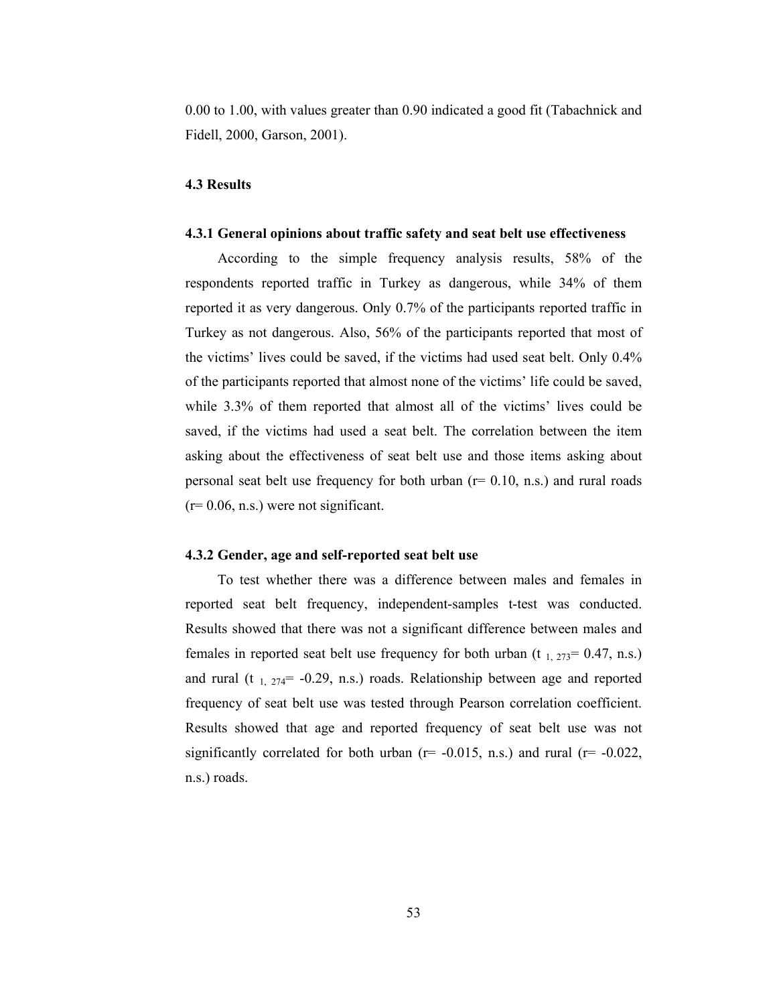0.00 to 1.00, with values greater than 0.90 indicated a good fit (Tabachnick and Fidell, 2000, Garson, 2001).

## 4.3 Results

### 4.3.1 General opinions about traffic safety and seat belt use effectiveness

 According to the simple frequency analysis results, 58% of the respondents reported traffic in Turkey as dangerous, while 34% of them reported it as very dangerous. Only 0.7% of the participants reported traffic in Turkey as not dangerous. Also, 56% of the participants reported that most of the victims' lives could be saved, if the victims had used seat belt. Only 0.4% of the participants reported that almost none of the victims' life could be saved, while 3.3% of them reported that almost all of the victims' lives could be saved, if the victims had used a seat belt. The correlation between the item asking about the effectiveness of seat belt use and those items asking about personal seat belt use frequency for both urban  $(r= 0.10, n.s.)$  and rural roads  $(r= 0.06, n.s.)$  were not significant.

### 4.3.2 Gender, age and self-reported seat belt use

 To test whether there was a difference between males and females in reported seat belt frequency, independent-samples t-test was conducted. Results showed that there was not a significant difference between males and females in reported seat belt use frequency for both urban (t  $_{1, 273}$  = 0.47, n.s.) and rural (t  $_{1, 274}$ = -0.29, n.s.) roads. Relationship between age and reported frequency of seat belt use was tested through Pearson correlation coefficient. Results showed that age and reported frequency of seat belt use was not significantly correlated for both urban ( $r=$  -0.015, n.s.) and rural ( $r=$  -0.022, n.s.) roads.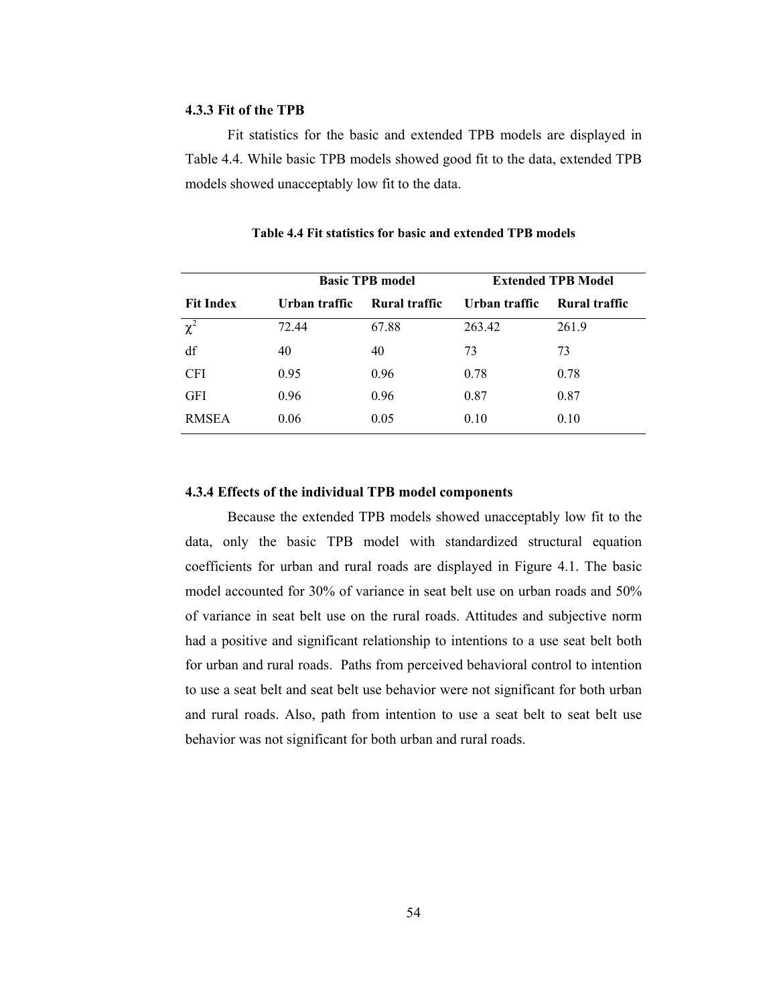#### 4.3.3 Fit of the TPB

Fit statistics for the basic and extended TPB models are displayed in Table 4.4. While basic TPB models showed good fit to the data, extended TPB models showed unacceptably low fit to the data.

|                     | <b>Basic TPB model</b> |               | <b>Extended TPB Model</b> |               |
|---------------------|------------------------|---------------|---------------------------|---------------|
| <b>Fit Index</b>    | Urban traffic          | Rural traffic | Urban traffic             | Rural traffic |
| $\overline{\chi^2}$ | 72.44                  | 67.88         | 263.42                    | 261.9         |
| df                  | 40                     | 40            | 73                        | 73            |
| <b>CFI</b>          | 0.95                   | 0.96          | 0.78                      | 0.78          |
| <b>GFI</b>          | 0.96                   | 0.96          | 0.87                      | 0.87          |
| <b>RMSEA</b>        | 0.06                   | 0.05          | 0.10                      | 0.10          |

Table 4.4 Fit statistics for basic and extended TPB models

#### 4.3.4 Effects of the individual TPB model components

Because the extended TPB models showed unacceptably low fit to the data, only the basic TPB model with standardized structural equation coefficients for urban and rural roads are displayed in Figure 4.1. The basic model accounted for 30% of variance in seat belt use on urban roads and 50% of variance in seat belt use on the rural roads. Attitudes and subjective norm had a positive and significant relationship to intentions to a use seat belt both for urban and rural roads. Paths from perceived behavioral control to intention to use a seat belt and seat belt use behavior were not significant for both urban and rural roads. Also, path from intention to use a seat belt to seat belt use behavior was not significant for both urban and rural roads.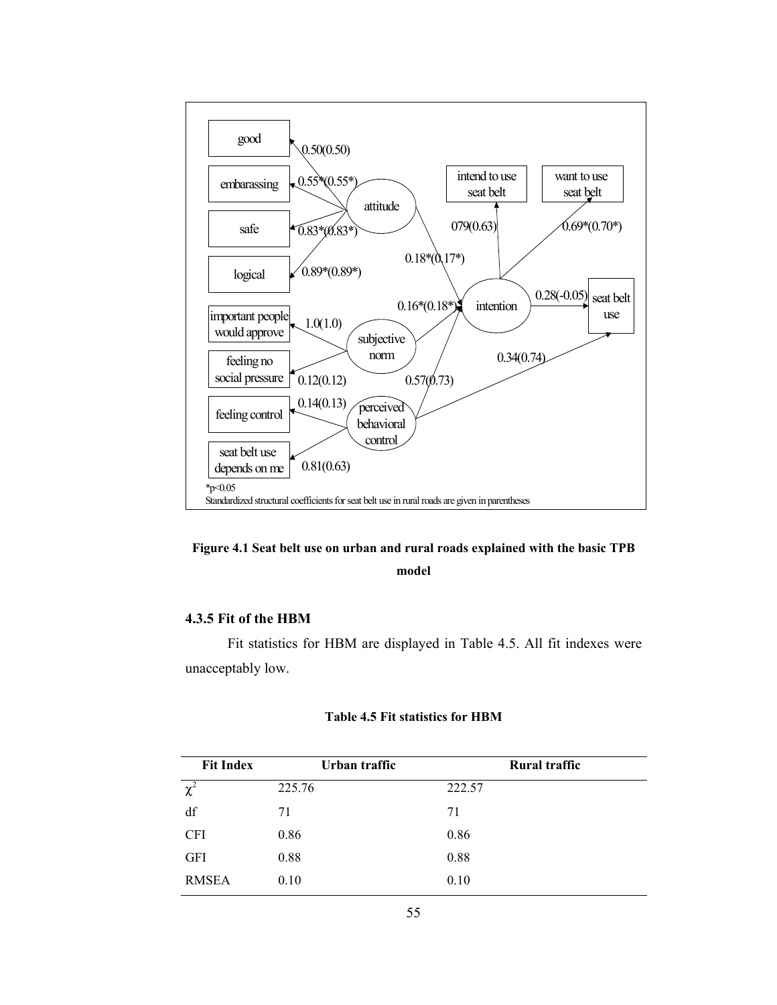

## Figure 4.1 Seat belt use on urban and rural roads explained with the basic TPB model

## 4.3.5 Fit of the HBM

Fit statistics for HBM are displayed in Table 4.5. All fit indexes were unacceptably low.

#### Table 4.5 Fit statistics for HBM

| <b>Fit Index</b> | Urban traffic | <b>Rural traffic</b> |
|------------------|---------------|----------------------|
| $\chi^2$         | 225.76        | 222.57               |
| df               | 71            | 71                   |
| <b>CFI</b>       | 0.86          | 0.86                 |
| GFI              | 0.88          | 0.88                 |
| <b>RMSEA</b>     | 0.10          | 0.10                 |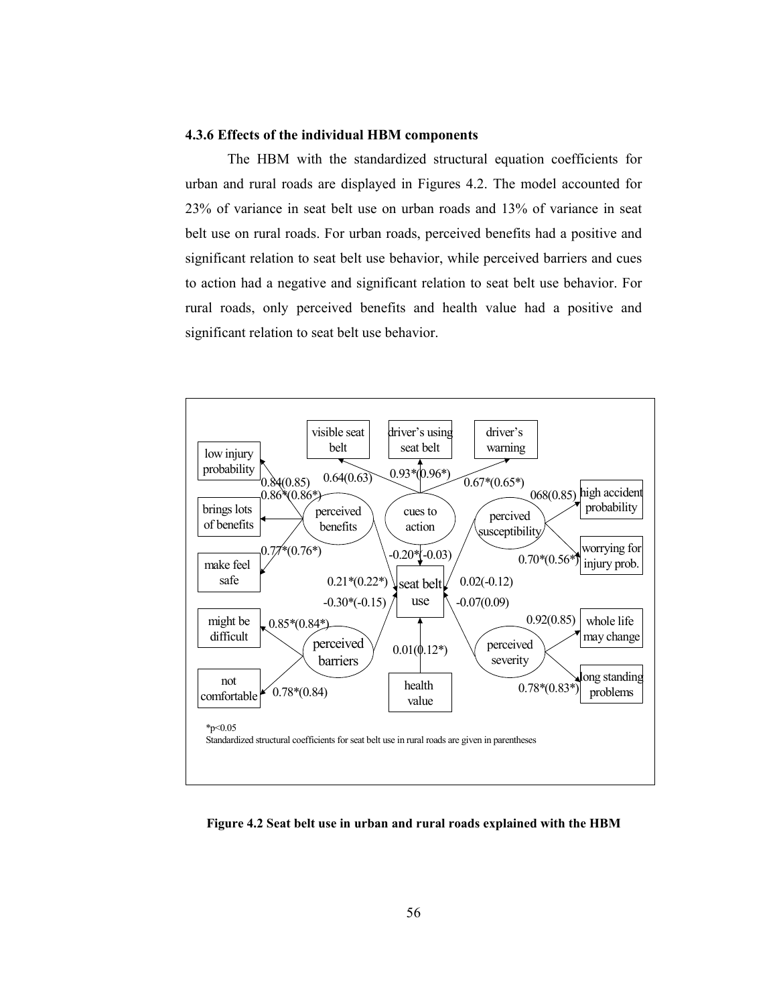## 4.3.6 Effects of the individual HBM components

The HBM with the standardized structural equation coefficients for urban and rural roads are displayed in Figures 4.2. The model accounted for 23% of variance in seat belt use on urban roads and 13% of variance in seat belt use on rural roads. For urban roads, perceived benefits had a positive and significant relation to seat belt use behavior, while perceived barriers and cues to action had a negative and significant relation to seat belt use behavior. For rural roads, only perceived benefits and health value had a positive and significant relation to seat belt use behavior.



Figure 4.2 Seat belt use in urban and rural roads explained with the HBM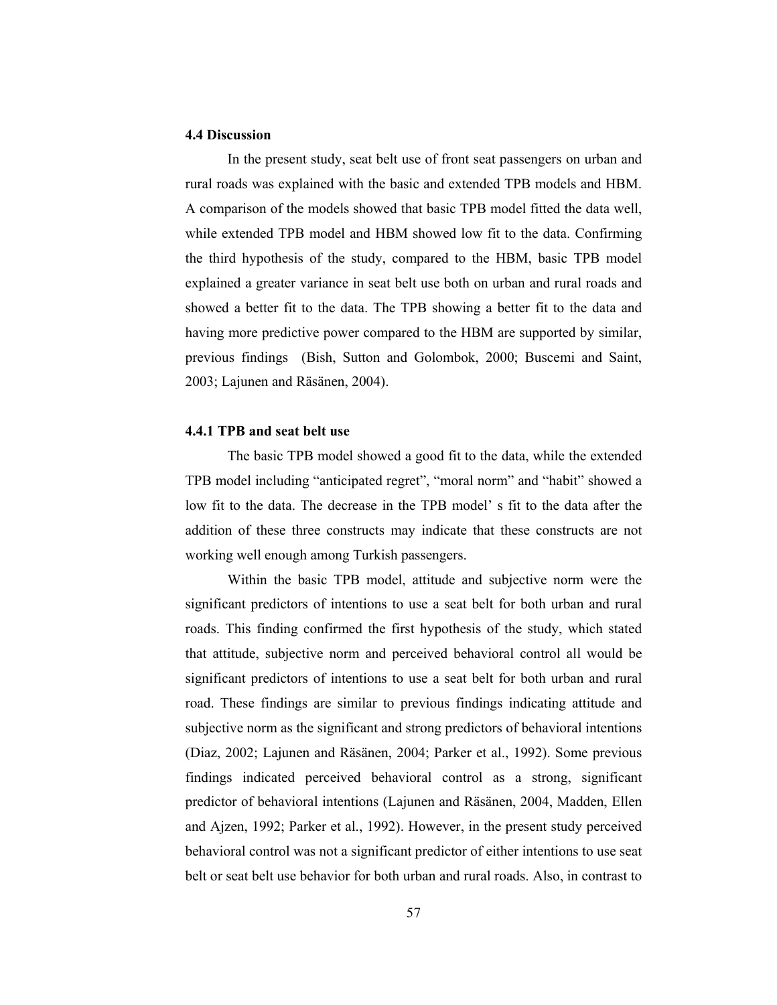## 4.4 Discussion

In the present study, seat belt use of front seat passengers on urban and rural roads was explained with the basic and extended TPB models and HBM. A comparison of the models showed that basic TPB model fitted the data well, while extended TPB model and HBM showed low fit to the data. Confirming the third hypothesis of the study, compared to the HBM, basic TPB model explained a greater variance in seat belt use both on urban and rural roads and showed a better fit to the data. The TPB showing a better fit to the data and having more predictive power compared to the HBM are supported by similar, previous findings (Bish, Sutton and Golombok, 2000; Buscemi and Saint, 2003; Lajunen and Räsänen, 2004).

## 4.4.1 TPB and seat belt use

The basic TPB model showed a good fit to the data, while the extended TPB model including "anticipated regret", "moral norm" and "habit" showed a low fit to the data. The decrease in the TPB model' s fit to the data after the addition of these three constructs may indicate that these constructs are not working well enough among Turkish passengers.

Within the basic TPB model, attitude and subjective norm were the significant predictors of intentions to use a seat belt for both urban and rural roads. This finding confirmed the first hypothesis of the study, which stated that attitude, subjective norm and perceived behavioral control all would be significant predictors of intentions to use a seat belt for both urban and rural road. These findings are similar to previous findings indicating attitude and subjective norm as the significant and strong predictors of behavioral intentions (Diaz, 2002; Lajunen and Räsänen, 2004; Parker et al., 1992). Some previous findings indicated perceived behavioral control as a strong, significant predictor of behavioral intentions (Lajunen and Räsänen, 2004, Madden, Ellen and Ajzen, 1992; Parker et al., 1992). However, in the present study perceived behavioral control was not a significant predictor of either intentions to use seat belt or seat belt use behavior for both urban and rural roads. Also, in contrast to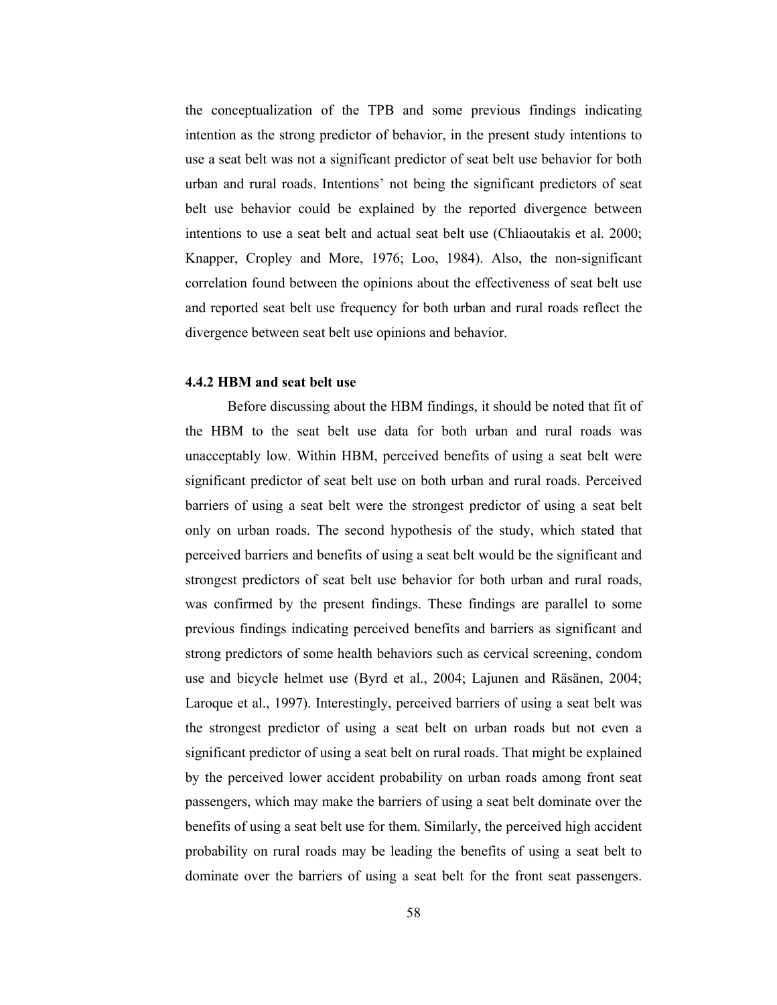the conceptualization of the TPB and some previous findings indicating intention as the strong predictor of behavior, in the present study intentions to use a seat belt was not a significant predictor of seat belt use behavior for both urban and rural roads. Intentions' not being the significant predictors of seat belt use behavior could be explained by the reported divergence between intentions to use a seat belt and actual seat belt use (Chliaoutakis et al. 2000; Knapper, Cropley and More, 1976; Loo, 1984). Also, the non-significant correlation found between the opinions about the effectiveness of seat belt use and reported seat belt use frequency for both urban and rural roads reflect the divergence between seat belt use opinions and behavior.

#### 4.4.2 HBM and seat belt use

 Before discussing about the HBM findings, it should be noted that fit of the HBM to the seat belt use data for both urban and rural roads was unacceptably low. Within HBM, perceived benefits of using a seat belt were significant predictor of seat belt use on both urban and rural roads. Perceived barriers of using a seat belt were the strongest predictor of using a seat belt only on urban roads. The second hypothesis of the study, which stated that perceived barriers and benefits of using a seat belt would be the significant and strongest predictors of seat belt use behavior for both urban and rural roads, was confirmed by the present findings. These findings are parallel to some previous findings indicating perceived benefits and barriers as significant and strong predictors of some health behaviors such as cervical screening, condom use and bicycle helmet use (Byrd et al., 2004; Lajunen and Räsänen, 2004; Laroque et al., 1997). Interestingly, perceived barriers of using a seat belt was the strongest predictor of using a seat belt on urban roads but not even a significant predictor of using a seat belt on rural roads. That might be explained by the perceived lower accident probability on urban roads among front seat passengers, which may make the barriers of using a seat belt dominate over the benefits of using a seat belt use for them. Similarly, the perceived high accident probability on rural roads may be leading the benefits of using a seat belt to dominate over the barriers of using a seat belt for the front seat passengers.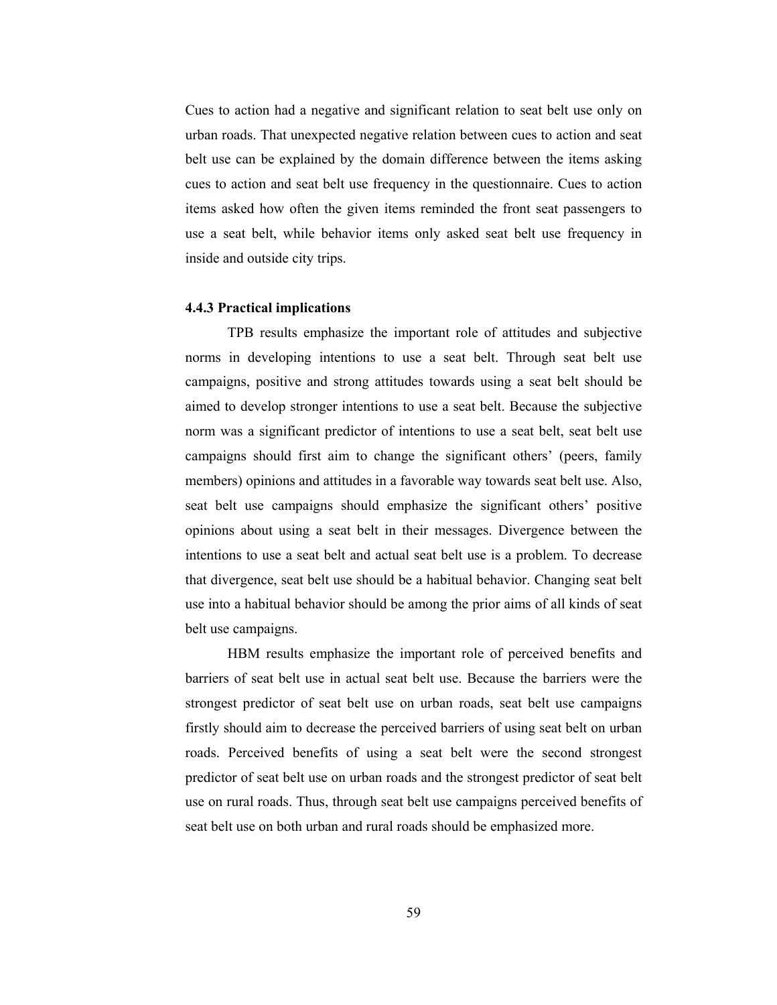Cues to action had a negative and significant relation to seat belt use only on urban roads. That unexpected negative relation between cues to action and seat belt use can be explained by the domain difference between the items asking cues to action and seat belt use frequency in the questionnaire. Cues to action items asked how often the given items reminded the front seat passengers to use a seat belt, while behavior items only asked seat belt use frequency in inside and outside city trips.

#### 4.4.3 Practical implications

TPB results emphasize the important role of attitudes and subjective norms in developing intentions to use a seat belt. Through seat belt use campaigns, positive and strong attitudes towards using a seat belt should be aimed to develop stronger intentions to use a seat belt. Because the subjective norm was a significant predictor of intentions to use a seat belt, seat belt use campaigns should first aim to change the significant others' (peers, family members) opinions and attitudes in a favorable way towards seat belt use. Also, seat belt use campaigns should emphasize the significant others' positive opinions about using a seat belt in their messages. Divergence between the intentions to use a seat belt and actual seat belt use is a problem. To decrease that divergence, seat belt use should be a habitual behavior. Changing seat belt use into a habitual behavior should be among the prior aims of all kinds of seat belt use campaigns.

 HBM results emphasize the important role of perceived benefits and barriers of seat belt use in actual seat belt use. Because the barriers were the strongest predictor of seat belt use on urban roads, seat belt use campaigns firstly should aim to decrease the perceived barriers of using seat belt on urban roads. Perceived benefits of using a seat belt were the second strongest predictor of seat belt use on urban roads and the strongest predictor of seat belt use on rural roads. Thus, through seat belt use campaigns perceived benefits of seat belt use on both urban and rural roads should be emphasized more.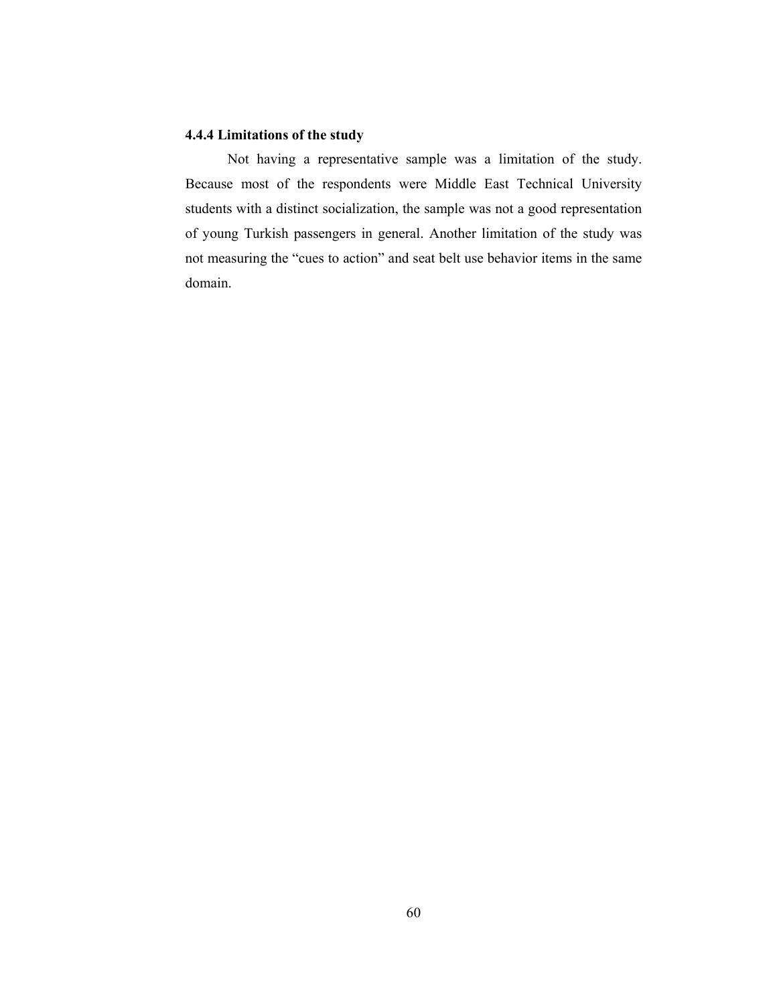# 4.4.4 Limitations of the study

Not having a representative sample was a limitation of the study. Because most of the respondents were Middle East Technical University students with a distinct socialization, the sample was not a good representation of young Turkish passengers in general. Another limitation of the study was not measuring the "cues to action" and seat belt use behavior items in the same domain.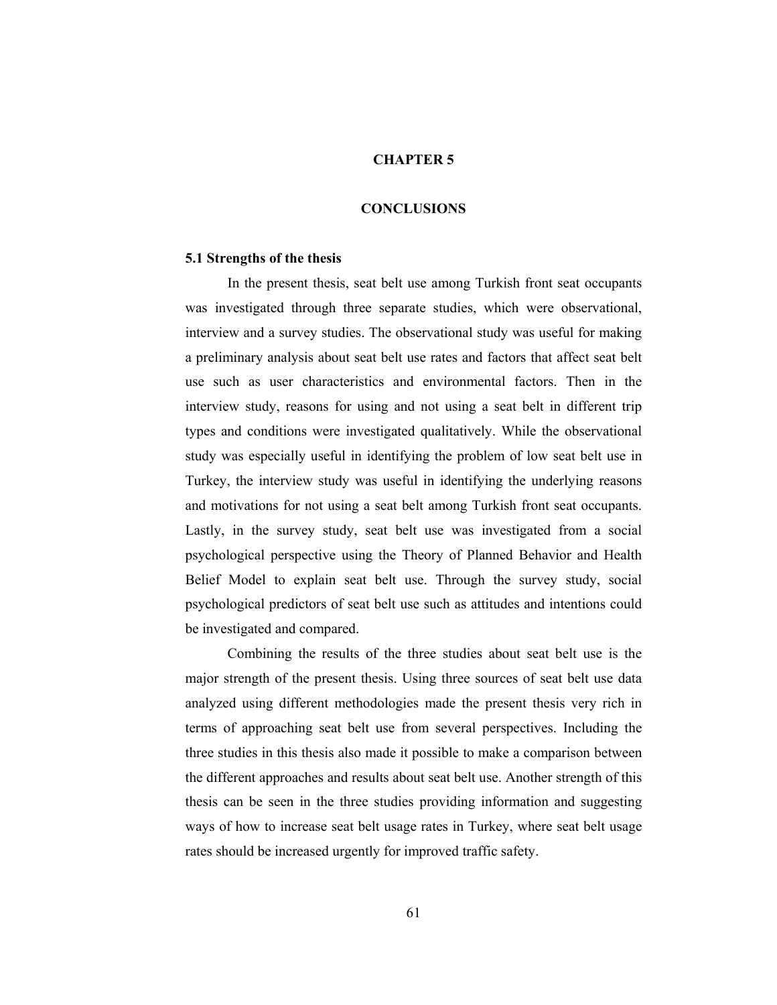## CHAPTER 5

## **CONCLUSIONS**

#### 5.1 Strengths of the thesis

In the present thesis, seat belt use among Turkish front seat occupants was investigated through three separate studies, which were observational, interview and a survey studies. The observational study was useful for making a preliminary analysis about seat belt use rates and factors that affect seat belt use such as user characteristics and environmental factors. Then in the interview study, reasons for using and not using a seat belt in different trip types and conditions were investigated qualitatively. While the observational study was especially useful in identifying the problem of low seat belt use in Turkey, the interview study was useful in identifying the underlying reasons and motivations for not using a seat belt among Turkish front seat occupants. Lastly, in the survey study, seat belt use was investigated from a social psychological perspective using the Theory of Planned Behavior and Health Belief Model to explain seat belt use. Through the survey study, social psychological predictors of seat belt use such as attitudes and intentions could be investigated and compared.

Combining the results of the three studies about seat belt use is the major strength of the present thesis. Using three sources of seat belt use data analyzed using different methodologies made the present thesis very rich in terms of approaching seat belt use from several perspectives. Including the three studies in this thesis also made it possible to make a comparison between the different approaches and results about seat belt use. Another strength of this thesis can be seen in the three studies providing information and suggesting ways of how to increase seat belt usage rates in Turkey, where seat belt usage rates should be increased urgently for improved traffic safety.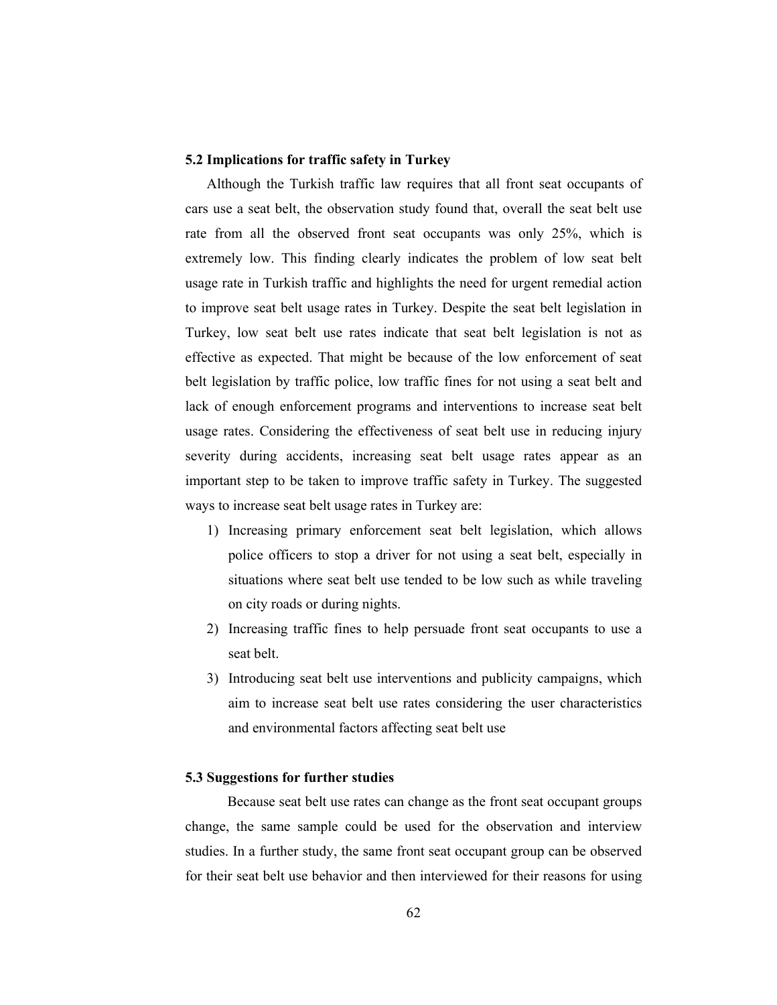## 5.2 Implications for traffic safety in Turkey

Although the Turkish traffic law requires that all front seat occupants of cars use a seat belt, the observation study found that, overall the seat belt use rate from all the observed front seat occupants was only 25%, which is extremely low. This finding clearly indicates the problem of low seat belt usage rate in Turkish traffic and highlights the need for urgent remedial action to improve seat belt usage rates in Turkey. Despite the seat belt legislation in Turkey, low seat belt use rates indicate that seat belt legislation is not as effective as expected. That might be because of the low enforcement of seat belt legislation by traffic police, low traffic fines for not using a seat belt and lack of enough enforcement programs and interventions to increase seat belt usage rates. Considering the effectiveness of seat belt use in reducing injury severity during accidents, increasing seat belt usage rates appear as an important step to be taken to improve traffic safety in Turkey. The suggested ways to increase seat belt usage rates in Turkey are:

- 1) Increasing primary enforcement seat belt legislation, which allows police officers to stop a driver for not using a seat belt, especially in situations where seat belt use tended to be low such as while traveling on city roads or during nights.
- 2) Increasing traffic fines to help persuade front seat occupants to use a seat belt.
- 3) Introducing seat belt use interventions and publicity campaigns, which aim to increase seat belt use rates considering the user characteristics and environmental factors affecting seat belt use

### 5.3 Suggestions for further studies

Because seat belt use rates can change as the front seat occupant groups change, the same sample could be used for the observation and interview studies. In a further study, the same front seat occupant group can be observed for their seat belt use behavior and then interviewed for their reasons for using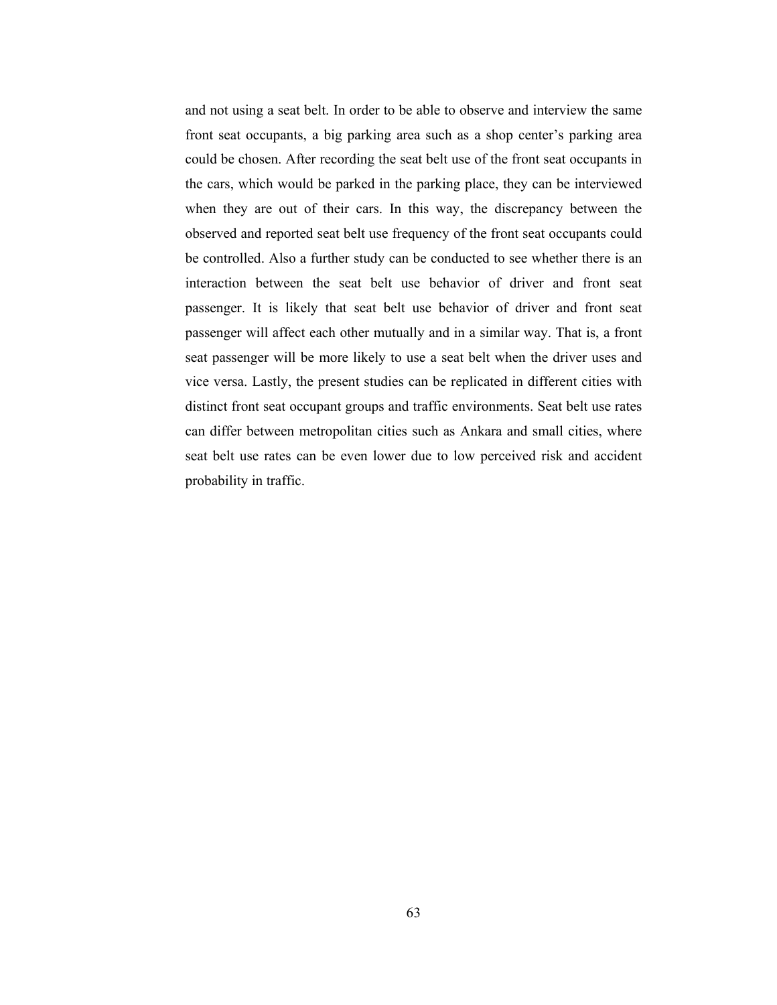and not using a seat belt. In order to be able to observe and interview the same front seat occupants, a big parking area such as a shop center's parking area could be chosen. After recording the seat belt use of the front seat occupants in the cars, which would be parked in the parking place, they can be interviewed when they are out of their cars. In this way, the discrepancy between the observed and reported seat belt use frequency of the front seat occupants could be controlled. Also a further study can be conducted to see whether there is an interaction between the seat belt use behavior of driver and front seat passenger. It is likely that seat belt use behavior of driver and front seat passenger will affect each other mutually and in a similar way. That is, a front seat passenger will be more likely to use a seat belt when the driver uses and vice versa. Lastly, the present studies can be replicated in different cities with distinct front seat occupant groups and traffic environments. Seat belt use rates can differ between metropolitan cities such as Ankara and small cities, where seat belt use rates can be even lower due to low perceived risk and accident probability in traffic.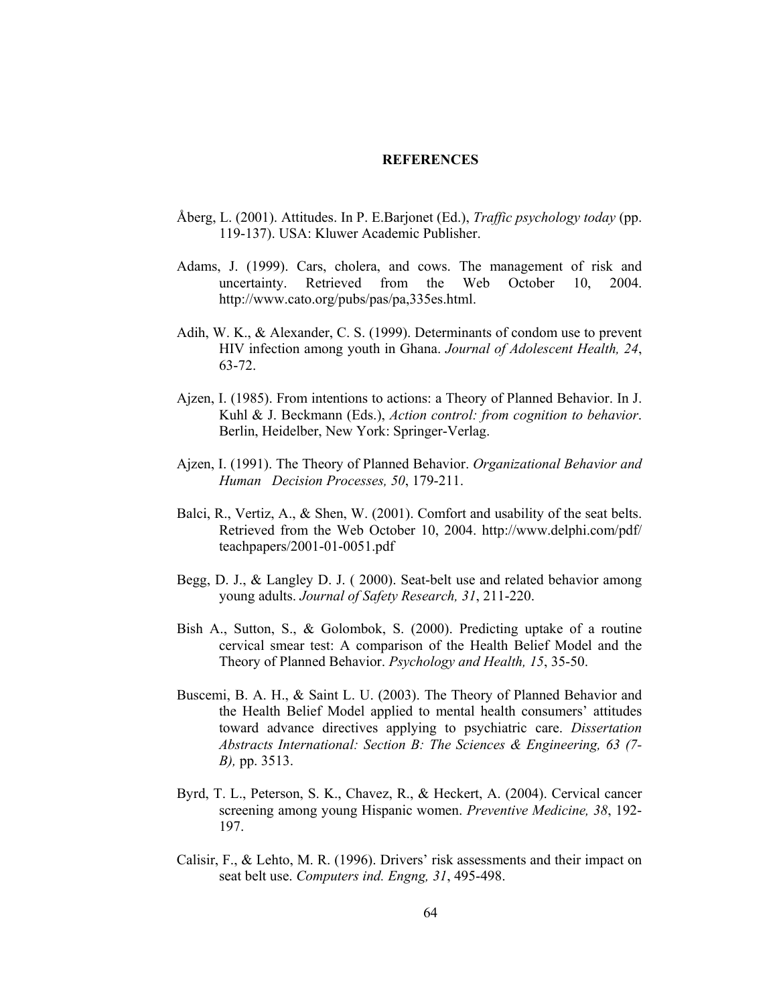### REFERENCES

- Åberg, L. (2001). Attitudes. In P. E.Barjonet (Ed.), *Traffic psychology today* (pp. 119-137). USA: Kluwer Academic Publisher.
- Adams, J. (1999). Cars, cholera, and cows. The management of risk and uncertainty. Retrieved from the Web October 10, 2004. http://www.cato.org/pubs/pas/pa,335es.html.
- Adih, W. K., & Alexander, C. S. (1999). Determinants of condom use to prevent HIV infection among youth in Ghana. Journal of Adolescent Health, 24, 63-72.
- Ajzen, I. (1985). From intentions to actions: a Theory of Planned Behavior. In J. Kuhl & J. Beckmann (Eds.), Action control: from cognition to behavior. Berlin, Heidelber, New York: Springer-Verlag.
- Ajzen, I. (1991). The Theory of Planned Behavior. Organizational Behavior and Human Decision Processes, 50, 179-211.
- Balci, R., Vertiz, A., & Shen, W. (2001). Comfort and usability of the seat belts. Retrieved from the Web October 10, 2004. http://www.delphi.com/pdf/ teachpapers/2001-01-0051.pdf
- Begg, D. J., & Langley D. J. ( 2000). Seat-belt use and related behavior among young adults. Journal of Safety Research, 31, 211-220.
- Bish A., Sutton, S., & Golombok, S. (2000). Predicting uptake of a routine cervical smear test: A comparison of the Health Belief Model and the Theory of Planned Behavior. Psychology and Health, 15, 35-50.
- Buscemi, B. A. H., & Saint L. U. (2003). The Theory of Planned Behavior and the Health Belief Model applied to mental health consumers' attitudes toward advance directives applying to psychiatric care. Dissertation Abstracts International: Section B: The Sciences & Engineering, 63 (7- B), pp. 3513.
- Byrd, T. L., Peterson, S. K., Chavez, R., & Heckert, A. (2004). Cervical cancer screening among young Hispanic women. Preventive Medicine, 38, 192- 197.
- Calisir, F., & Lehto, M. R. (1996). Drivers' risk assessments and their impact on seat belt use. Computers ind. Engng, 31, 495-498.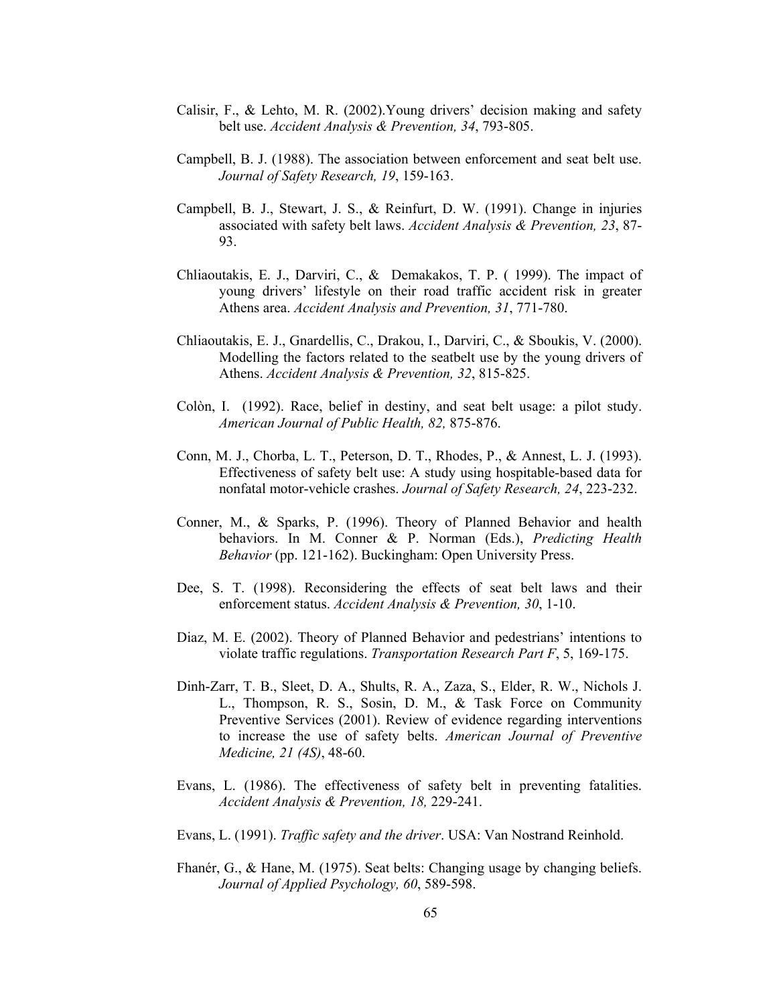- Calisir, F., & Lehto, M. R. (2002).Young drivers' decision making and safety belt use. Accident Analysis & Prevention, 34, 793-805.
- Campbell, B. J. (1988). The association between enforcement and seat belt use. Journal of Safety Research, 19, 159-163.
- Campbell, B. J., Stewart, J. S., & Reinfurt, D. W. (1991). Change in injuries associated with safety belt laws. Accident Analysis & Prevention, 23, 87- 93.
- Chliaoutakis, E. J., Darviri, C., & Demakakos, T. P. ( 1999). The impact of young drivers' lifestyle on their road traffic accident risk in greater Athens area. Accident Analysis and Prevention, 31, 771-780.
- Chliaoutakis, E. J., Gnardellis, C., Drakou, I., Darviri, C., & Sboukis, V. (2000). Modelling the factors related to the seatbelt use by the young drivers of Athens. Accident Analysis & Prevention, 32, 815-825.
- Colòn, I. (1992). Race, belief in destiny, and seat belt usage: a pilot study. American Journal of Public Health, 82, 875-876.
- Conn, M. J., Chorba, L. T., Peterson, D. T., Rhodes, P., & Annest, L. J. (1993). Effectiveness of safety belt use: A study using hospitable-based data for nonfatal motor-vehicle crashes. Journal of Safety Research, 24, 223-232.
- Conner, M., & Sparks, P. (1996). Theory of Planned Behavior and health behaviors. In M. Conner & P. Norman (Eds.), Predicting Health Behavior (pp. 121-162). Buckingham: Open University Press.
- Dee, S. T. (1998). Reconsidering the effects of seat belt laws and their enforcement status. Accident Analysis & Prevention, 30, 1-10.
- Diaz, M. E. (2002). Theory of Planned Behavior and pedestrians' intentions to violate traffic regulations. Transportation Research Part F, 5, 169-175.
- Dinh-Zarr, T. B., Sleet, D. A., Shults, R. A., Zaza, S., Elder, R. W., Nichols J. L., Thompson, R. S., Sosin, D. M., & Task Force on Community Preventive Services (2001). Review of evidence regarding interventions to increase the use of safety belts. American Journal of Preventive Medicine, 21 (4S), 48-60.
- Evans, L. (1986). The effectiveness of safety belt in preventing fatalities. Accident Analysis & Prevention, 18, 229-241.
- Evans, L. (1991). Traffic safety and the driver. USA: Van Nostrand Reinhold.
- Fhanér, G., & Hane, M. (1975). Seat belts: Changing usage by changing beliefs. Journal of Applied Psychology, 60, 589-598.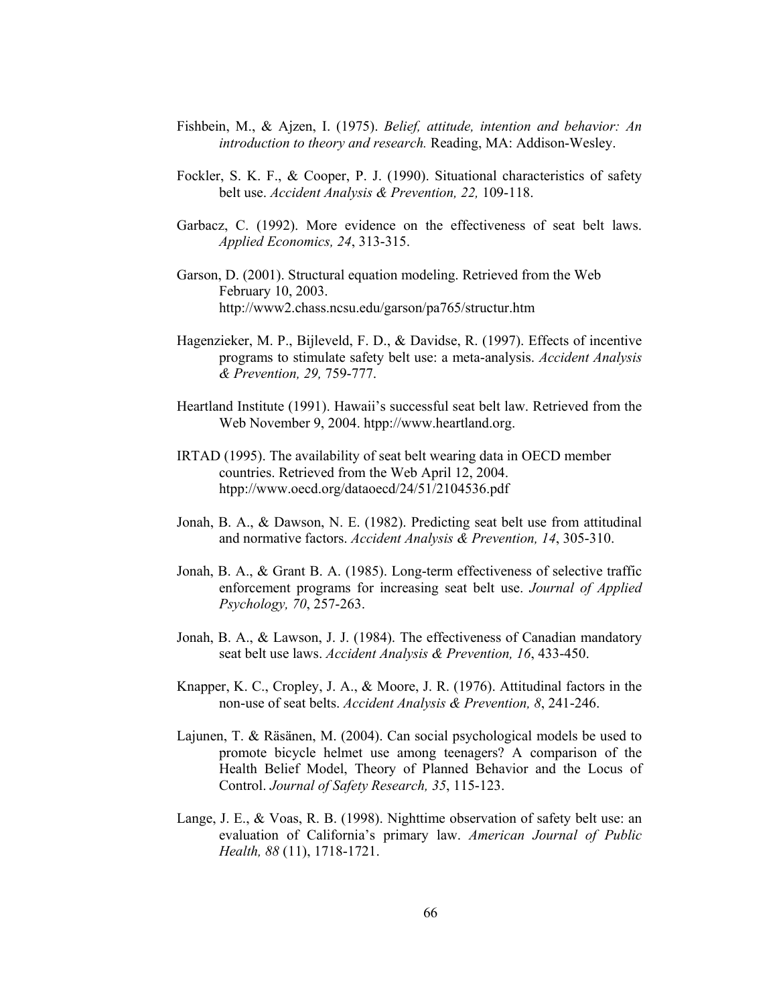- Fishbein, M., & Ajzen, I. (1975). Belief, attitude, intention and behavior: An introduction to theory and research. Reading, MA: Addison-Wesley.
- Fockler, S. K. F., & Cooper, P. J. (1990). Situational characteristics of safety belt use. Accident Analysis & Prevention, 22, 109-118.
- Garbacz, C. (1992). More evidence on the effectiveness of seat belt laws. Applied Economics, 24, 313-315.
- Garson, D. (2001). Structural equation modeling. Retrieved from the Web February 10, 2003. http://www2.chass.ncsu.edu/garson/pa765/structur.htm
- Hagenzieker, M. P., Bijleveld, F. D., & Davidse, R. (1997). Effects of incentive programs to stimulate safety belt use: a meta-analysis. Accident Analysis & Prevention, 29, 759-777.
- Heartland Institute (1991). Hawaii's successful seat belt law. Retrieved from the Web November 9, 2004. htpp://www.heartland.org.
- IRTAD (1995). The availability of seat belt wearing data in OECD member countries. Retrieved from the Web April 12, 2004. htpp://www.oecd.org/dataoecd/24/51/2104536.pdf
- Jonah, B. A., & Dawson, N. E. (1982). Predicting seat belt use from attitudinal and normative factors. Accident Analysis & Prevention, 14, 305-310.
- Jonah, B. A., & Grant B. A. (1985). Long-term effectiveness of selective traffic enforcement programs for increasing seat belt use. Journal of Applied Psychology, 70, 257-263.
- Jonah, B. A., & Lawson, J. J. (1984). The effectiveness of Canadian mandatory seat belt use laws. Accident Analysis & Prevention, 16, 433-450.
- Knapper, K. C., Cropley, J. A., & Moore, J. R. (1976). Attitudinal factors in the non-use of seat belts. Accident Analysis & Prevention, 8, 241-246.
- Lajunen, T. & Räsänen, M. (2004). Can social psychological models be used to promote bicycle helmet use among teenagers? A comparison of the Health Belief Model, Theory of Planned Behavior and the Locus of Control. Journal of Safety Research, 35, 115-123.
- Lange, J. E., & Voas, R. B. (1998). Nighttime observation of safety belt use: an evaluation of California's primary law. American Journal of Public Health, 88 (11), 1718-1721.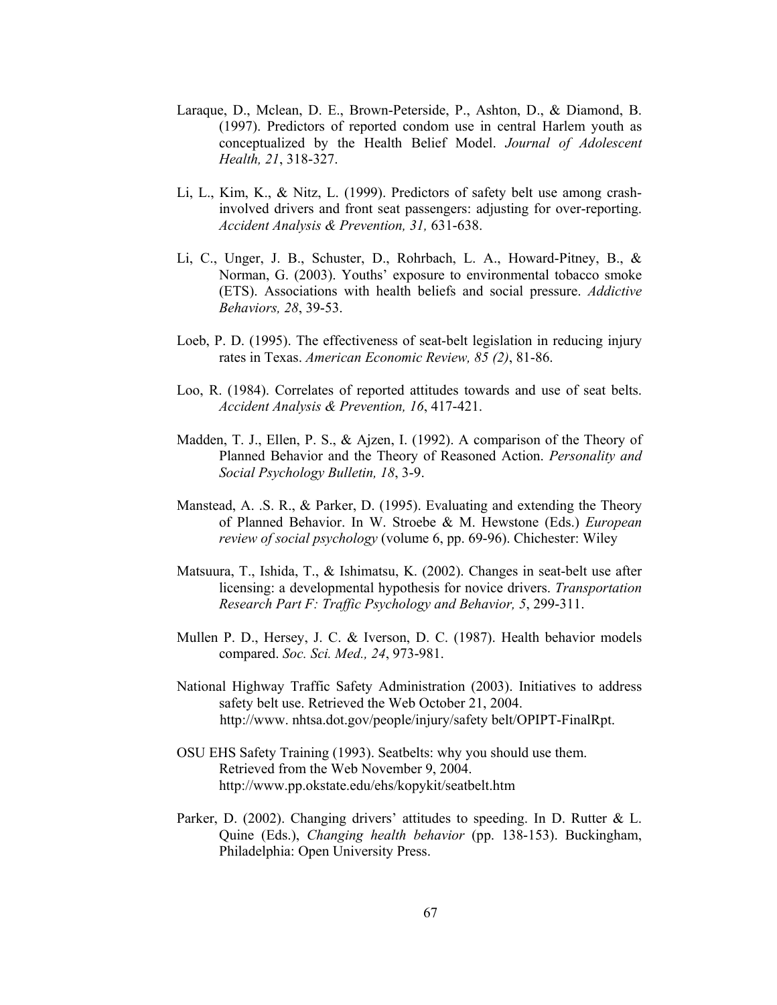- Laraque, D., Mclean, D. E., Brown-Peterside, P., Ashton, D., & Diamond, B. (1997). Predictors of reported condom use in central Harlem youth as conceptualized by the Health Belief Model. Journal of Adolescent Health, 21, 318-327.
- Li, L., Kim, K., & Nitz, L. (1999). Predictors of safety belt use among crashinvolved drivers and front seat passengers: adjusting for over-reporting. Accident Analysis & Prevention, 31, 631-638.
- Li, C., Unger, J. B., Schuster, D., Rohrbach, L. A., Howard-Pitney, B., & Norman, G. (2003). Youths' exposure to environmental tobacco smoke (ETS). Associations with health beliefs and social pressure. Addictive Behaviors, 28, 39-53.
- Loeb, P. D. (1995). The effectiveness of seat-belt legislation in reducing injury rates in Texas. American Economic Review, 85 (2), 81-86.
- Loo, R. (1984). Correlates of reported attitudes towards and use of seat belts. Accident Analysis & Prevention, 16, 417-421.
- Madden, T. J., Ellen, P. S., & Ajzen, I. (1992). A comparison of the Theory of Planned Behavior and the Theory of Reasoned Action. Personality and Social Psychology Bulletin, 18, 3-9.
- Manstead, A. .S. R., & Parker, D. (1995). Evaluating and extending the Theory of Planned Behavior. In W. Stroebe & M. Hewstone (Eds.) European review of social psychology (volume 6, pp. 69-96). Chichester: Wiley
- Matsuura, T., Ishida, T., & Ishimatsu, K. (2002). Changes in seat-belt use after licensing: a developmental hypothesis for novice drivers. Transportation Research Part F: Traffic Psychology and Behavior, 5, 299-311.
- Mullen P. D., Hersey, J. C. & Iverson, D. C. (1987). Health behavior models compared. Soc. Sci. Med., 24, 973-981.
- National Highway Traffic Safety Administration (2003). Initiatives to address safety belt use. Retrieved the Web October 21, 2004. http://www. nhtsa.dot.gov/people/injury/safety belt/OPIPT-FinalRpt.
- OSU EHS Safety Training (1993). Seatbelts: why you should use them. Retrieved from the Web November 9, 2004. http://www.pp.okstate.edu/ehs/kopykit/seatbelt.htm
- Parker, D. (2002). Changing drivers' attitudes to speeding. In D. Rutter & L. Quine (Eds.), Changing health behavior (pp. 138-153). Buckingham, Philadelphia: Open University Press.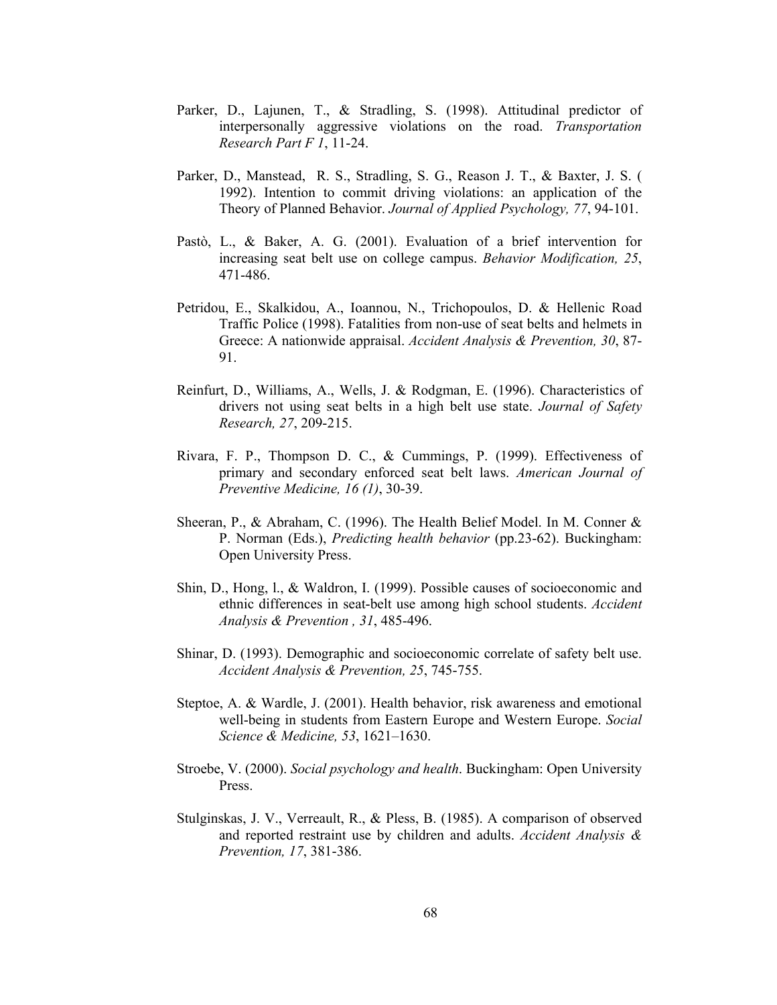- Parker, D., Lajunen, T., & Stradling, S. (1998). Attitudinal predictor of interpersonally aggressive violations on the road. Transportation Research Part F 1, 11-24.
- Parker, D., Manstead, R. S., Stradling, S. G., Reason J. T., & Baxter, J. S. ( 1992). Intention to commit driving violations: an application of the Theory of Planned Behavior. Journal of Applied Psychology, 77, 94-101.
- Pastò, L., & Baker, A. G. (2001). Evaluation of a brief intervention for increasing seat belt use on college campus. Behavior Modification, 25, 471-486.
- Petridou, E., Skalkidou, A., Ioannou, N., Trichopoulos, D. & Hellenic Road Traffic Police (1998). Fatalities from non-use of seat belts and helmets in Greece: A nationwide appraisal. Accident Analysis & Prevention, 30, 87- 91.
- Reinfurt, D., Williams, A., Wells, J. & Rodgman, E. (1996). Characteristics of drivers not using seat belts in a high belt use state. Journal of Safety Research, 27, 209-215.
- Rivara, F. P., Thompson D. C., & Cummings, P. (1999). Effectiveness of primary and secondary enforced seat belt laws. American Journal of Preventive Medicine, 16 (1), 30-39.
- Sheeran, P., & Abraham, C. (1996). The Health Belief Model. In M. Conner & P. Norman (Eds.), Predicting health behavior (pp.23-62). Buckingham: Open University Press.
- Shin, D., Hong, l., & Waldron, I. (1999). Possible causes of socioeconomic and ethnic differences in seat-belt use among high school students. Accident Analysis & Prevention , 31, 485-496.
- Shinar, D. (1993). Demographic and socioeconomic correlate of safety belt use. Accident Analysis & Prevention, 25, 745-755.
- Steptoe, A. & Wardle, J. (2001). Health behavior, risk awareness and emotional well-being in students from Eastern Europe and Western Europe. Social Science & Medicine, 53, 1621–1630.
- Stroebe, V. (2000). Social psychology and health. Buckingham: Open University Press.
- Stulginskas, J. V., Verreault, R., & Pless, B. (1985). A comparison of observed and reported restraint use by children and adults. Accident Analysis & Prevention, 17, 381-386.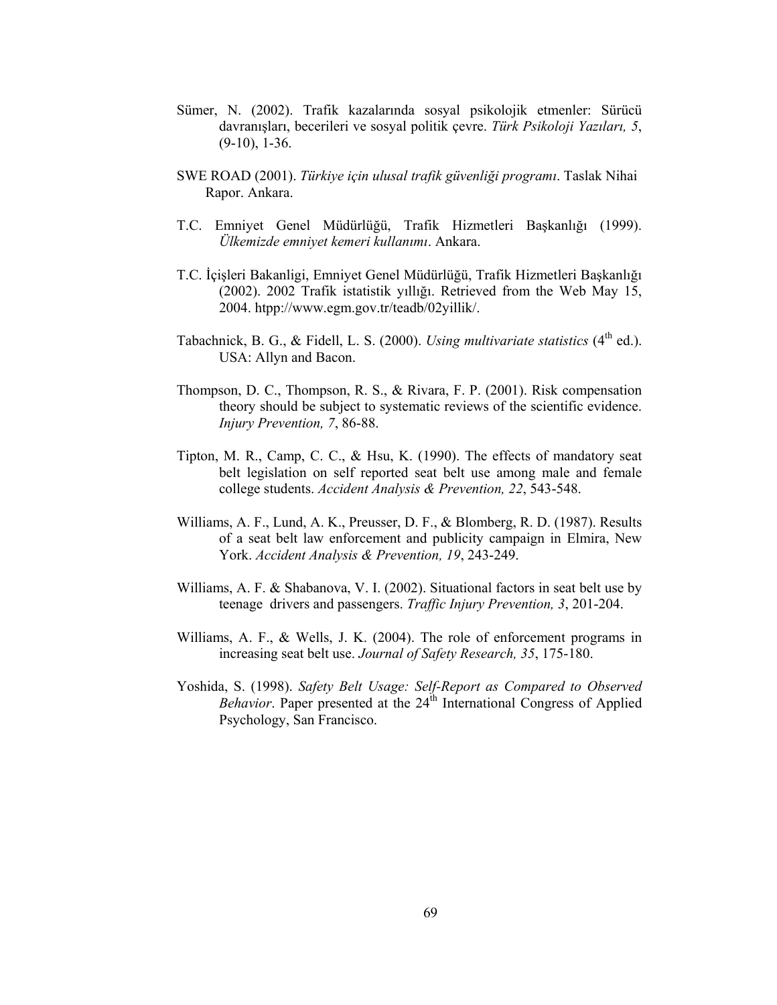- Sümer, N. (2002). Trafik kazalarında sosyal psikolojik etmenler: Sürücü davranışları, becerileri ve sosyal politik çevre. Türk Psikoloji Yazıları, 5,  $(9-10)$ , 1-36.
- SWE ROAD (2001). Türkiye için ulusal trafik güvenliği programı. Taslak Nihai Rapor. Ankara.
- T.C. Emniyet Genel Müdürlüğü, Trafik Hizmetleri Başkanlığı (1999). Ülkemizde emniyet kemeri kullanımı. Ankara.
- T.C. İçişleri Bakanligi, Emniyet Genel Müdürlüğü, Trafik Hizmetleri Başkanlığı (2002). 2002 Trafik istatistik yıllığı. Retrieved from the Web May 15, 2004. htpp://www.egm.gov.tr/teadb/02yillik/.
- Tabachnick, B. G., & Fidell, L. S. (2000). Using multivariate statistics  $(4<sup>th</sup>$  ed.). USA: Allyn and Bacon.
- Thompson, D. C., Thompson, R. S., & Rivara, F. P. (2001). Risk compensation theory should be subject to systematic reviews of the scientific evidence. Injury Prevention, 7, 86-88.
- Tipton, M. R., Camp, C. C., & Hsu, K. (1990). The effects of mandatory seat belt legislation on self reported seat belt use among male and female college students. Accident Analysis & Prevention, 22, 543-548.
- Williams, A. F., Lund, A. K., Preusser, D. F., & Blomberg, R. D. (1987). Results of a seat belt law enforcement and publicity campaign in Elmira, New York. Accident Analysis & Prevention, 19, 243-249.
- Williams, A. F. & Shabanova, V. I. (2002). Situational factors in seat belt use by teenage drivers and passengers. Traffic Injury Prevention, 3, 201-204.
- Williams, A. F., & Wells, J. K. (2004). The role of enforcement programs in increasing seat belt use. Journal of Safety Research, 35, 175-180.
- Yoshida, S. (1998). Safety Belt Usage: Self-Report as Compared to Observed Behavior. Paper presented at the  $24<sup>th</sup>$  International Congress of Applied Psychology, San Francisco.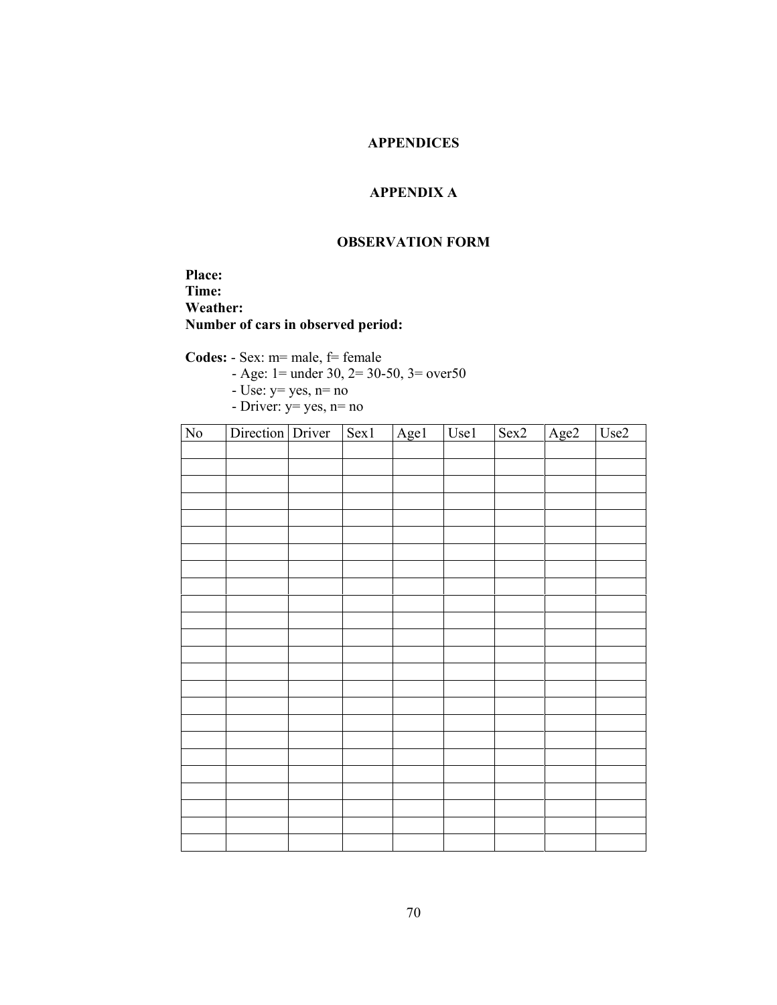# APPENDICES

# APPENDIX A

## OBSERVATION FORM

Place: Time: Weather: Number of cars in observed period:

Codes: - Sex: m= male, f= female

- Age: 1= under 30, 2= 30-50, 3= over50

- $-$  Use:  $y=$  yes,  $n=$  no
- Driver: y= yes, n= no

| $\overline{\text{No}}$ | Direction Driver | Sex1 | Age1 | $Use 1$ | $\overline{\text{Sex2}}$ | Age2 | Use2 |
|------------------------|------------------|------|------|---------|--------------------------|------|------|
|                        |                  |      |      |         |                          |      |      |
|                        |                  |      |      |         |                          |      |      |
|                        |                  |      |      |         |                          |      |      |
|                        |                  |      |      |         |                          |      |      |
|                        |                  |      |      |         |                          |      |      |
|                        |                  |      |      |         |                          |      |      |
|                        |                  |      |      |         |                          |      |      |
|                        |                  |      |      |         |                          |      |      |
|                        |                  |      |      |         |                          |      |      |
|                        |                  |      |      |         |                          |      |      |
|                        |                  |      |      |         |                          |      |      |
|                        |                  |      |      |         |                          |      |      |
|                        |                  |      |      |         |                          |      |      |
|                        |                  |      |      |         |                          |      |      |
|                        |                  |      |      |         |                          |      |      |
|                        |                  |      |      |         |                          |      |      |
|                        |                  |      |      |         |                          |      |      |
|                        |                  |      |      |         |                          |      |      |
|                        |                  |      |      |         |                          |      |      |
|                        |                  |      |      |         |                          |      |      |
|                        |                  |      |      |         |                          |      |      |
|                        |                  |      |      |         |                          |      |      |
|                        |                  |      |      |         |                          |      |      |
|                        |                  |      |      |         |                          |      |      |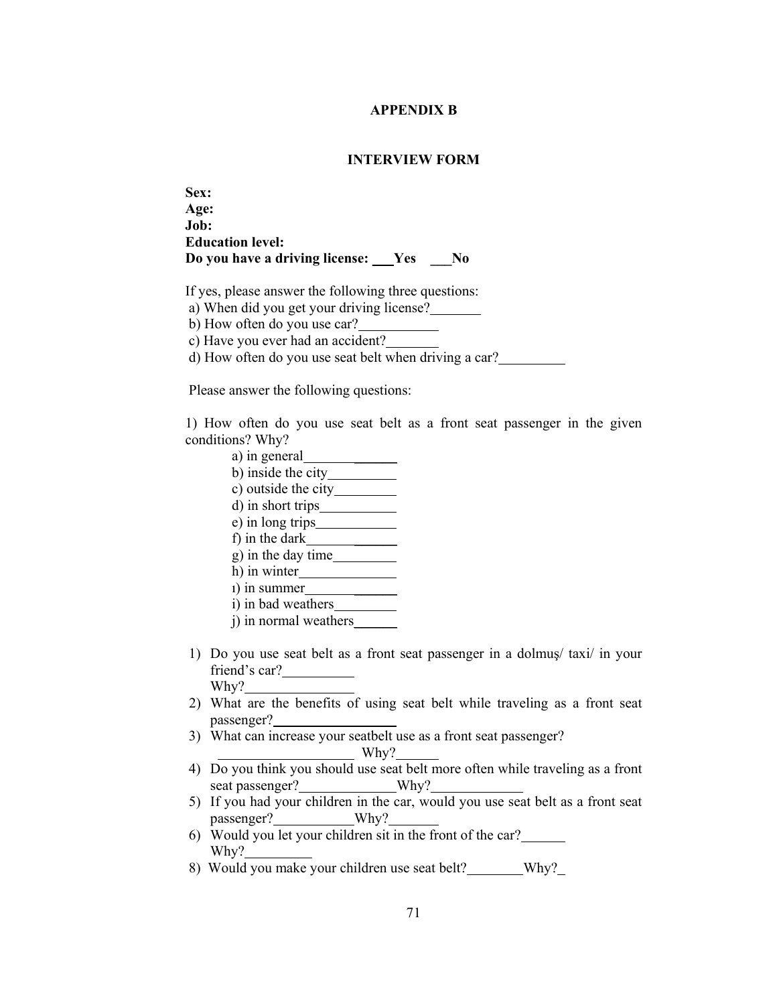### APPENDIX B

## INTERVIEW FORM

Sex: Age: Job: Education level: Do you have a driving license: Yes No

If yes, please answer the following three questions:

a) When did you get your driving license?

b) How often do you use car?

c) Have you ever had an accident?

d) How often do you use seat belt when driving a car?

Please answer the following questions:

1) How often do you use seat belt as a front seat passenger in the given conditions? Why?

- a) in general
- b) inside the city
- c) outside the city
- d) in short trips
- e) in long trips
- f) in the dark  $\frac{1}{\sqrt{2\pi}}$
- g) in the day time
- h) in winter  $\overline{\phantom{a}}$  in summer  $\overline{\phantom{a}}$
- i) in bad weathers
- j) in normal weathers
- 1) Do you use seat belt as a front seat passenger in a dolmuş/ taxi/ in your friend's car? Why?
- 2) What are the benefits of using seat belt while traveling as a front seat passenger?
- 3) What can increase your seatbelt use as a front seat passenger?

Why?

- 4) Do you think you should use seat belt more often while traveling as a front seat passenger? Why?
- 5) If you had your children in the car, would you use seat belt as a front seat passenger? Why?
- 6) Would you let your children sit in the front of the car? Why?
- 8) Would you make your children use seat belt? Why?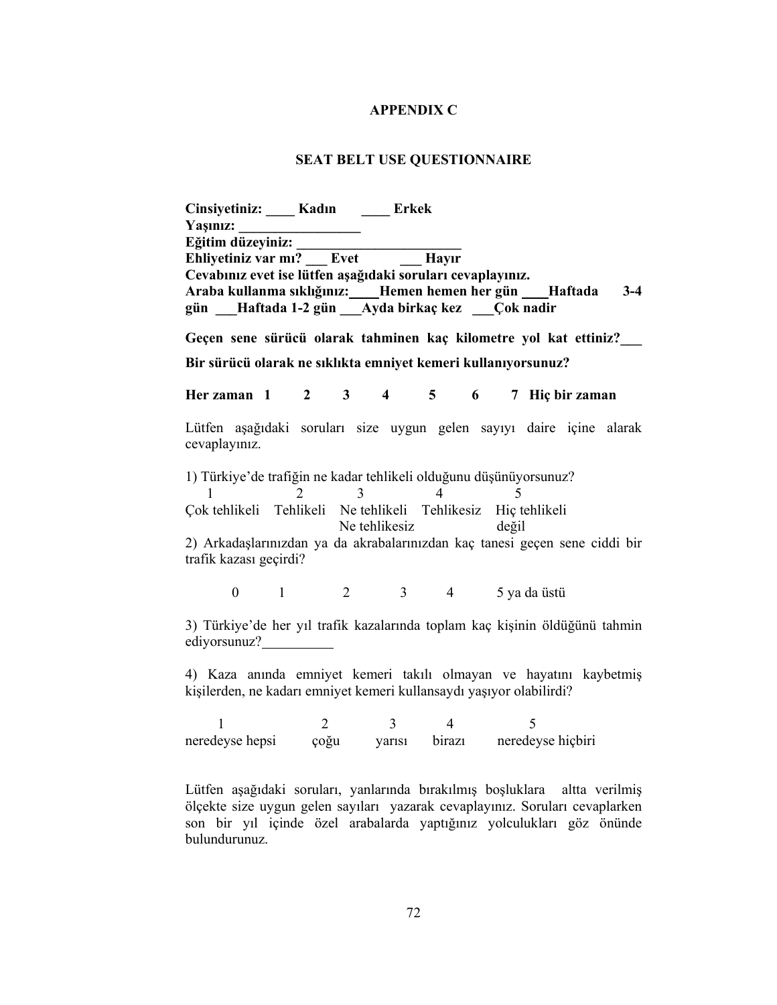#### APPENDIX C

## SEAT BELT USE QUESTIONNAIRE

Cinsiyetiniz: \_\_\_\_ Kadın \_\_\_\_ Erkek Yasınız: Eğitim düzeyiniz: \_\_\_\_\_\_\_\_\_\_\_\_\_\_\_\_\_\_\_\_\_\_\_ Ehliyetiniz var mı? \_\_\_ Evet \_\_\_ Hayır Cevabınız evet ise lütfen aşağıdaki soruları cevaplayınız. Araba kullanma sıklığınız: Hemen hemen her gün Haftada 3-4 gün \_\_\_Haftada 1-2 gün \_\_\_Ayda birkaç kez \_\_\_Çok nadir Geçen sene sürücü olarak tahminen kaç kilometre yol kat ettiniz?\_\_\_ Bir sürücü olarak ne sıklıkta emniyet kemeri kullanıyorsunuz? Her zaman  $1 \t2 \t3 \t4 \t5 \t6 \t7$  Hiç bir zaman Lütfen aşağıdaki soruları size uygun gelen sayıyı daire içine alarak cevaplayınız. 1) Türkiye'de trafiğin ne kadar tehlikeli olduğunu düşünüyorsunuz?  $1 \t 2 \t 3 \t 4 \t 5$ Çok tehlikeli Tehlikeli Ne tehlikeli Tehlikesiz Hiç tehlikeli Ne tehlikesiz değil 2) Arkadaşlarınızdan ya da akrabalarınızdan kaç tanesi geçen sene ciddi bir trafik kazası geçirdi? 0 1 2 3 4 5 ya da üstü 3) Türkiye'de her yıl trafik kazalarında toplam kaç kişinin öldüğünü tahmin ediyorsunuz? 4) Kaza anında emniyet kemeri takılı olmayan ve hayatını kaybetmiş kişilerden, ne kadarı emniyet kemeri kullansaydı yaşıyor olabilirdi? 1 2 3 4 5 neredeyse hepsi çoğu yarısı birazı neredeyse hiçbiri

Lütfen aşağıdaki soruları, yanlarında bırakılmış boşluklara altta verilmiş ölçekte size uygun gelen sayıları yazarak cevaplayınız. Soruları cevaplarken son bir yıl içinde özel arabalarda yaptığınız yolculukları göz önünde bulundurunuz.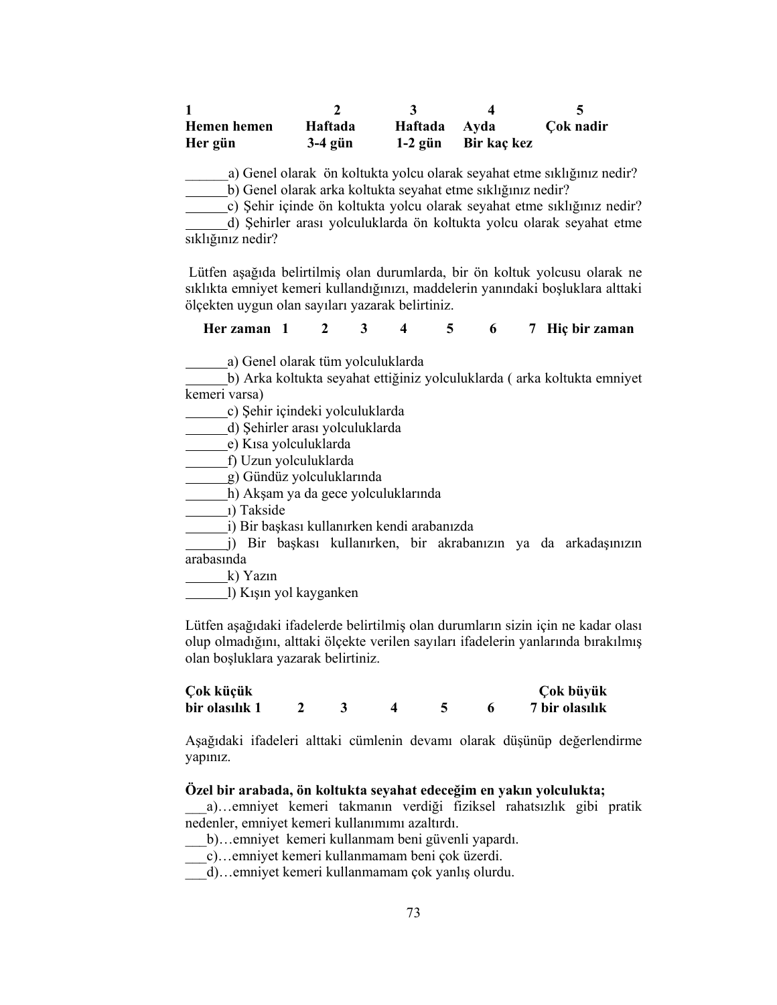| Hemen hemen | Haftada   | Haftada Ayda |             | Cok nadir |
|-------------|-----------|--------------|-------------|-----------|
| Her gün     | $3-4$ gün | $1-2$ gün    | Bir kaç kez |           |

a) Genel olarak ön koltukta yolcu olarak seyahat etme sıklığınız nedir? b) Genel olarak arka koltukta seyahat etme sıklığınız nedir?

c) Şehir içinde ön koltukta yolcu olarak seyahat etme sıklığınız nedir?

d) Şehirler arası yolculuklarda ön koltukta yolcu olarak seyahat etme sıklığınız nedir?

 Lütfen aşağıda belirtilmiş olan durumlarda, bir ön koltuk yolcusu olarak ne sıklıkta emniyet kemeri kullandığınızı, maddelerin yanındaki boşluklara alttaki ölçekten uygun olan sayıları yazarak belirtiniz.

Her zaman 1 2 3 4 5 6 7 Hiç bir zaman

a) Genel olarak tüm yolculuklarda

b) Arka koltukta seyahat ettiğiniz yolculuklarda ( arka koltukta emniyet kemeri varsa)

c) Şehir içindeki yolculuklarda

d) Şehirler arası yolculuklarda

e) Kısa yolculuklarda

f) Uzun yolculuklarda

g) Gündüz yolculuklarında

h) Akşam ya da gece yolculuklarında

ı) Takside

i) Bir başkası kullanırken kendi arabanızda

j) Bir başkası kullanırken, bir akrabanızın ya da arkadaşınızın arabasında

k) Yazın

l) Kışın yol kayganken

Lütfen aşağıdaki ifadelerde belirtilmiş olan durumların sizin için ne kadar olası olup olmadığını, alttaki ölçekte verilen sayıları ifadelerin yanlarında bırakılmış olan boşluklara yazarak belirtiniz.

| Çok küçük      |  |  | Çok büyük      |
|----------------|--|--|----------------|
| bir olasılık 1 |  |  | 7 bir olasılık |

Aşağıdaki ifadeleri alttaki cümlenin devamı olarak düşünüp değerlendirme yapınız.

#### Özel bir arabada, ön koltukta seyahat edeceğim en yakın yolculukta;

\_\_\_a)…emniyet kemeri takmanın verdiği fiziksel rahatsızlık gibi pratik nedenler, emniyet kemeri kullanımımı azaltırdı.

\_\_\_b)…emniyet kemeri kullanmam beni güvenli yapardı.

\_\_\_c)…emniyet kemeri kullanmamam beni çok üzerdi.

\_\_\_d)…emniyet kemeri kullanmamam çok yanlış olurdu.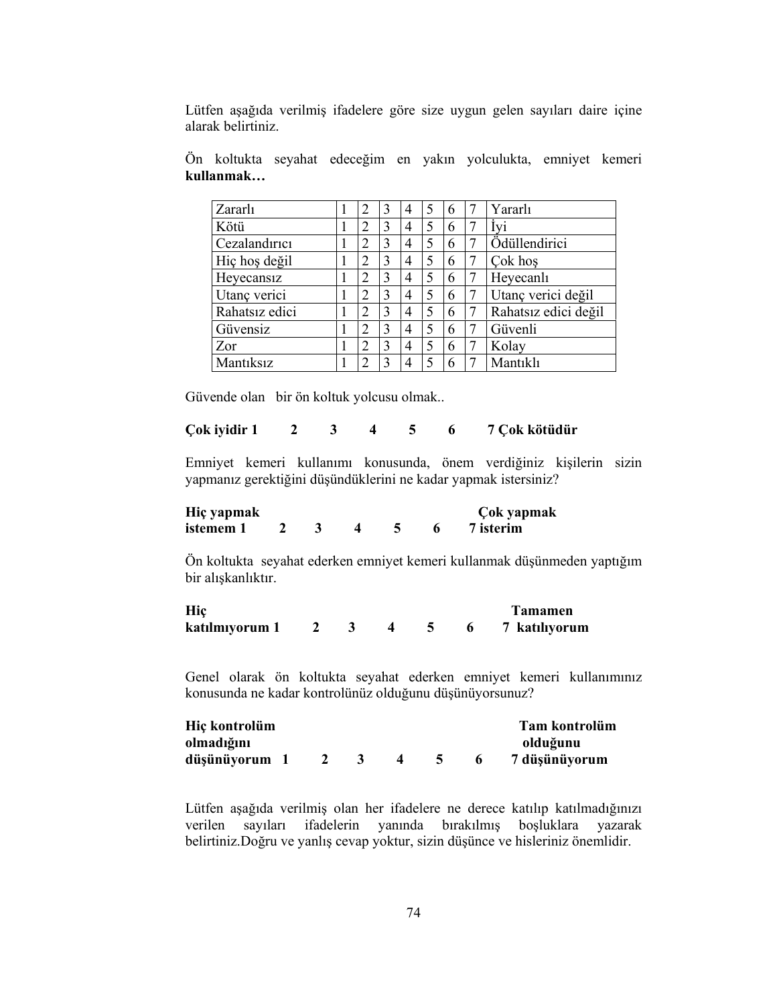Lütfen aşağıda verilmiş ifadelere göre size uygun gelen sayıları daire içine alarak belirtiniz.

Ön koltukta seyahat edeceğim en yakın yolculukta, emniyet kemeri kullanmak…

| Zararlı        | $\overline{2}$              | 3 | 4 |   | 6 |   | Yararlı              |
|----------------|-----------------------------|---|---|---|---|---|----------------------|
| Kötü           | $\overline{2}$              | 3 | 4 |   | 6 |   | Ivi                  |
| Cezalandırıcı  | 2                           | 3 | 4 | 5 | 6 |   | Ödüllendirici        |
| Hiç hoş değil  | 2                           | 3 | 4 | 5 | 6 | 7 | Çok hoş              |
| Heyecansiz     | $\mathcal{D}_{\mathcal{L}}$ | 3 | 4 | 5 | 6 |   | Heyecanlı            |
| Utanç verici   | 2                           | 3 | 4 | 5 | 6 |   | Utanç verici değil   |
| Rahatsız edici | $\mathcal{D}_{\mathcal{A}}$ | 3 | 4 | 5 | 6 |   | Rahatsız edici değil |
| Güvensiz       | 2                           | 3 | 4 | 5 | 6 |   | Güvenli              |
| Zor            | $\overline{2}$              | 3 | 4 | 5 | 6 | 7 | Kolay                |
| Mantiksiz      | ി                           | 3 | 4 |   | 6 |   | Mantıklı             |

Güvende olan bir ön koltuk yolcusu olmak..

# Çok iyidir 1 2 3 4 5 6 7 Çok kötüdür

Emniyet kemeri kullanımı konusunda, önem verdiğiniz kişilerin sizin yapmanız gerektiğini düşündüklerini ne kadar yapmak istersiniz?

| Hiç yapmak |  |  | Çok yapmak |
|------------|--|--|------------|
| istemem 1  |  |  | 7 isterim  |

Ön koltukta seyahat ederken emniyet kemeri kullanmak düşünmeden yaptığım bir alışkanlıktır.

| Hic            |  |  | Tamamen       |
|----------------|--|--|---------------|
| katılmıyorum 1 |  |  | 7 katılıyorum |

Genel olarak ön koltukta seyahat ederken emniyet kemeri kullanımınız konusunda ne kadar kontrolünüz olduğunu düşünüyorsunuz?

| Hiç kontrolüm |  |  |  | Tam kontrolüm |
|---------------|--|--|--|---------------|
| olmadığını    |  |  |  | olduğunu      |
| düşünüyorum   |  |  |  | 7 düşünüyorum |

Lütfen aşağıda verilmiş olan her ifadelere ne derece katılıp katılmadığınızı verilen sayıları ifadelerin yanında bırakılmış boşluklara yazarak belirtiniz.Doğru ve yanlış cevap yoktur, sizin düşünce ve hisleriniz önemlidir.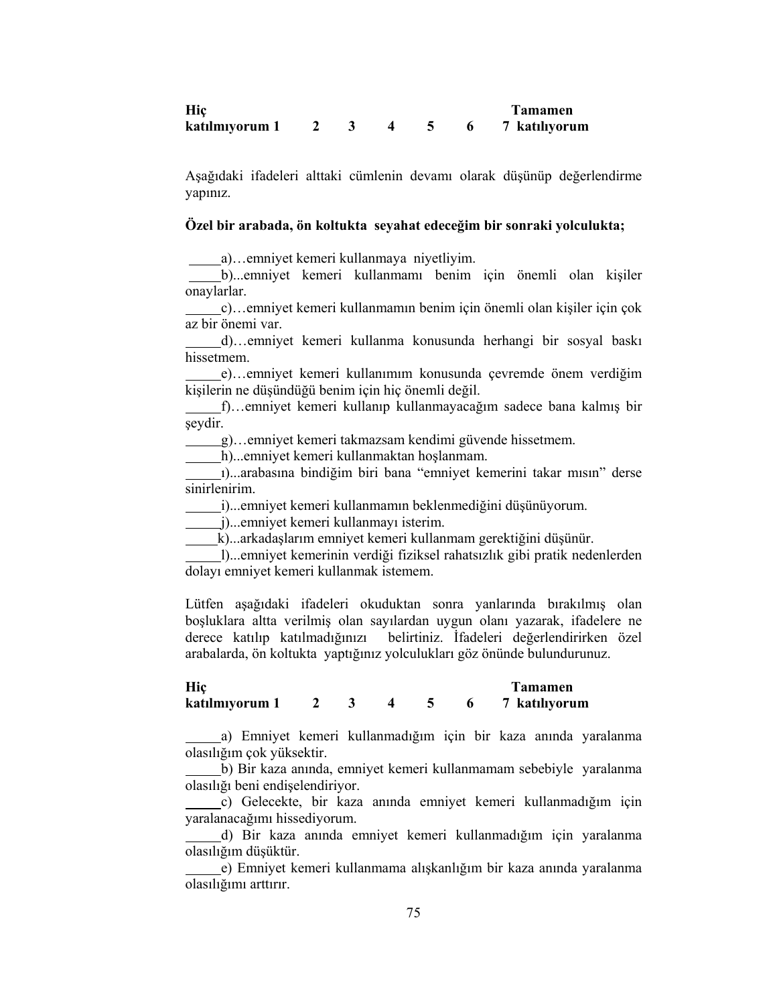| Hic          |  |  | <b>Tamamen</b> |
|--------------|--|--|----------------|
| katılmıyorum |  |  | 7 katılıyorum  |

Aşağıdaki ifadeleri alttaki cümlenin devamı olarak düşünüp değerlendirme yapınız.

# Özel bir arabada, ön koltukta seyahat edeceğim bir sonraki yolculukta;

a)…emniyet kemeri kullanmaya niyetliyim.

 b)...emniyet kemeri kullanmamı benim için önemli olan kişiler onaylarlar.

 c)…emniyet kemeri kullanmamın benim için önemli olan kişiler için çok az bir önemi var.

 d)…emniyet kemeri kullanma konusunda herhangi bir sosyal baskı hissetmem.

 e)…emniyet kemeri kullanımım konusunda çevremde önem verdiğim kişilerin ne düşündüğü benim için hiç önemli değil.

 f)…emniyet kemeri kullanıp kullanmayacağım sadece bana kalmış bir seydir.

g)…emniyet kemeri takmazsam kendimi güvende hissetmem.

h)...emniyet kemeri kullanmaktan hoşlanmam.

 ı)...arabasına bindiğim biri bana "emniyet kemerini takar mısın" derse sinirlenirim.

i)...emniyet kemeri kullanmamın beklenmediğini düşünüyorum.

j)...emniyet kemeri kullanmayı isterim.

k)...arkadaşlarım emniyet kemeri kullanmam gerektiğini düşünür.

 l)...emniyet kemerinin verdiği fiziksel rahatsızlık gibi pratik nedenlerden dolayı emniyet kemeri kullanmak istemem.

Lütfen aşağıdaki ifadeleri okuduktan sonra yanlarında bırakılmış olan boşluklara altta verilmiş olan sayılardan uygun olanı yazarak, ifadelere ne derece katılıp katılmadığınızı belirtiniz. İfadeleri değerlendirirken özel arabalarda, ön koltukta yaptığınız yolculukları göz önünde bulundurunuz.

Hiç Tamamen katılmıyorum 1 2 3 4 5 6 7 katılıyorum

 a) Emniyet kemeri kullanmadığım için bir kaza anında yaralanma olasılığım çok yüksektir.

 b) Bir kaza anında, emniyet kemeri kullanmamam sebebiyle yaralanma olasılığı beni endişelendiriyor.

 c) Gelecekte, bir kaza anında emniyet kemeri kullanmadığım için yaralanacağımı hissediyorum.

 d) Bir kaza anında emniyet kemeri kullanmadığım için yaralanma olasılığım düşüktür.

 e) Emniyet kemeri kullanmama alışkanlığım bir kaza anında yaralanma olasılığımı arttırır.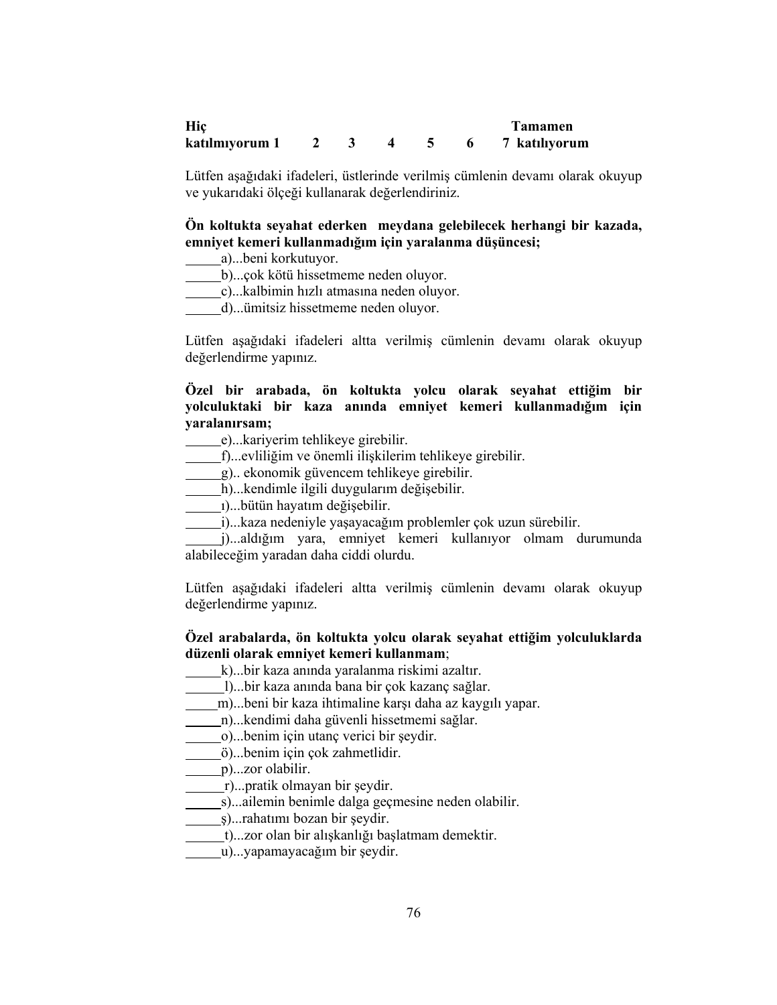| Hic            |  |  | Tamamen       |
|----------------|--|--|---------------|
| katılmıyorum 1 |  |  | 7 katılıyorum |

Lütfen aşağıdaki ifadeleri, üstlerinde verilmiş cümlenin devamı olarak okuyup ve yukarıdaki ölçeği kullanarak değerlendiriniz.

# Ön koltukta seyahat ederken meydana gelebilecek herhangi bir kazada, emniyet kemeri kullanmadığım için yaralanma düşüncesi;

- a)...beni korkutuyor.
- b)...çok kötü hissetmeme neden oluyor.
- c)...kalbimin hızlı atmasına neden oluyor.
- d)...ümitsiz hissetmeme neden oluyor.

Lütfen aşağıdaki ifadeleri altta verilmiş cümlenin devamı olarak okuyup değerlendirme yapınız.

## Özel bir arabada, ön koltukta yolcu olarak seyahat ettiğim bir yolculuktaki bir kaza anında emniyet kemeri kullanmadığım için yaralanırsam;

e)...kariyerim tehlikeye girebilir.

- f)...evliliğim ve önemli ilişkilerim tehlikeye girebilir.
- g).. ekonomik güvencem tehlikeye girebilir.
- h)...kendimle ilgili duygularım değişebilir.
- ı)...bütün hayatım değişebilir.
- i)...kaza nedeniyle yaşayacağım problemler çok uzun sürebilir.
- j)...aldığım yara, emniyet kemeri kullanıyor olmam durumunda alabileceğim yaradan daha ciddi olurdu.

Lütfen aşağıdaki ifadeleri altta verilmiş cümlenin devamı olarak okuyup değerlendirme yapınız.

## Özel arabalarda, ön koltukta yolcu olarak seyahat ettiğim yolculuklarda düzenli olarak emniyet kemeri kullanmam;

- k)...bir kaza anında yaralanma riskimi azaltır.
- l)...bir kaza anında bana bir çok kazanç sağlar.
- m)...beni bir kaza ihtimaline karşı daha az kaygılı yapar.
- n)...kendimi daha güvenli hissetmemi sağlar.
- o)...benim için utanç verici bir şeydir.
- ö)...benim için çok zahmetlidir.
- p)...zor olabilir.
- r)...pratik olmayan bir şeydir.
- s)...ailemin benimle dalga geçmesine neden olabilir.
- ş)...rahatımı bozan bir şeydir.
- t)...zor olan bir alışkanlığı başlatmam demektir.
- u)...yapamayacağım bir şeydir.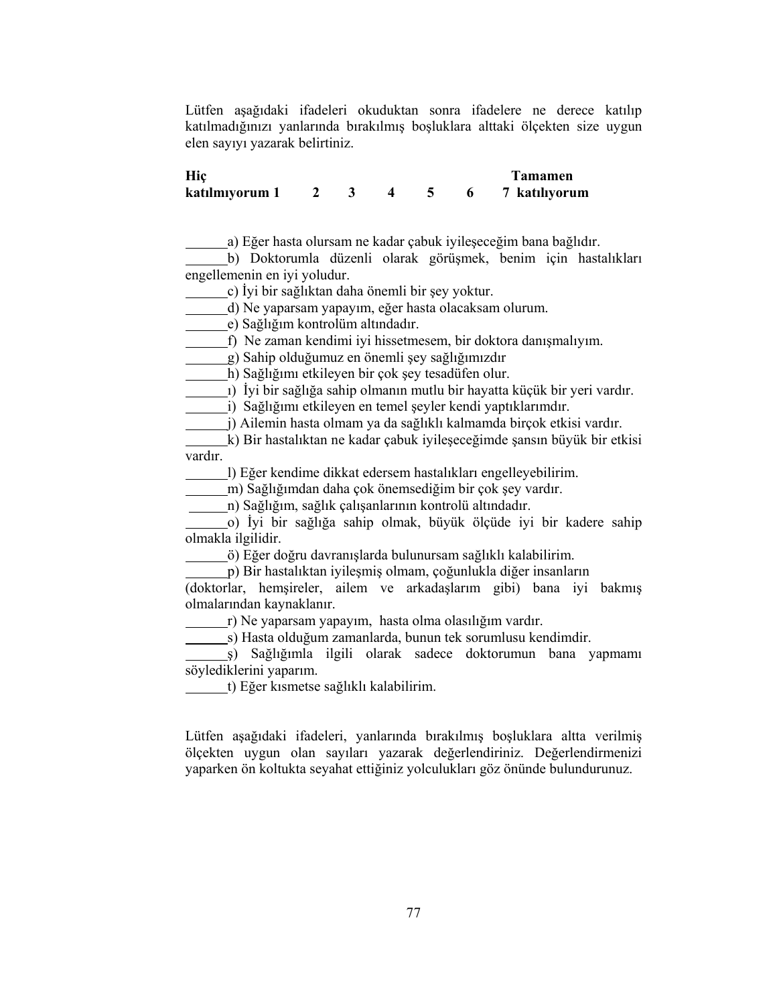Lütfen aşağıdaki ifadeleri okuduktan sonra ifadelere ne derece katılıp katılmadığınızı yanlarında bırakılmış boşluklara alttaki ölçekten size uygun elen sayıyı yazarak belirtiniz.

| Hic            |  |  | Tamamen       |
|----------------|--|--|---------------|
| katılmıyorum 1 |  |  | 7 katılıyorum |

a) Eğer hasta olursam ne kadar çabuk iyileşeceğim bana bağlıdır.

b) Doktorumla düzenli olarak görüşmek, benim için hastalıkları engellemenin en iyi yoludur.

c) İyi bir sağlıktan daha önemli bir şey yoktur.

d) Ne yaparsam yapayım, eğer hasta olacaksam olurum.

e) Sağlığım kontrolüm altındadır.

f) Ne zaman kendimi iyi hissetmesem, bir doktora danışmalıyım.

g) Sahip olduğumuz en önemli şey sağlığımızdır

h) Sağlığımı etkileyen bir çok şey tesadüfen olur.

ı) İyi bir sağlığa sahip olmanın mutlu bir hayatta küçük bir yeri vardır.

i) Sağlığımı etkileyen en temel şeyler kendi yaptıklarımdır.

j) Ailemin hasta olmam ya da sağlıklı kalmamda birçok etkisi vardır.

k) Bir hastalıktan ne kadar çabuk iyileşeceğimde şansın büyük bir etkisi vardır.

l) Eğer kendime dikkat edersem hastalıkları engelleyebilirim.

m) Sağlığımdan daha çok önemsediğim bir çok şey vardır.

n) Sağlığım, sağlık çalışanlarının kontrolü altındadır.

o) İyi bir sağlığa sahip olmak, büyük ölçüde iyi bir kadere sahip olmakla ilgilidir.

ö) Eğer doğru davranışlarda bulunursam sağlıklı kalabilirim.

p) Bir hastalıktan iyileşmiş olmam, çoğunlukla diğer insanların

(doktorlar, hemşireler, ailem ve arkadaşlarım gibi) bana iyi bakmış olmalarından kaynaklanır.

r) Ne yaparsam yapayım, hasta olma olasılığım vardır.

s) Hasta olduğum zamanlarda, bunun tek sorumlusu kendimdir.

ş) Sağlığımla ilgili olarak sadece doktorumun bana yapmamı söylediklerini yaparım.

t) Eğer kısmetse sağlıklı kalabilirim.

Lütfen aşağıdaki ifadeleri, yanlarında bırakılmış boşluklara altta verilmiş ölçekten uygun olan sayıları yazarak değerlendiriniz. Değerlendirmenizi yaparken ön koltukta seyahat ettiğiniz yolculukları göz önünde bulundurunuz.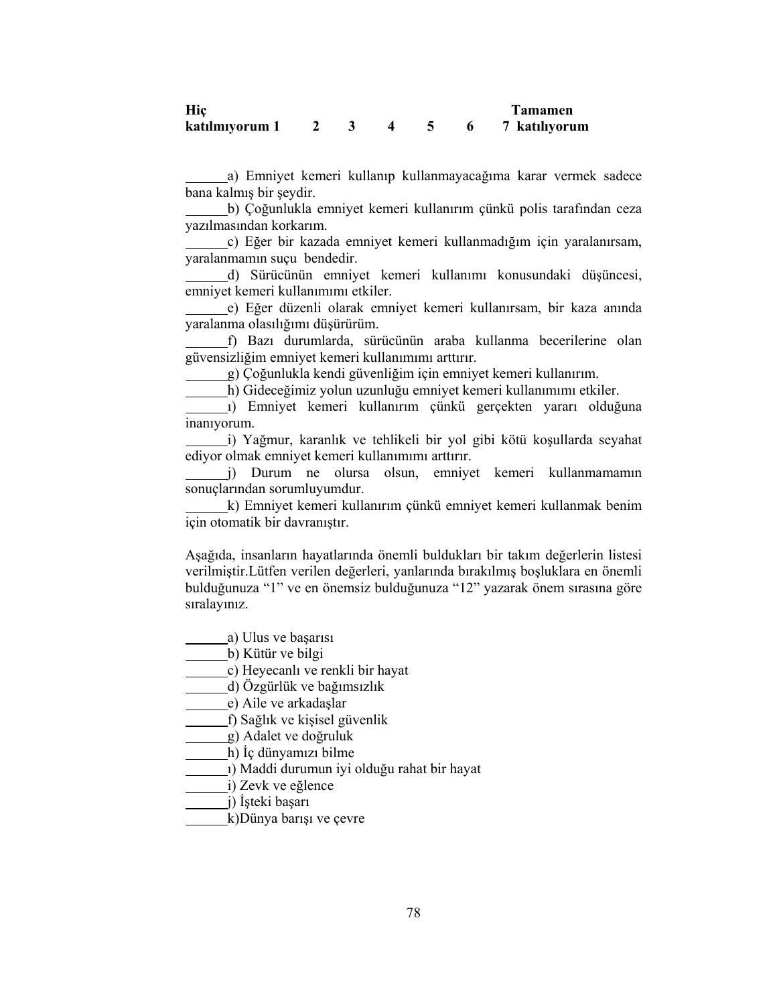| Hic            |  |  | <b>Tamamen</b> |
|----------------|--|--|----------------|
| katılmıyorum 1 |  |  | 7 katılıyorum  |

a) Emniyet kemeri kullanıp kullanmayacağıma karar vermek sadece bana kalmış bir şeydir.

b) Çoğunlukla emniyet kemeri kullanırım çünkü polis tarafından ceza yazılmasından korkarım.

c) Eğer bir kazada emniyet kemeri kullanmadığım için yaralanırsam, yaralanmamın suçu bendedir.

d) Sürücünün emniyet kemeri kullanımı konusundaki düşüncesi, emniyet kemeri kullanımımı etkiler.

e) Eğer düzenli olarak emniyet kemeri kullanırsam, bir kaza anında yaralanma olasılığımı düşürürüm.

f) Bazı durumlarda, sürücünün araba kullanma becerilerine olan güvensizliğim emniyet kemeri kullanımımı arttırır.

g) Çoğunlukla kendi güvenliğim için emniyet kemeri kullanırım.

h) Gideceğimiz yolun uzunluğu emniyet kemeri kullanımımı etkiler.

ı) Emniyet kemeri kullanırım çünkü gerçekten yararı olduğuna inanıyorum.

i) Yağmur, karanlık ve tehlikeli bir yol gibi kötü koşullarda seyahat ediyor olmak emniyet kemeri kullanımımı arttırır.

j) Durum ne olursa olsun, emniyet kemeri kullanmamamın sonuçlarından sorumluyumdur.

k) Emniyet kemeri kullanırım çünkü emniyet kemeri kullanmak benim için otomatik bir davranıştır.

Aşağıda, insanların hayatlarında önemli buldukları bir takım değerlerin listesi verilmiştir.Lütfen verilen değerleri, yanlarında bırakılmış boşluklara en önemli bulduğunuza "1" ve en önemsiz bulduğunuza "12" yazarak önem sırasına göre sıralayınız.

a) Ulus ve başarısı

b) Kütür ve bilgi

c) Heyecanlı ve renkli bir hayat

d) Özgürlük ve bağımsızlık

e) Aile ve arkadaşlar

f) Sağlık ve kişisel güvenlik

g) Adalet ve doğruluk

h) İç dünyamızı bilme

ı) Maddi durumun iyi olduğu rahat bir hayat

i) Zevk ve eğlence

j) İşteki başarı

k)Dünya barışı ve çevre